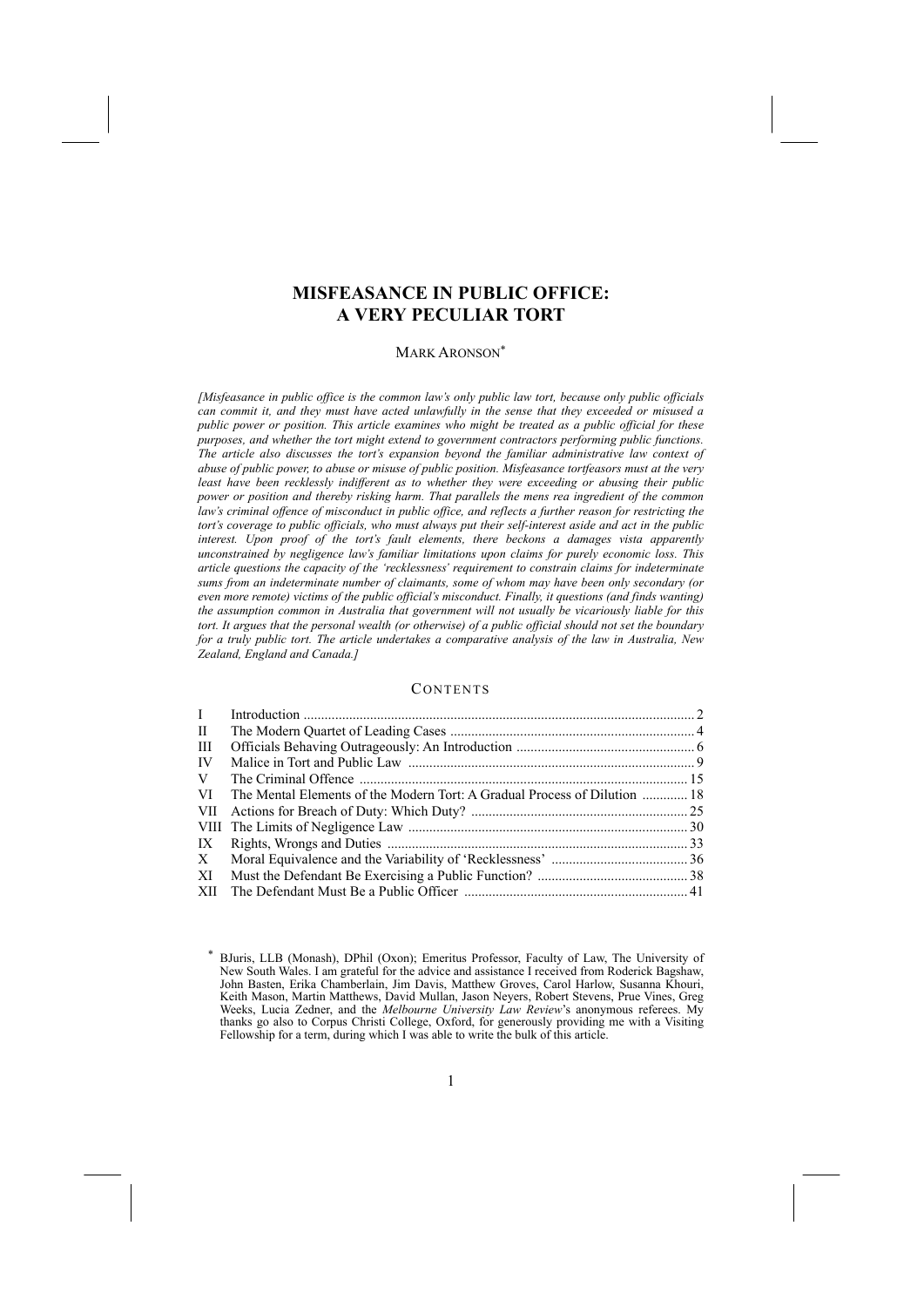# **MISFEASANCE IN PUBLIC OFFICE: A VERY PECULIAR TORT**

#### MARK ARONSON<sup>\*</sup>

*[Misfeasance in public office is the common law's only public law tort, because only public officials can commit it, and they must have acted unlawfully in the sense that they exceeded or misused a public power or position. This article examines who might be treated as a public official for these purposes, and whether the tort might extend to government contractors performing public functions. The article also discusses the tort's expansion beyond the familiar administrative law context of abuse of public power, to abuse or misuse of public position. Misfeasance tortfeasors must at the very least have been recklessly indifferent as to whether they were exceeding or abusing their public power or position and thereby risking harm. That parallels the mens rea ingredient of the common law's criminal offence of misconduct in public office, and reflects a further reason for restricting the tort's coverage to public officials, who must always put their self-interest aside and act in the public interest. Upon proof of the tort's fault elements, there beckons a damages vista apparently unconstrained by negligence law's familiar limitations upon claims for purely economic loss. This article questions the capacity of the 'recklessness' requirement to constrain claims for indeterminate sums from an indeterminate number of claimants, some of whom may have been only secondary (or even more remote) victims of the public official's misconduct. Finally, it questions (and finds wanting) the assumption common in Australia that government will not usually be vicariously liable for this* tort. It argues that the personal wealth (or otherwise) of a public official should not set the boundary *for a truly public tort. The article undertakes a comparative analysis of the law in Australia, New Zealand, England and Canada.]* 

# **CONTENTS**

| $\mathbf{I}$ |                                                                           |  |
|--------------|---------------------------------------------------------------------------|--|
| H            |                                                                           |  |
| Ш            |                                                                           |  |
| IV           |                                                                           |  |
| V            |                                                                           |  |
| VI           | The Mental Elements of the Modern Tort: A Gradual Process of Dilution  18 |  |
| VII          |                                                                           |  |
|              |                                                                           |  |
| IX           |                                                                           |  |
| X            |                                                                           |  |
| XI           |                                                                           |  |
| XІІ          |                                                                           |  |

<sup>\*</sup> BJuris, LLB (Monash), DPhil (Oxon); Emeritus Professor, Faculty of Law, The University of New South Wales. I am grateful for the advice and assistance I received from Roderick Bagshaw, John Basten, Erika Chamberlain, Jim Davis, Matthew Groves, Carol Harlow, Susanna Khouri, Keith Mason, Martin Matthews, David Mullan, Jason Neyers, Robert Stevens, Prue Vines, Greg Weeks, Lucia Zedner, and the *Melbourne University Law Review*'s anonymous referees. My thanks go also to Corpus Christi College, Oxford, for generously providing me with a Visiting Fellowship for a term, during which I was able to write the bulk of this article.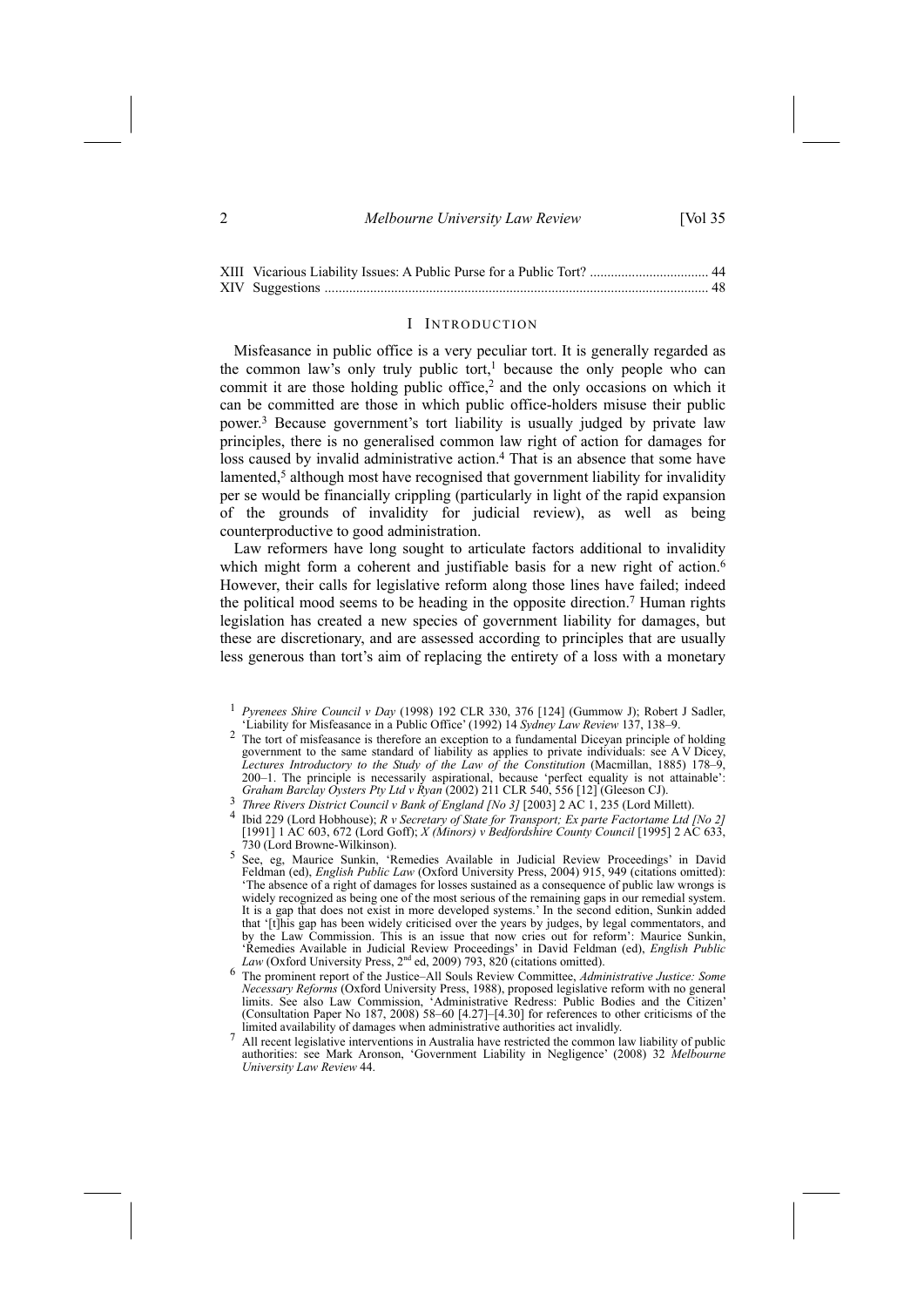#### 2 *Melbourne University Law Review* [Vol 35

# I INTRODUCTION

Misfeasance in public office is a very peculiar tort. It is generally regarded as the common law's only truly public tort,<sup>1</sup> because the only people who can commit it are those holding public office,2 and the only occasions on which it can be committed are those in which public office-holders misuse their public power.3 Because government's tort liability is usually judged by private law principles, there is no generalised common law right of action for damages for loss caused by invalid administrative action.<sup>4</sup> That is an absence that some have lamented,<sup>5</sup> although most have recognised that government liability for invalidity per se would be financially crippling (particularly in light of the rapid expansion of the grounds of invalidity for judicial review), as well as being counterproductive to good administration.

Law reformers have long sought to articulate factors additional to invalidity which might form a coherent and justifiable basis for a new right of action.<sup>6</sup> However, their calls for legislative reform along those lines have failed; indeed the political mood seems to be heading in the opposite direction.7 Human rights legislation has created a new species of government liability for damages, but these are discretionary, and are assessed according to principles that are usually less generous than tort's aim of replacing the entirety of a loss with a monetary

- <sup>3</sup> Three Rivers District Council v Bank of England [No 3] [2003]  $2 AC 1$ , 235 (Lord Millett).<br><sup>4</sup> Ibid 229 (Lord Hobhouse); *R v Secretary of State for Transport; Ex parte Factortame Ltd [No 2]* [1991] 1 AC 603, 672 (Lord Goff); *X (Minors) v Bedfordshire County Council* [1995] 2 AC 633, 730 (Lord Browne-Wilkinson).
- 5 See, eg, Maurice Sunkin, 'Remedies Available in Judicial Review Proceedings' in David Feldman (ed), *English Public Law* (Oxford University Press, 2004) 915, 949 (citations omitted): 'The absence of a right of damages for losses sustained as a consequence of public law wrongs is widely recognized as being one of the most serious of the remaining gaps in our remedial system. It is a gap that does not exist in more developed systems.' In the second edition, Sunkin added that '[t]his gap has been widely criticised over the years by judges, by legal commentators, and by the Law Commission. This is an issue that now cries out for reform': Maurice Sunkin, 'Remedies Available in Judicial Review Proceedings' in David Feldman (ed), *English Public Law* (Oxford University Press,  $2<sup>nd</sup>$  ed, 2009) 793, 820 (citations omitted).<br><sup>6</sup> The prominent report of the Justice–All So
- *Necessary Reforms* (Oxford University Press, 1988), proposed legislative reform with no general limits. See also Law Commission, 'Administrative Redress: Public Bodies and the Citizen' (Consultation Paper No 187, 2008) 58–60 [4.27]–[4.30] for references to other criticisms of the limited availability of damages when administrative authorities act invalidly.
- 7 All recent legislative interventions in Australia have restricted the common law liability of public authorities: see Mark Aronson, 'Government Liability in Negligence' (2008) 32 *Melbourne University Law Review* 44.

<sup>1</sup> *Pyrenees Shire Council v Day* (1998) 192 CLR 330, 376 [124] (Gummow J); Robert J Sadler, 'Liability for Misfeasance in a Public Office' (1992) 14 *Sydney Law Review* 137, 138–9.

<sup>&</sup>lt;sup>2</sup> The tort of misfeasance is therefore an exception to a fundamental Diceyan principle of holding government to the same standard of liability as applies to private individuals: see A V Dicey, *Lectures Introductory to the Study of the Law of the Constitution* (Macmillan, 1885) 178–9, 200–1. The principle is necessarily aspirational, because 'perfect equality is not attainable': Graham Barclay Oysters Pty Ltd v Ryan (2002) 211 CLR 540, 556 [12] (Gleeson CJ).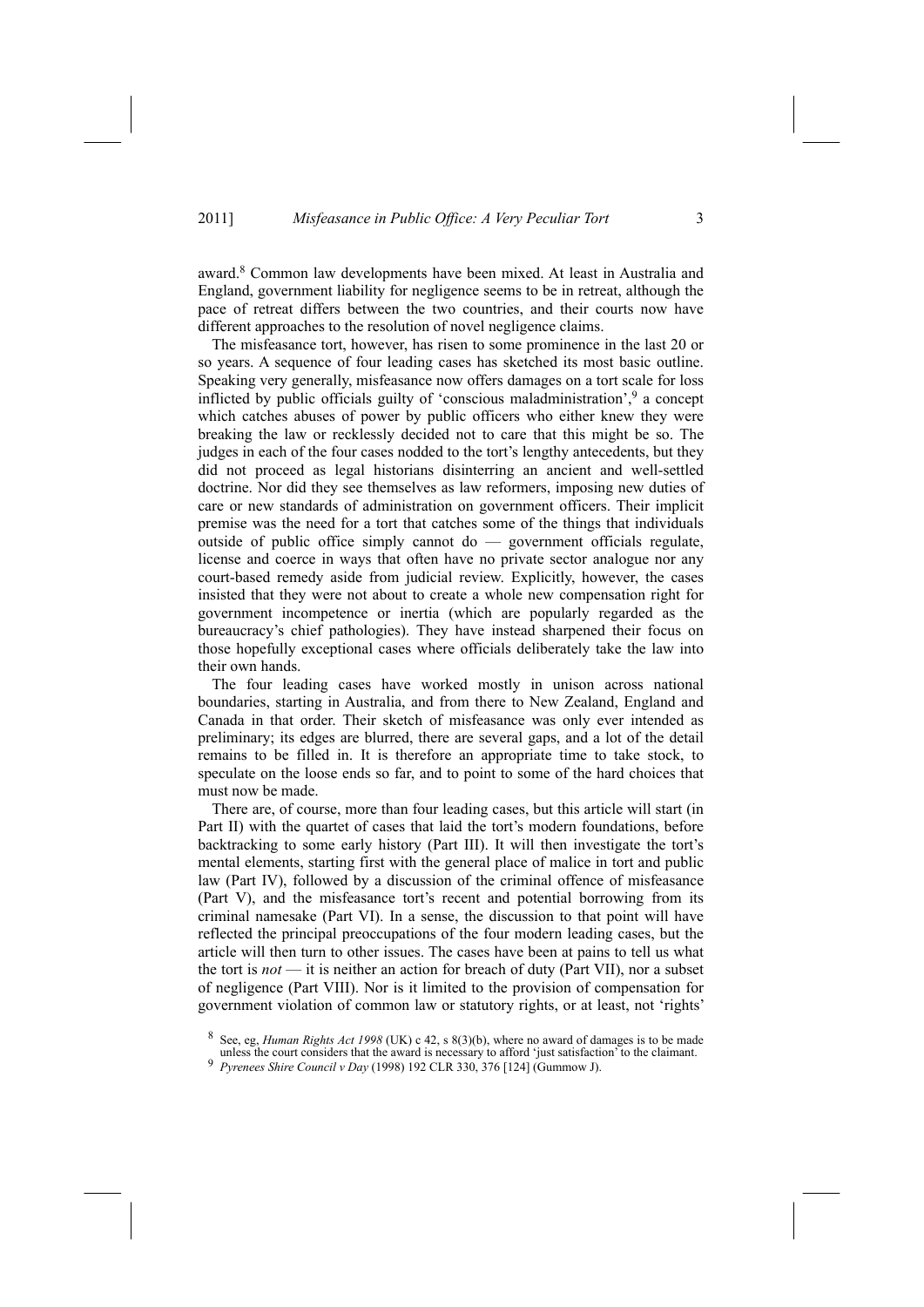award.8 Common law developments have been mixed. At least in Australia and England, government liability for negligence seems to be in retreat, although the pace of retreat differs between the two countries, and their courts now have different approaches to the resolution of novel negligence claims.

The misfeasance tort, however, has risen to some prominence in the last 20 or so years. A sequence of four leading cases has sketched its most basic outline. Speaking very generally, misfeasance now offers damages on a tort scale for loss inflicted by public officials guilty of 'conscious maladministration', $9$  a concept which catches abuses of power by public officers who either knew they were breaking the law or recklessly decided not to care that this might be so. The judges in each of the four cases nodded to the tort's lengthy antecedents, but they did not proceed as legal historians disinterring an ancient and well-settled doctrine. Nor did they see themselves as law reformers, imposing new duties of care or new standards of administration on government officers. Their implicit premise was the need for a tort that catches some of the things that individuals outside of public office simply cannot do — government officials regulate, license and coerce in ways that often have no private sector analogue nor any court-based remedy aside from judicial review. Explicitly, however, the cases insisted that they were not about to create a whole new compensation right for government incompetence or inertia (which are popularly regarded as the bureaucracy's chief pathologies). They have instead sharpened their focus on those hopefully exceptional cases where officials deliberately take the law into their own hands.

The four leading cases have worked mostly in unison across national boundaries, starting in Australia, and from there to New Zealand, England and Canada in that order. Their sketch of misfeasance was only ever intended as preliminary; its edges are blurred, there are several gaps, and a lot of the detail remains to be filled in. It is therefore an appropriate time to take stock, to speculate on the loose ends so far, and to point to some of the hard choices that must now be made.

There are, of course, more than four leading cases, but this article will start (in Part II) with the quartet of cases that laid the tort's modern foundations, before backtracking to some early history (Part III). It will then investigate the tort's mental elements, starting first with the general place of malice in tort and public law (Part IV), followed by a discussion of the criminal offence of misfeasance (Part V), and the misfeasance tort's recent and potential borrowing from its criminal namesake (Part VI). In a sense, the discussion to that point will have reflected the principal preoccupations of the four modern leading cases, but the article will then turn to other issues. The cases have been at pains to tell us what the tort is *not* — it is neither an action for breach of duty (Part VII), nor a subset of negligence (Part VIII). Nor is it limited to the provision of compensation for government violation of common law or statutory rights, or at least, not 'rights'

<sup>8</sup> See, eg, *Human Rights Act 1998* (UK) c 42, s 8(3)(b), where no award of damages is to be made

unless the court considers that the award is necessary to afford 'just satisfaction' to the claimant. 9 *Pyrenees Shire Council <sup>v</sup> Day* (1998) 192 CLR 330, 376 [124] (Gummow J).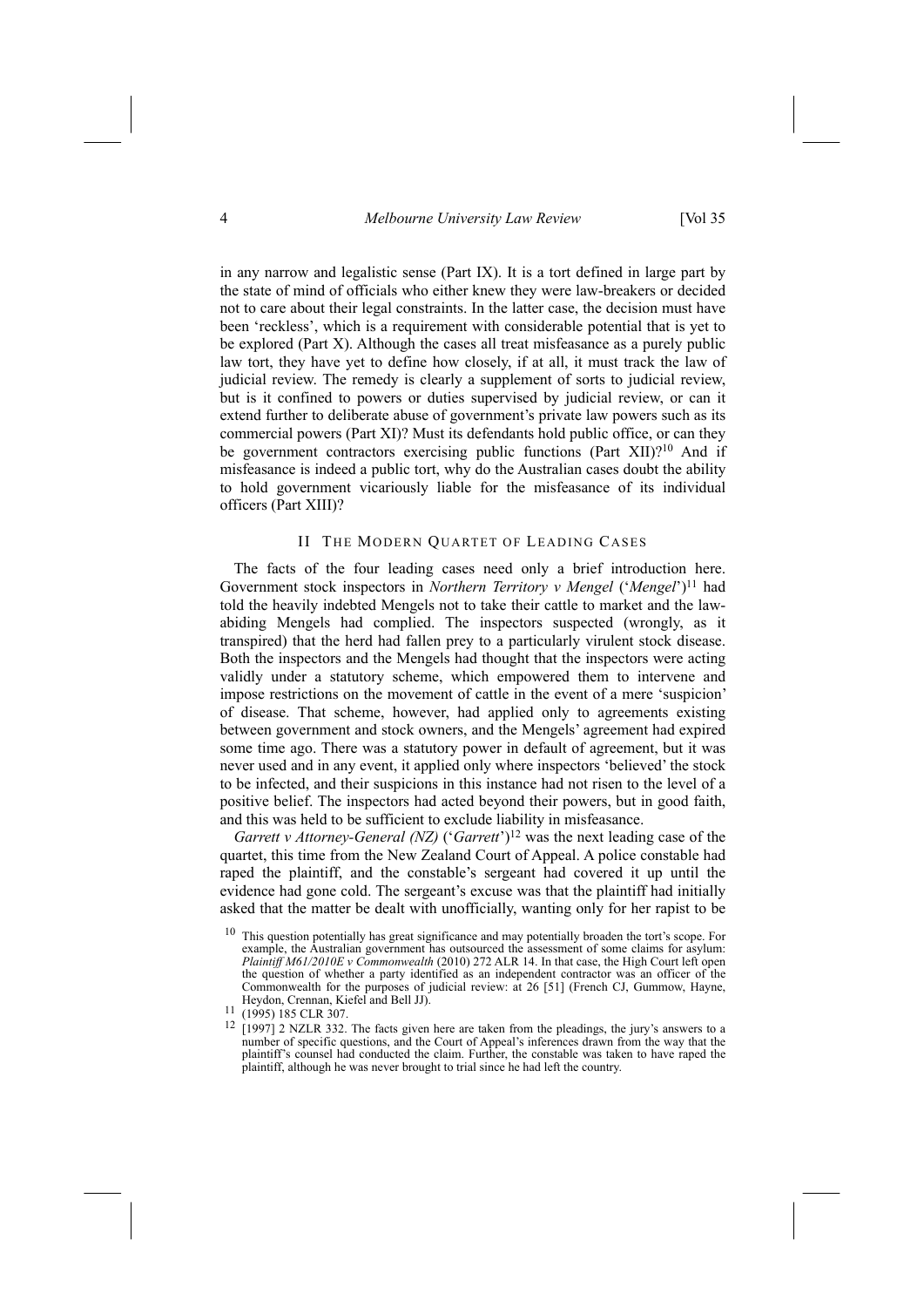in any narrow and legalistic sense (Part IX). It is a tort defined in large part by the state of mind of officials who either knew they were law-breakers or decided not to care about their legal constraints. In the latter case, the decision must have been 'reckless', which is a requirement with considerable potential that is yet to be explored (Part X). Although the cases all treat misfeasance as a purely public law tort, they have yet to define how closely, if at all, it must track the law of judicial review. The remedy is clearly a supplement of sorts to judicial review, but is it confined to powers or duties supervised by judicial review, or can it extend further to deliberate abuse of government's private law powers such as its commercial powers (Part XI)? Must its defendants hold public office, or can they be government contractors exercising public functions (Part XII)?<sup>10</sup> And if misfeasance is indeed a public tort, why do the Australian cases doubt the ability to hold government vicariously liable for the misfeasance of its individual officers (Part XIII)?

#### II THE MODERN QUARTET OF LEADING CASES

The facts of the four leading cases need only a brief introduction here. Government stock inspectors in *Northern Territory v Mengel* ('*Mengel*')11 had told the heavily indebted Mengels not to take their cattle to market and the lawabiding Mengels had complied. The inspectors suspected (wrongly, as it transpired) that the herd had fallen prey to a particularly virulent stock disease. Both the inspectors and the Mengels had thought that the inspectors were acting validly under a statutory scheme, which empowered them to intervene and impose restrictions on the movement of cattle in the event of a mere 'suspicion' of disease. That scheme, however, had applied only to agreements existing between government and stock owners, and the Mengels' agreement had expired some time ago. There was a statutory power in default of agreement, but it was never used and in any event, it applied only where inspectors 'believed' the stock to be infected, and their suspicions in this instance had not risen to the level of a positive belief. The inspectors had acted beyond their powers, but in good faith, and this was held to be sufficient to exclude liability in misfeasance.

*Garrett v Attorney-General (NZ)* ('*Garrett*')<sup>12</sup> was the next leading case of the quartet, this time from the New Zealand Court of Appeal. A police constable had raped the plaintiff, and the constable's sergeant had covered it up until the evidence had gone cold. The sergeant's excuse was that the plaintiff had initially asked that the matter be dealt with unofficially, wanting only for her rapist to be

<sup>&</sup>lt;sup>10</sup> This question potentially has great significance and may potentially broaden the tort's scope. For example, the Australian government has outsourced the assessment of some claims for asylum: *Plaintiff M61/2010E v Commonwealth* (2010) 272 ALR 14. In that case, the High Court left open the question of whether a party identified as an independent contractor was an officer of the Commonwealth for the purposes of judicial review: at 26 [51] (French CJ, Gummow, Hayne,

Heydon, Crennan, Kiefel and Bell JJ).<br><sup>11</sup> (1995) 185 CLR 307.<br><sup>12</sup> [1997] 2 NZLR 332. The facts given here are taken from the pleadings, the jury's answers to a number of specific questions, and the Court of Appeal's inferences drawn from the way that the plaintiff's counsel had conducted the claim. Further, the constable was taken to have raped the plaintiff, although he was never brought to trial since he had left the country.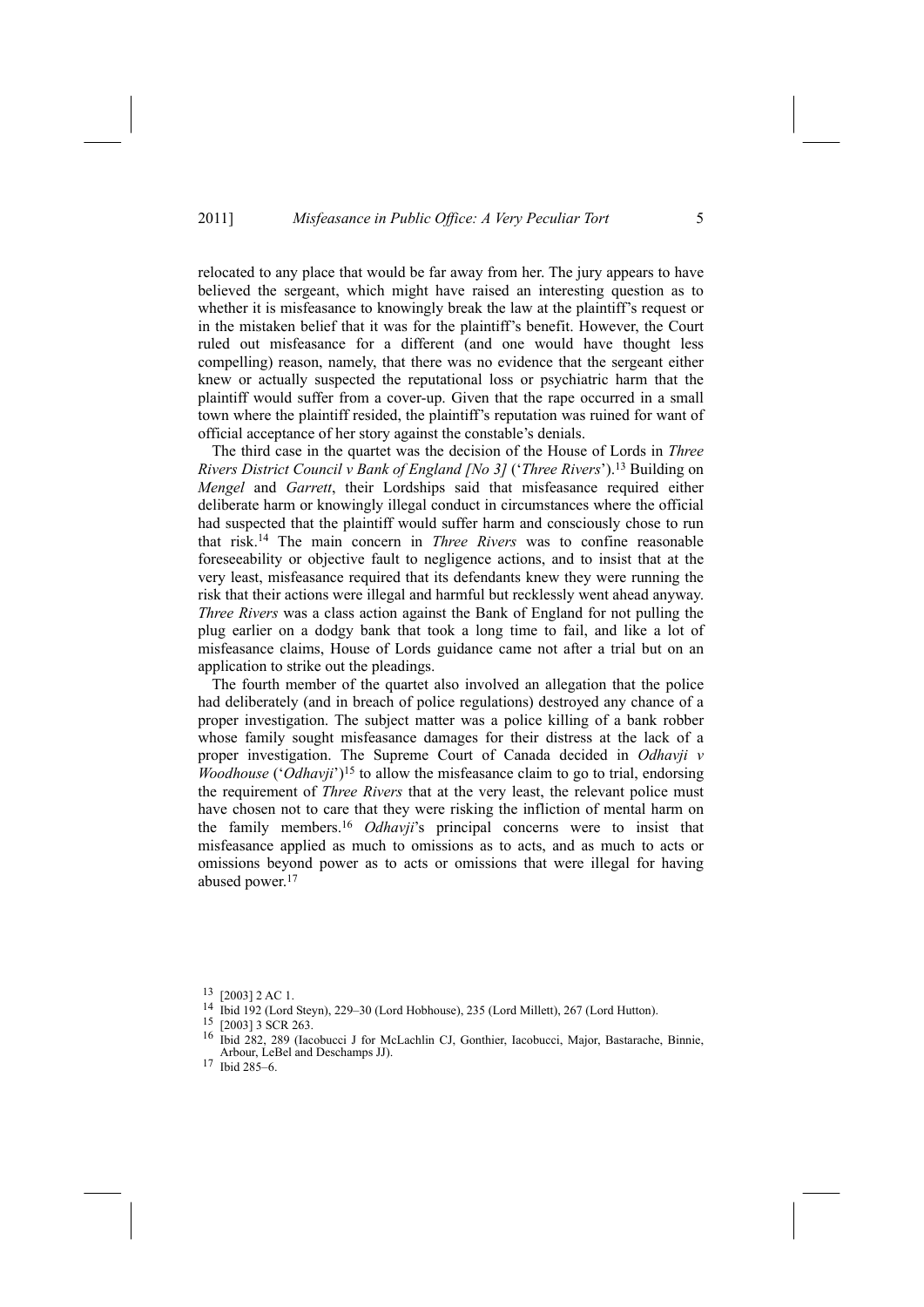relocated to any place that would be far away from her. The jury appears to have believed the sergeant, which might have raised an interesting question as to whether it is misfeasance to knowingly break the law at the plaintiff's request or in the mistaken belief that it was for the plaintiff's benefit. However, the Court ruled out misfeasance for a different (and one would have thought less compelling) reason, namely, that there was no evidence that the sergeant either knew or actually suspected the reputational loss or psychiatric harm that the plaintiff would suffer from a cover-up. Given that the rape occurred in a small town where the plaintiff resided, the plaintiff's reputation was ruined for want of official acceptance of her story against the constable's denials.

The third case in the quartet was the decision of the House of Lords in *Three Rivers District Council v Bank of England [No 3]* ('*Three Rivers*').13 Building on *Mengel* and *Garrett*, their Lordships said that misfeasance required either deliberate harm or knowingly illegal conduct in circumstances where the official had suspected that the plaintiff would suffer harm and consciously chose to run that risk.14 The main concern in *Three Rivers* was to confine reasonable foreseeability or objective fault to negligence actions, and to insist that at the very least, misfeasance required that its defendants knew they were running the risk that their actions were illegal and harmful but recklessly went ahead anyway. *Three Rivers* was a class action against the Bank of England for not pulling the plug earlier on a dodgy bank that took a long time to fail, and like a lot of misfeasance claims, House of Lords guidance came not after a trial but on an application to strike out the pleadings.

The fourth member of the quartet also involved an allegation that the police had deliberately (and in breach of police regulations) destroyed any chance of a proper investigation. The subject matter was a police killing of a bank robber whose family sought misfeasance damages for their distress at the lack of a proper investigation. The Supreme Court of Canada decided in *Odhavji v Woodhouse* ('*Odhavji*')<sup>15</sup> to allow the misfeasance claim to go to trial, endorsing the requirement of *Three Rivers* that at the very least, the relevant police must have chosen not to care that they were risking the infliction of mental harm on the family members.16 *Odhavji*'s principal concerns were to insist that misfeasance applied as much to omissions as to acts, and as much to acts or omissions beyond power as to acts or omissions that were illegal for having abused power.17

<sup>13 [2003] 2</sup> AC 1.

<sup>14</sup> Ibid 192 (Lord Steyn), 229–30 (Lord Hobhouse), 235 (Lord Millett), 267 (Lord Hutton).<br>
<sup>15</sup> [2003] 3 SCR 263.<br>
<sup>16</sup> Ibid 282, 289 (Jacobuse), L<sup>6</sup>r MeLesblin CL Gonthiar, Jacobusej, Major, Pestaraba

<sup>16</sup> Ibid 282, 289 (Iacobucci J for McLachlin CJ, Gonthier, Iacobucci, Major, Bastarache, Binnie, Arbour, LeBel and Deschamps JJ). 17 Ibid 285–6.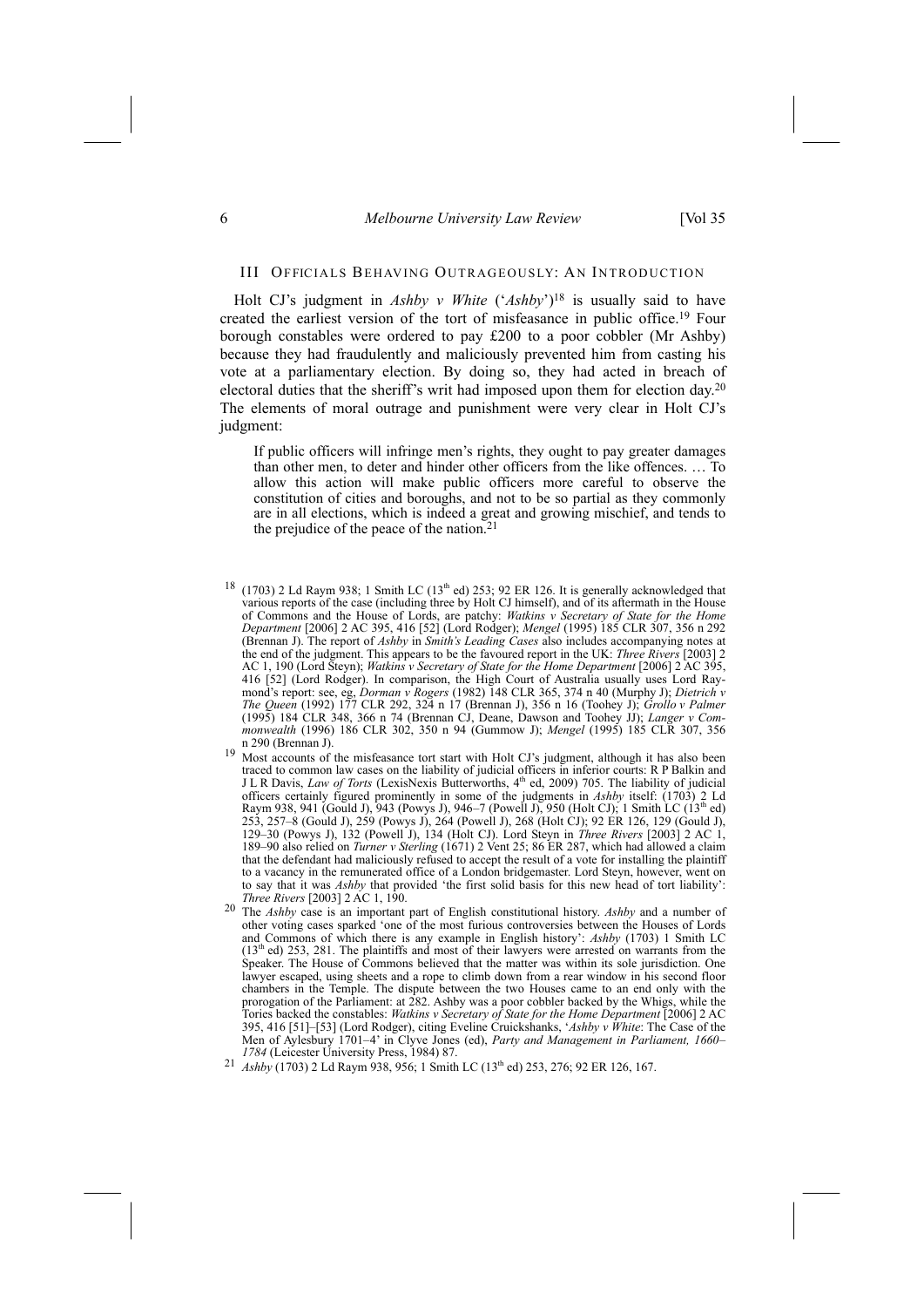#### 6 *Melbourne University Law Review* [Vol 35

# III OFFICIALS BEHAVING OUTRAGEOUSLY: AN INTRODUCTION

Holt CJ's judgment in *Ashby v White* ('*Ashby*')18 is usually said to have created the earliest version of the tort of misfeasance in public office.19 Four borough constables were ordered to pay £200 to a poor cobbler (Mr Ashby) because they had fraudulently and maliciously prevented him from casting his vote at a parliamentary election. By doing so, they had acted in breach of electoral duties that the sheriff's writ had imposed upon them for election day.20 The elements of moral outrage and punishment were very clear in Holt CJ's judgment:

If public officers will infringe men's rights, they ought to pay greater damages than other men, to deter and hinder other officers from the like offences. … To allow this action will make public officers more careful to observe the constitution of cities and boroughs, and not to be so partial as they commonly are in all elections, which is indeed a great and growing mischief, and tends to the prejudice of the peace of the nation.<sup>21</sup>

- $18$  (1703) 2 Ld Raym 938; 1 Smith LC (13<sup>th</sup> ed) 253; 92 ER 126. It is generally acknowledged that various reports of the case (including three by Holt CJ himself), and of its aftermath in the House of Commons and the House of Lords, are patchy: *Watkins v Secretary of State for the Home Department* [2006] 2 AC 395, 416 [52] (Lord Rodger); *Mengel* (1995) 185 CLR 307, 356 n 292 (Brennan J). The report of *Ashby* in *Smith's Leading Cases* also includes accompanying notes at the end of the judgment. This appears to be the favoured report in the UK: *Three Rivers* [2003] 2 AC 1, 190 (Lord Steyn); *Watkins v Secretary of State for the Home Department* [2006] 2 AC 395, 416 [52] (Lord Rodger). In comparison, the High Court of Australia usually uses Lord Raymond's report: see, eg, *Dorman v Rogers* (1982) 148 CLR 365, 374 n 40 (Murphy J); *Dietrich v The Queen* (1992) 177 CLR 292, 324 n 17 (Brennan J), 356 n 16 (Toohey J); *Grollo v Palmer* (1995) 184 CLR 348, 366 n 74 (Brennan CJ, Deane, Dawson and Toohey JJ); *Langer v Commonwealth* (1996) 186 CLR 302, 350 n 94 (Gummow J); *Mengel* (1995) 185 CLR 307, 356
- Most accounts of the misfeasance tort start with Holt CJ's judgment, although it has also been traced to common law cases on the liability of judicial officers in inferior courts: R P Balkin and J L R Davis, *Law of Torts* (LexisNexis Butterworths, 4th ed, 2009) 705. The liability of judicial officers certainly figured prominently in some of the judgments in *Ashby* itself: (1703) 2 Ld Raym 938, 941 (Gould J), 943 (Powys J), 946–7 (Powell J), 950 (Holt CJ); 1 Smith LC (13<sup>th</sup> ed) 253, 257–8 (Gould J), 259 (Powys J), 264 (Powell J), 268 (Holt CJ); 92 ER 126, 129 (Gould J), 129–30 (Powys J), 132 (Powell J), 134 (Holt CJ). Lord Steyn in *Three Rivers* [2003] 2 AC 1, 189–90 also relied on *Turner v Sterling* (1671) 2 Vent 25; 86 ER 287, which had allowed a claim that the defendant had maliciously refused to accept the result of a vote for installing the plaintiff to a vacancy in the remunerated office of a London bridgemaster. Lord Steyn, however, went on to say that it was *Ashby* that provided 'the first solid basis for this new head of tort liability': *Three Rivers* [2003] 2 AC 1, 190.
- 20 The *Ashby* case is an important part of English constitutional history. *Ashby* and a number of other voting cases sparked 'one of the most furious controversies between the Houses of Lords and Commons of which there is any example in English history': *Ashby* (1703) 1 Smith LC  $(13<sup>th</sup>$  ed) 253, 281. The plaintiffs and most of their lawyers were arrested on warrants from the Speaker. The House of Commons believed that the matter was within its sole jurisdiction. One lawyer escaped, using sheets and a rope to climb down from a rear window in his second floor chambers in the Temple. The dispute between the two Houses came to an end only with the prorogation of the Parliament: at 282. Ashby was a poor cobbler backed by the Whigs, while the Tories backed the constables: *Watkins v Secretary of State for the Home Department* [2006] 2 AC 395, 416 [51]–[53] (Lord Rodger), citing Eveline Cruickshanks, '*Ashby v White*: The Case of the Men of Aylesbury 1701–4' in Clyve Jones (ed), *Party and Management in Parliament, 1660–*
- *Ashby* (1703) 2 Ld Raym 938, 956; 1 Smith LC (13<sup>th</sup> ed) 253, 276; 92 ER 126, 167.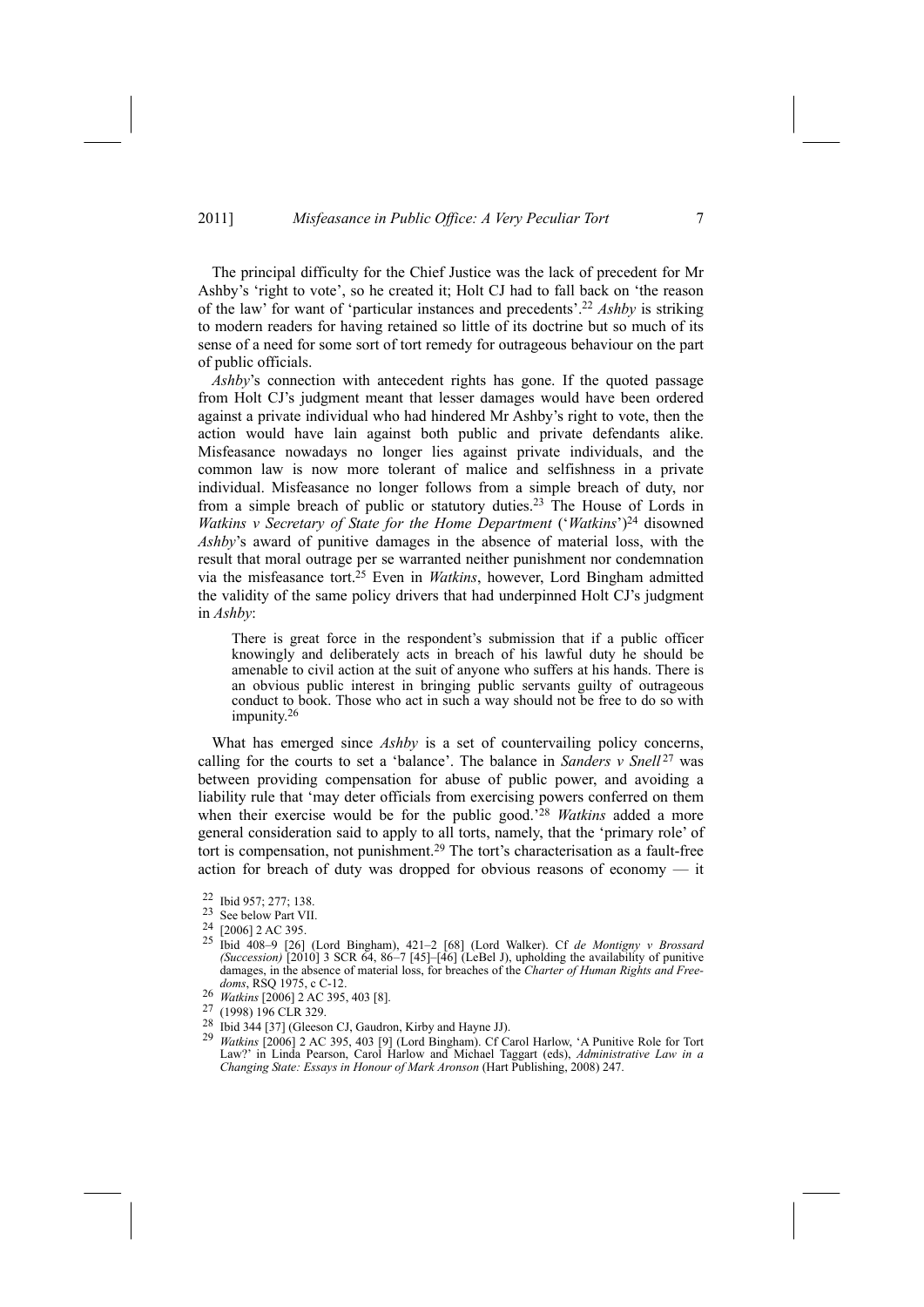The principal difficulty for the Chief Justice was the lack of precedent for Mr Ashby's 'right to vote', so he created it; Holt CJ had to fall back on 'the reason of the law' for want of 'particular instances and precedents'.22 *Ashby* is striking to modern readers for having retained so little of its doctrine but so much of its sense of a need for some sort of tort remedy for outrageous behaviour on the part of public officials.

*Ashby*'s connection with antecedent rights has gone. If the quoted passage from Holt CJ's judgment meant that lesser damages would have been ordered against a private individual who had hindered Mr Ashby's right to vote, then the action would have lain against both public and private defendants alike. Misfeasance nowadays no longer lies against private individuals, and the common law is now more tolerant of malice and selfishness in a private individual. Misfeasance no longer follows from a simple breach of duty, nor from a simple breach of public or statutory duties.23 The House of Lords in *Watkins v Secretary of State for the Home Department* ('*Watkins*')24 disowned *Ashby*'s award of punitive damages in the absence of material loss, with the result that moral outrage per se warranted neither punishment nor condemnation via the misfeasance tort.25 Even in *Watkins*, however, Lord Bingham admitted the validity of the same policy drivers that had underpinned Holt CJ's judgment in *Ashby*:

There is great force in the respondent's submission that if a public officer knowingly and deliberately acts in breach of his lawful duty he should be amenable to civil action at the suit of anyone who suffers at his hands. There is an obvious public interest in bringing public servants guilty of outrageous conduct to book. Those who act in such a way should not be free to do so with impunity.26

What has emerged since *Ashby* is a set of countervailing policy concerns, calling for the courts to set a 'balance'. The balance in *Sanders*  $v$  *Snell*<sup>27</sup> was between providing compensation for abuse of public power, and avoiding a liability rule that 'may deter officials from exercising powers conferred on them when their exercise would be for the public good.'28 *Watkins* added a more general consideration said to apply to all torts, namely, that the 'primary role' of tort is compensation, not punishment.<sup>29</sup> The tort's characterisation as a fault-free action for breach of duty was dropped for obvious reasons of economy — it

- 25 Ibid 408–9 [26] (Lord Bingham), 421–2 [68] (Lord Walker). Cf *de Montigny v Brossard (Succession)* [2010] 3 SCR 64, 86–7 [45]–[46] (LeBel J), upholding the availability of punitive damages, in the absence of material loss, for breaches of the *Charter of Human Rights and Freedoms*, RSQ 1975, c C-12.
- 26 *Watkins* [2006] 2 AC 395, 403 [8].<br><sup>27</sup> (1998) 196 CLR 329.
- 
- 
- 27 (1998) 196 CLR 329. 28 Ibid 344 [37] (Gleeson CJ, Gaudron, Kirby and Hayne JJ). 29 *Watkins* [2006] 2 AC 395, 403 [9] (Lord Bingham). Cf Carol Harlow, 'A Punitive Role for Tort Law?' in Linda Pearson, Carol Harlow and Michael Taggart (eds), *Administrative Law in a Changing State: Essays in Honour of Mark Aronson* (Hart Publishing, 2008) 247.

<sup>22</sup> Ibid 957; 277; 138.

<sup>23</sup> See below Part VII.

 $\frac{24}{25}$  [2006] 2 AC 395.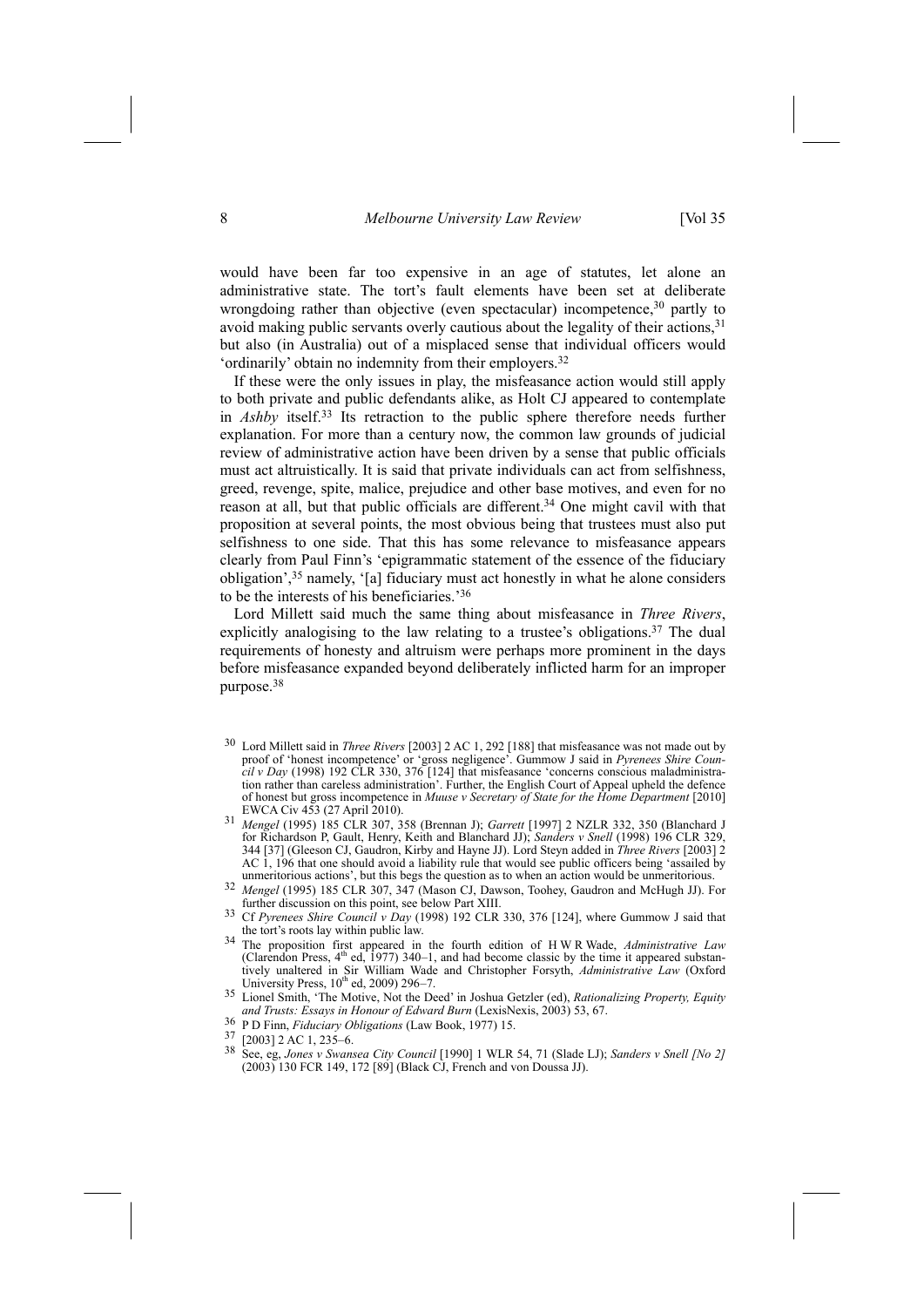would have been far too expensive in an age of statutes, let alone an administrative state. The tort's fault elements have been set at deliberate wrongdoing rather than objective (even spectacular) incompetence,<sup>30</sup> partly to avoid making public servants overly cautious about the legality of their actions,<sup>31</sup> but also (in Australia) out of a misplaced sense that individual officers would 'ordinarily' obtain no indemnity from their employers.<sup>32</sup>

If these were the only issues in play, the misfeasance action would still apply to both private and public defendants alike, as Holt CJ appeared to contemplate in *Ashby* itself.33 Its retraction to the public sphere therefore needs further explanation. For more than a century now, the common law grounds of judicial review of administrative action have been driven by a sense that public officials must act altruistically. It is said that private individuals can act from selfishness, greed, revenge, spite, malice, prejudice and other base motives, and even for no reason at all, but that public officials are different.34 One might cavil with that proposition at several points, the most obvious being that trustees must also put selfishness to one side. That this has some relevance to misfeasance appears clearly from Paul Finn's 'epigrammatic statement of the essence of the fiduciary obligation',35 namely, '[a] fiduciary must act honestly in what he alone considers to be the interests of his beneficiaries.'36

Lord Millett said much the same thing about misfeasance in *Three Rivers*, explicitly analogising to the law relating to a trustee's obligations.<sup>37</sup> The dual requirements of honesty and altruism were perhaps more prominent in the days before misfeasance expanded beyond deliberately inflicted harm for an improper purpose.38

- 30 Lord Millett said in *Three Rivers* [2003] 2 AC 1, 292 [188] that misfeasance was not made out by proof of 'honest incompetence' or 'gross negligence'. Gummow J said in *Pyrenees Shire Council v Day* (1998) 192 CLR 330, 376 [124] that misfeasance 'concerns conscious maladministration rather than careless administration'. Further, the English Court of Appeal upheld the defence of honest but gross incompetence in *Muuse v Secretary of State for the Home Department* [2010]
- EWCA Civ 453 (27 April 2010). 31 *Mengel* (1995) 185 CLR 307, 358 (Brennan J); *Garrett* [1997] 2 NZLR 332, 350 (Blanchard J for Richardson P, Gault, Henry, Keith and Blanchard JJ); *Sanders v Snell* (1998) 196 CLR 329, 344 [37] (Gleeson CJ, Gaudron, Kirby and Hayne JJ). Lord Steyn added in *Three Rivers* [2003] 2 AC  $\dot{I}$ , 196 that one should avoid a liability rule that would see public officers being 'assailed by unmeritorious actions', but this begs the question as to when an action would be unmeritorious.
- <sup>32</sup> Mengel (1995) 185 CLR 307, 347 (Mason CJ, Dawson, Toohey, Gaudron and McHugh JJ). For further discussion on this point, see below Part XIII.
- Cf *Pyrenees Shire Council v Day* (1998) 192 CLR 330, 376 [124], where Gummow J said that the tort's roots lay within public law. the tort's roots lay within public law. 34 The proposition first appeared in the fourth edition of H W R Wade, *Administrative Law*
- (Clarendon Press,  $4<sup>th</sup>$  ed, 1977) 340–1, and had become classic by the time it appeared substantively unaltered in Sir William Wade and Christopher Forsyth, *Administrative Law* (Oxford
- University Press, 10th ed, 2009) 296–7. 35 Lionel Smith, 'The Motive, Not the Deed' in Joshua Getzler (ed), *Rationalizing Property, Equity and Trusts: Essays in Honour of Edward Burn* (LexisNexis, 2003) 53, 67. 36 P D Finn, *Fiduciary Obligations* (Law Book, 1977) 15. 37 [2003] 2 AC 1, 235–6.
- 
- 
- 38 See, eg, *Jones v Swansea City Council* [1990] 1 WLR 54, 71 (Slade LJ); *Sanders v Snell [No 2]* (2003) 130 FCR 149, 172 [89] (Black CJ, French and von Doussa JJ).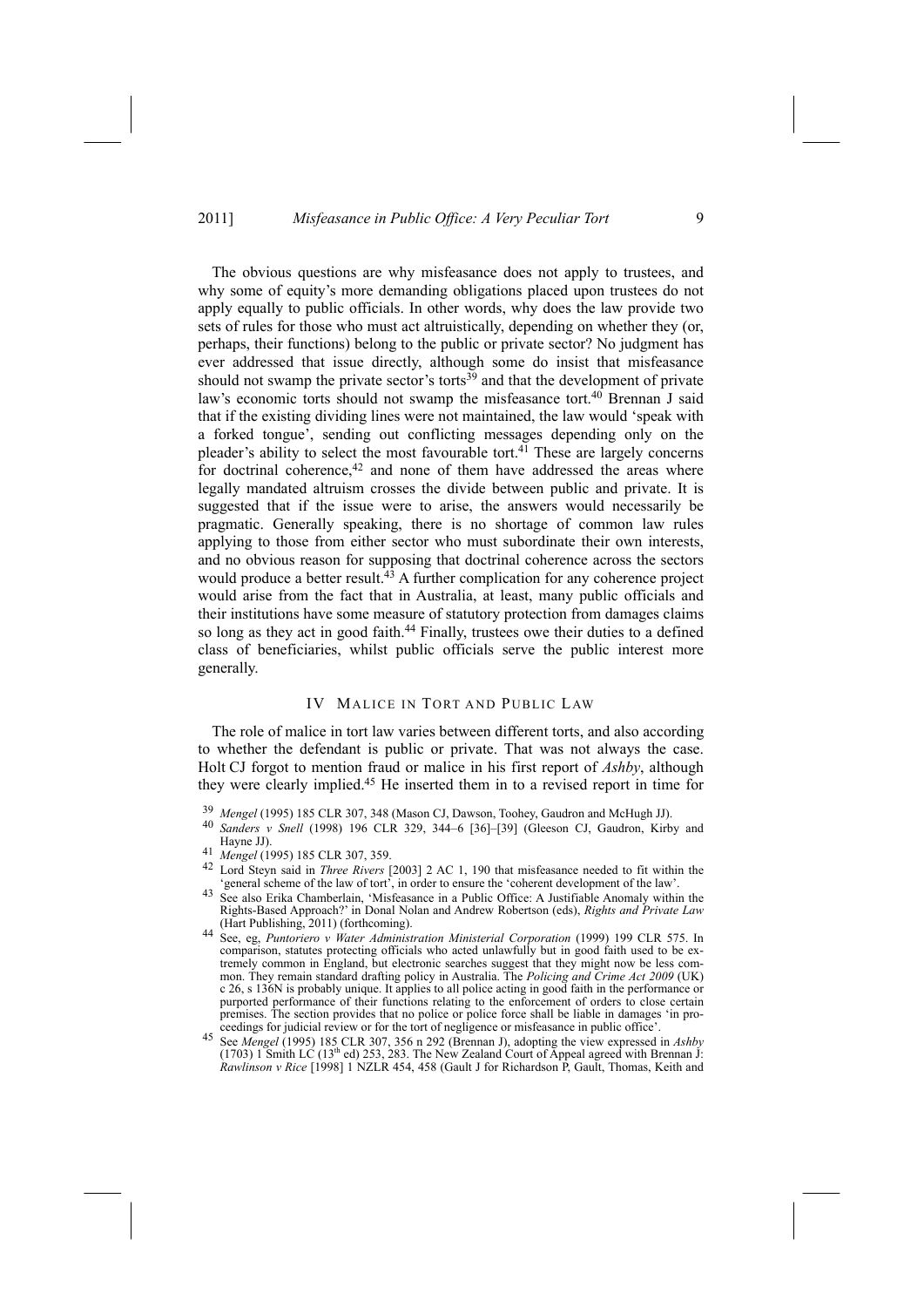The obvious questions are why misfeasance does not apply to trustees, and why some of equity's more demanding obligations placed upon trustees do not apply equally to public officials. In other words, why does the law provide two sets of rules for those who must act altruistically, depending on whether they (or, perhaps, their functions) belong to the public or private sector? No judgment has ever addressed that issue directly, although some do insist that misfeasance should not swamp the private sector's torts<sup>39</sup> and that the development of private law's economic torts should not swamp the misfeasance tort.<sup>40</sup> Brennan J said that if the existing dividing lines were not maintained, the law would 'speak with a forked tongue', sending out conflicting messages depending only on the pleader's ability to select the most favourable tort.<sup>41</sup> These are largely concerns for doctrinal coherence,<sup>42</sup> and none of them have addressed the areas where legally mandated altruism crosses the divide between public and private. It is suggested that if the issue were to arise, the answers would necessarily be pragmatic. Generally speaking, there is no shortage of common law rules applying to those from either sector who must subordinate their own interests, and no obvious reason for supposing that doctrinal coherence across the sectors would produce a better result.<sup>43</sup> A further complication for any coherence project would arise from the fact that in Australia, at least, many public officials and their institutions have some measure of statutory protection from damages claims so long as they act in good faith.<sup>44</sup> Finally, trustees owe their duties to a defined class of beneficiaries, whilst public officials serve the public interest more generally.

# IV MALICE IN TORT AND PUBLIC LAW

The role of malice in tort law varies between different torts, and also according to whether the defendant is public or private. That was not always the case. Holt CJ forgot to mention fraud or malice in his first report of *Ashby*, although they were clearly implied.45 He inserted them in to a revised report in time for

<sup>39</sup> *Mengel* (1995) 185 CLR 307, 348 (Mason CJ, Dawson, Toohey, Gaudron and McHugh JJ). 40 *Sanders <sup>v</sup> Snell* (1998) 196 CLR 329, 344–6 [36]–[39] (Gleeson CJ, Gaudron, Kirby and

<sup>&</sup>lt;sup>41</sup> *Mengel* (1995) 185 CLR 307, 359.<br><sup>42</sup> Lord Steyn said in *Three Rivers* [2003] 2 AC 1, 190 that misfeasance needed to fit within the 'general scheme of the law of tort', in order to ensure the 'coherent development o

See also Erika Chamberlain, 'Misfeasance in a Public Office: A Justifiable Anomaly within the Rights-Based Approach?' in Donal Nolan and Andrew Robertson (eds), *Rights and Private Law*

<sup>(</sup>Hart Publishing, 2011) (forthcoming). 44 See, eg, *Puntoriero <sup>v</sup> Water Administration Ministerial Corporation* (1999) 199 CLR 575. In comparison, statutes protecting officials who acted unlawfully but in good faith used to be extremely common in England, but electronic searches suggest that they might now be less common. They remain standard drafting policy in Australia. The *Policing and Crime Act 2009* (UK) c 26, s 136N is probably unique. It applies to all police acting in good faith in the performance or purported performance of their functions relating to the enforcement of orders to close certain premises. The section provides that no police or police force shall be liable in damages 'in pro-<br>ceedings for judicial review or for the tort of negligence or misfeasance in public office'. ceedings for judicial review or for the tort of negligence or misfeasance in public office'. 45 See *Mengel* (1995) 185 CLR 307, 356 n 292 (Brennan J), adopting the view expressed in *Ashby*

<sup>(1703) 1</sup> Smith LC (13<sup>th</sup> ed) 253, 283. The New Zealand Court of Appeal agreed with Brennan J: *Rawlinson v Rice* [1998] 1 NZLR 454, 458 (Gault J for Richardson P, Gault, Thomas, Keith and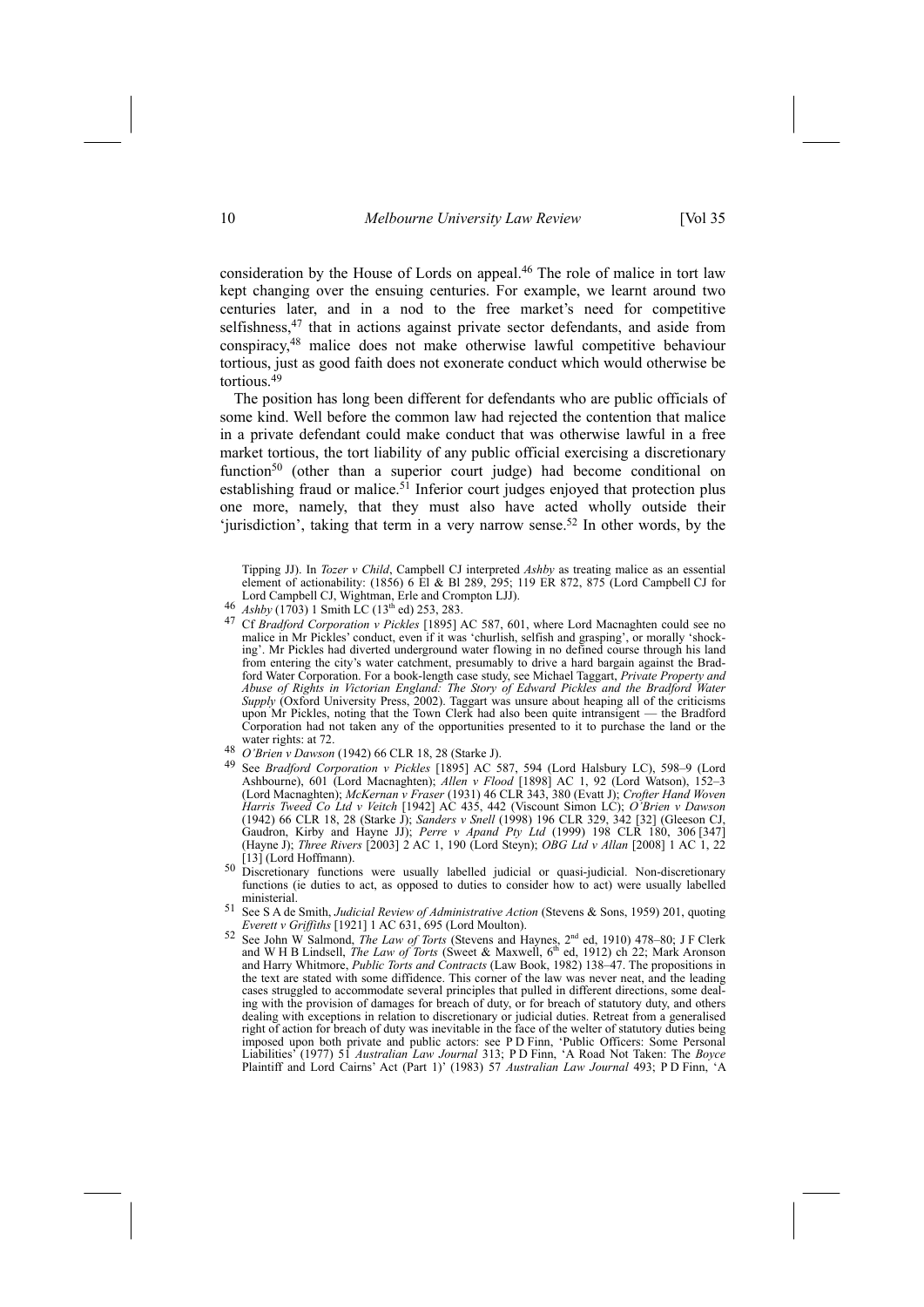consideration by the House of Lords on appeal.46 The role of malice in tort law kept changing over the ensuing centuries. For example, we learnt around two centuries later, and in a nod to the free market's need for competitive selfishness,<sup>47</sup> that in actions against private sector defendants, and aside from conspiracy,48 malice does not make otherwise lawful competitive behaviour tortious, just as good faith does not exonerate conduct which would otherwise be tortious.<sup>49</sup>

The position has long been different for defendants who are public officials of some kind. Well before the common law had rejected the contention that malice in a private defendant could make conduct that was otherwise lawful in a free market tortious, the tort liability of any public official exercising a discretionary function<sup>50</sup> (other than a superior court judge) had become conditional on establishing fraud or malice.<sup>51</sup> Inferior court judges enjoyed that protection plus one more, namely, that they must also have acted wholly outside their 'jurisdiction', taking that term in a very narrow sense.<sup>52</sup> In other words, by the

- 
- malice in Mr Pickles' conduct, even if it was 'churlish, selfish and grasping', or morally 'shocking'. Mr Pickles had diverted underground water flowing in no defined course through his land from entering the city's water catchment, presumably to drive a hard bargain against the Bradford Water Corporation. For a book-length case study, see Michael Taggart, *Private Property and Abuse of Rights in Victorian England: The Story of Edward Pickles and the Bradford Water Supply* (Oxford University Press, 2002). Taggart was unsure about heaping all of the criticisms upon Mr Pickles, noting that the Town Clerk had also been quite intransigent — the Bradford Corporation had not taken any of the opportunities presented to it to purchase the land or the
- 
- water rights: at 72.<br>
<sup>48</sup> *O'Brien v Dawson* (1942) 66 CLR 18, 28 (Starke J).<br>
<sup>49</sup> See *Bradford Corporation v Pickles* [1895] AC 587, 594 (Lord Halsbury LC), 598–9 (Lord Ashbourne), 601 (Lord Macnaghten); *Allen v Flood* [1898] AC 1, 92 (Lord Watson), 152–3 (Lord Macnaghten); *McKernan v Fraser* (1931) 46 CLR 343, 380 (Evatt J); *Crofter Hand Woven Harris Tweed Co Ltd v Veitch* [1942] AC 435, 442 (Viscount Simon LC); *O'Brien v Dawson* (1942) 66 CLR 18, 28 (Starke J); *Sanders v Snell* (1998) 196 CLR 329, 342 [32] (Gleeson CJ, Gaudron, Kirby and Hayne JJ); *Perre v Apand Pty Ltd* (1999) 198 CLR 180, 306 [347] (Hayne J); *Three Rivers* [2003] 2 AC 1, 190 (Lord Steyn); *OBG Ltd v Allan* [2008] 1 AC 1, 22
- 50 Discretionary functions were usually labelled judicial or quasi-judicial. Non-discretionary functions (ie duties to act, as opposed to duties to consider how to act) were usually labelled ministerial.
- 51 See S A de Smith, *Judicial Review of Administrative Action* (Stevens & Sons, 1959) 201, quoting *Everett v Griffiths* [1921] 1 AC 631, 695 (Lord Moulton). 52 See John W Salmond, *The Law of Torts* (Stevens and Haynes, 2<sup>nd</sup> ed, 1910) 478–80; J F Clerk
- and W H B Lindsell, *The Law of Torts* (Sweet & Maxwell, 6<sup>th</sup> ed, 1912) ch<sup>22</sup>; Mark Aronson and Harry Whitmore, *Public Torts and Contracts* (Law Book, 1982) 138–47. The propositions in the text are stated with some diffidence. This corner of the law was never neat, and the leading cases struggled to accommodate several principles that pulled in different directions, some dealing with the provision of damages for breach of duty, or for breach of statutory duty, and others dealing with exceptions in relation to discretionary or judicial duties. Retreat from a generalised right of action for breach of duty was inevitable in the face of the welter of statutory duties being imposed upon both private and public actors: see P D Finn, 'Public Officers: Some Personal Liabilities' (1977) 51 *Australian Law Journal* 313; P D Finn, 'A Road Not Taken: The *Boyce* Plaintiff and Lord Cairns' Act (Part 1)' (1983) 57 *Australian Law Journal* 493; P D Finn, 'A

Tipping JJ). In *Tozer v Child*, Campbell CJ interpreted *Ashby* as treating malice as an essential element of actionability: (1856) 6 El & Bl 289, 295; 119 ER 872, 875 (Lord Campbell CJ for Lord Campbell CJ, Wightman, Erle and Crompton LJJ).<br>  $^{46}$  Ashby (1703) 1 Smith LC (13<sup>th</sup> ed) 253, 283.<br>
<sup>47</sup> Cf *Bradford Corporation v Pickles* [1895] AC 587, 601, where Lord Macnaghten could see no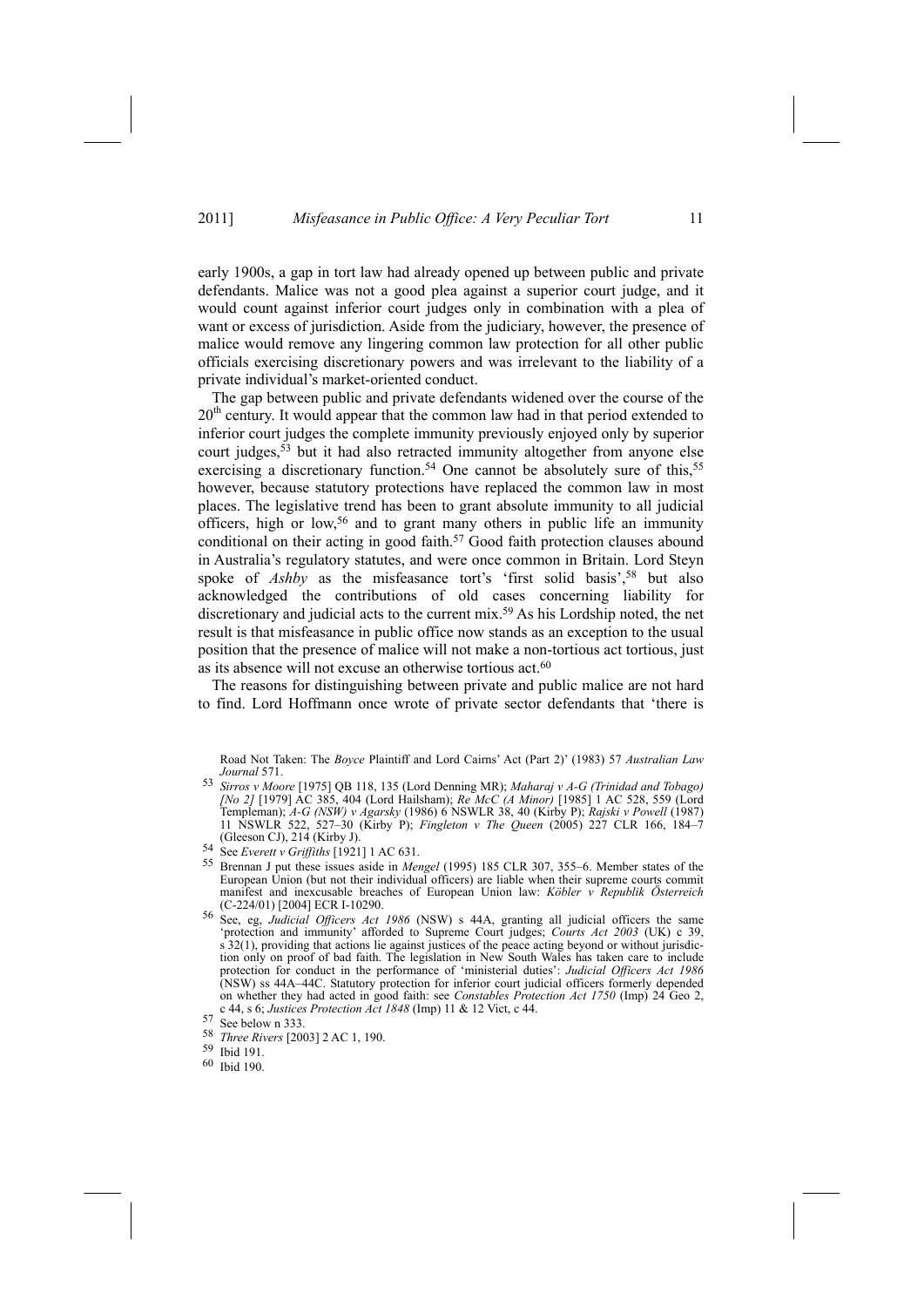early 1900s, a gap in tort law had already opened up between public and private defendants. Malice was not a good plea against a superior court judge, and it would count against inferior court judges only in combination with a plea of want or excess of jurisdiction. Aside from the judiciary, however, the presence of malice would remove any lingering common law protection for all other public officials exercising discretionary powers and was irrelevant to the liability of a private individual's market-oriented conduct.

The gap between public and private defendants widened over the course of the  $20<sup>th</sup>$  century. It would appear that the common law had in that period extended to inferior court judges the complete immunity previously enjoyed only by superior court judges,53 but it had also retracted immunity altogether from anyone else exercising a discretionary function.<sup>54</sup> One cannot be absolutely sure of this,<sup>55</sup> however, because statutory protections have replaced the common law in most places. The legislative trend has been to grant absolute immunity to all judicial officers, high or low,<sup>56</sup> and to grant many others in public life an immunity conditional on their acting in good faith.<sup>57</sup> Good faith protection clauses abound in Australia's regulatory statutes, and were once common in Britain. Lord Steyn spoke of *Ashby* as the misfeasance tort's 'first solid basis',<sup>58</sup> but also acknowledged the contributions of old cases concerning liability for discretionary and judicial acts to the current mix.59 As his Lordship noted, the net result is that misfeasance in public office now stands as an exception to the usual position that the presence of malice will not make a non-tortious act tortious, just as its absence will not excuse an otherwise tortious act.<sup>60</sup>

The reasons for distinguishing between private and public malice are not hard to find. Lord Hoffmann once wrote of private sector defendants that 'there is

Road Not Taken: The *Boyce* Plaintiff and Lord Cairns' Act (Part 2)' (1983) 57 *Australian Law Journal* 571.

- <sup>53</sup> *Sirros v Moore* [1975] QB 118, 135 (Lord Denning MR); *Maharaj v A-G (Trinidad and Tobago) [No 2]* [1979] AC 385, 404 (Lord Hailsham); *Re McC (A Minor)* [1985] 1 AC 528, 559 (Lord Templeman); *A-G (NSW) v Agarsky* (1986) 6 NSWLR 38, 40 (Kirby P); *Rajski v Powell* (1987) 11 NSWLR 522, 527–30 (Kirby P); *Fingleton v The Queen* (2005) 227 CLR 166, 184–7 (Gleeson CJ), 214 (Kirby J). 54 See *Everett <sup>v</sup> Griffiths* [1921] 1 AC 631.
- 
- 55 Brennan J put these issues aside in *Mengel* (1995) 185 CLR 307, 355–6. Member states of the European Union (but not their individual officers) are liable when their supreme courts commit manifest and inexcusable breaches of European Union law: *Köbler v Republik Österreich* (C-224/01) [2004] ECR I-10290. 56 See, eg, *Judicial Officers Act <sup>1986</sup>* (NSW) s 44A, granting all judicial officers the same
- 'protection and immunity' afforded to Supreme Court judges; *Courts Act 2003* (UK) c 39, s 32(1), providing that actions lie against justices of the peace acting beyond or without jurisdiction only on proof of bad faith. The legislation in New South Wales has taken care to include protection for conduct in the performance of 'ministerial duties': *Judicial Officers Act 1986* (NSW) ss 44A–44C. Statutory protection for inferior court judicial officers formerly depended on whether they had acted in good faith: see *Constables Protection Act 1750* (Imp) 24 Geo 2, c 44, s 6; *Justices Protection Act 1848* (Imp) 11 & 12 Vict, c 44.

 $57$  See below n 333

<sup>58</sup> *Three Rivers* [2003] 2 AC 1, 190.

<sup>59</sup> Ibid 191.

<sup>60</sup> Ibid 190.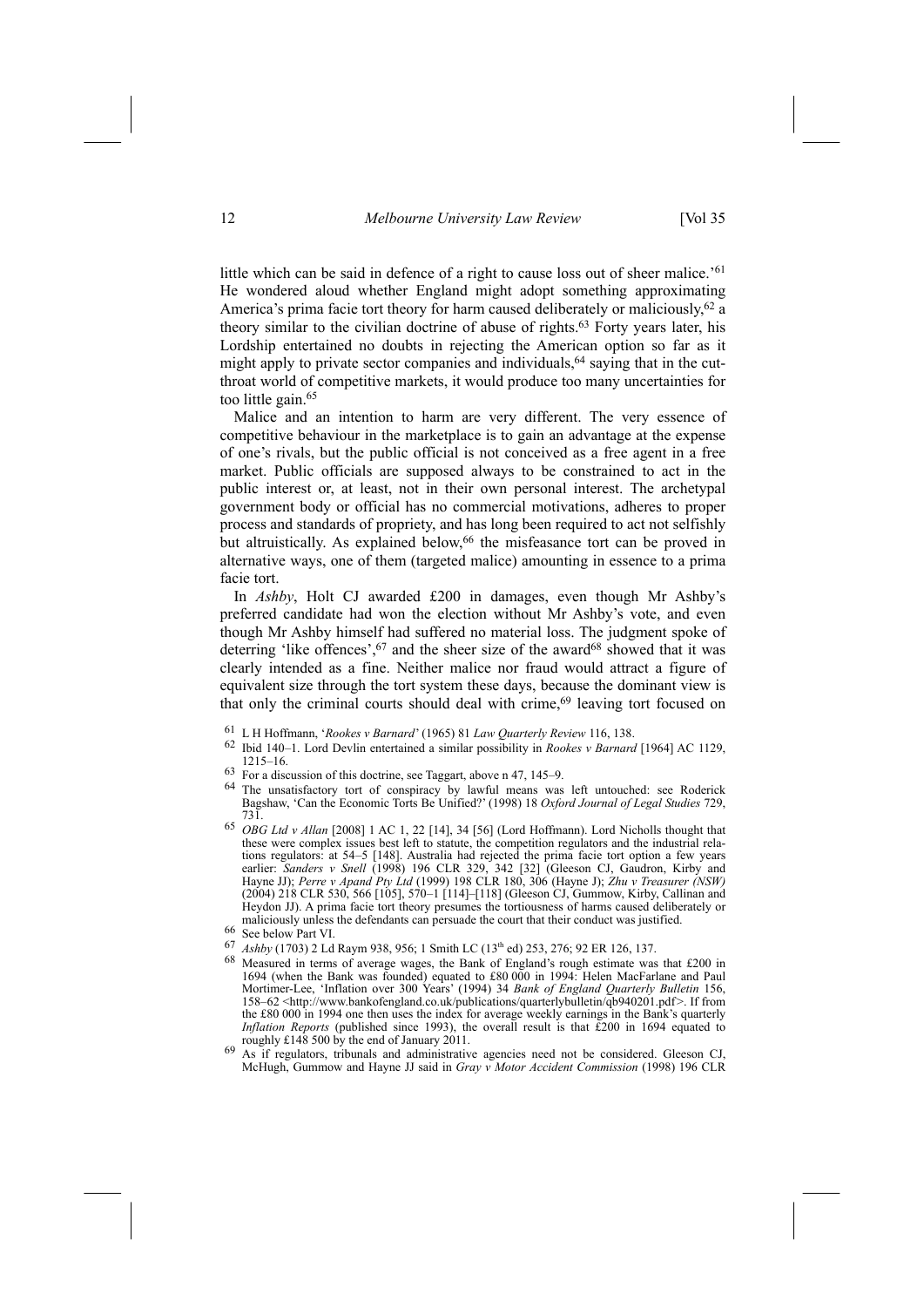little which can be said in defence of a right to cause loss out of sheer malice.'<sup>61</sup> He wondered aloud whether England might adopt something approximating America's prima facie tort theory for harm caused deliberately or maliciously,<sup>62</sup> a theory similar to the civilian doctrine of abuse of rights.63 Forty years later, his Lordship entertained no doubts in rejecting the American option so far as it might apply to private sector companies and individuals, <sup>64</sup> saying that in the cutthroat world of competitive markets, it would produce too many uncertainties for too little gain.<sup>65</sup>

Malice and an intention to harm are very different. The very essence of competitive behaviour in the marketplace is to gain an advantage at the expense of one's rivals, but the public official is not conceived as a free agent in a free market. Public officials are supposed always to be constrained to act in the public interest or, at least, not in their own personal interest. The archetypal government body or official has no commercial motivations, adheres to proper process and standards of propriety, and has long been required to act not selfishly but altruistically. As explained below,<sup>66</sup> the misfeasance tort can be proved in alternative ways, one of them (targeted malice) amounting in essence to a prima facie tort.

In *Ashby*, Holt CJ awarded £200 in damages, even though Mr Ashby's preferred candidate had won the election without Mr Ashby's vote, and even though Mr Ashby himself had suffered no material loss. The judgment spoke of deterring 'like offences',  $67$  and the sheer size of the award $68$  showed that it was clearly intended as a fine. Neither malice nor fraud would attract a figure of equivalent size through the tort system these days, because the dominant view is that only the criminal courts should deal with crime,<sup>69</sup> leaving tort focused on

- 61 L H Hoffmann, '*Rookes v Barnard*' (1965) 81 *Law Quarterly Review* 116, 138.
- 62 Ibid 140–1. Lord Devlin entertained a similar possibility in *Rookes v Barnard* [1964] AC 1129, 1215–16.<br>
63 For a discussion of this doctrine, see Taggart, above n 47, 145–9.
- 
- <sup>64</sup> The unsatisfactory tort of conspiracy by lawful means was left untouched: see Roderick Bagshaw, 'Can the Economic Torts Be Unified?' (1998) 18 *Oxford Journal of Legal Studies* 729, 731.
- <sup>65</sup> *OBG Ltd v Allan* [2008] 1 AC 1, 22 [14], 34 [56] (Lord Hoffmann). Lord Nicholls thought that these were complex issues best left to statute, the competition regulators and the industrial relations regulators: at 54–5 [148]. Australia had rejected the prima facie tort option a few years earlier: *Sanders v Snell* (1998) 196 CLR 329, 342 [32] (Gleeson CJ, Gaudron, Kirby and Hayne JJ); *Perre v Apand Pty Ltd* (1999) 198 CLR 180, 306 (Hayne J); *Zhu v Treasurer (NSW)* (2004) 218 CLR 530, 566 [105], 570–1 [114]–[118] (Gleeson CJ, Gummow, Kirby, Callinan and Heydon JJ). A prima facie tort theory presumes the tortiousness of harms caused deliberately or maliciously unless the defendants can persuade the court that their conduct was justified. 66 See below Part VI.
- 
- <sup>67</sup> *Ashby* (1703) 2 Ld Raym 938, 956; 1 Smith LC (13<sup>th</sup> ed) 253, 276; 92 ER 126, 137.<br><sup>68</sup> Measured in terms of average wages, the Bank of England's rough estimate was that £200 in 1694 (when the Bank was founded) equated to £80 000 in 1994: Helen MacFarlane and Paul Mortimer-Lee, 'Inflation over 300 Years' (1994) 34 *Bank of England Quarterly Bulletin* 156, 158–62 <http://www.bankofengland.co.uk/publications/quarterlybulletin/qb940201.pdf >. If from the £80 000 in 1994 one then uses the index for average weekly earnings in the Bank's quarterly *Inflation Reports* (published since 1993), the overall result is that £200 in 1694 equated to roughly £148 500 by the end of January 2011.
- <sup>69</sup> As if regulators, tribunals and administrative agencies need not be considered. Gleeson CJ, McHugh, Gummow and Hayne JJ said in *Gray v Motor Accident Commission* (1998) 196 CLR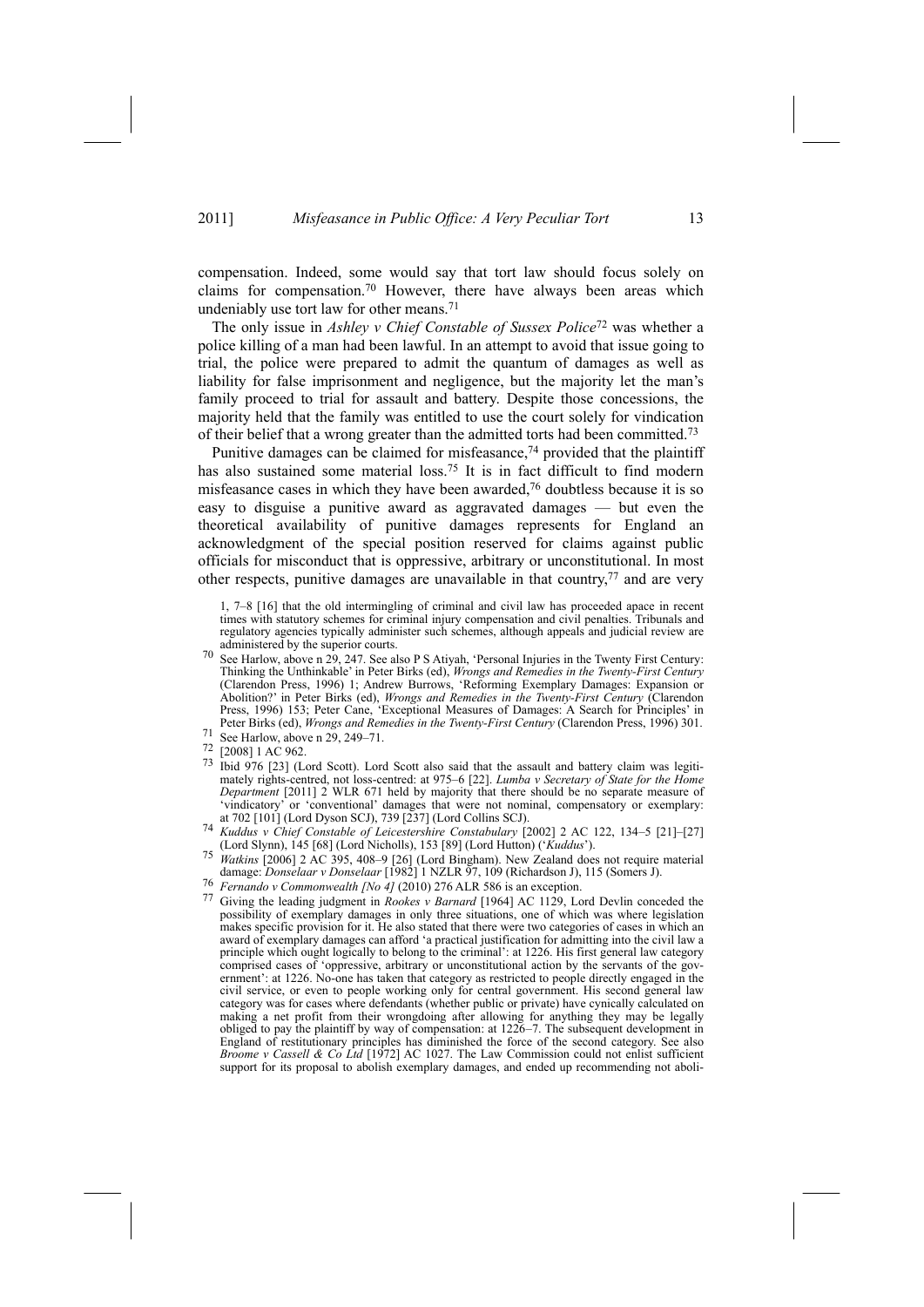compensation. Indeed, some would say that tort law should focus solely on claims for compensation.70 However, there have always been areas which undeniably use tort law for other means.<sup>71</sup>

The only issue in *Ashley v Chief Constable of Sussex Police*72 was whether a police killing of a man had been lawful. In an attempt to avoid that issue going to trial, the police were prepared to admit the quantum of damages as well as liability for false imprisonment and negligence, but the majority let the man's family proceed to trial for assault and battery. Despite those concessions, the majority held that the family was entitled to use the court solely for vindication of their belief that a wrong greater than the admitted torts had been committed.73

Punitive damages can be claimed for misfeasance,<sup>74</sup> provided that the plaintiff has also sustained some material loss.<sup>75</sup> It is in fact difficult to find modern misfeasance cases in which they have been awarded,76 doubtless because it is so easy to disguise a punitive award as aggravated damages — but even the theoretical availability of punitive damages represents for England an acknowledgment of the special position reserved for claims against public officials for misconduct that is oppressive, arbitrary or unconstitutional. In most other respects, punitive damages are unavailable in that country, $77$  and are very

1, 7–8 [16] that the old intermingling of criminal and civil law has proceeded apace in recent times with statutory schemes for criminal injury compensation and civil penalties. Tribunals and regulatory agencies typically administer such schemes, although appeals and judicial review are

- administered by the superior courts. 70 See Harlow, above n 29, 247. See also P S Atiyah, 'Personal Injuries in the Twenty First Century: Thinking the Unthinkable' in Peter Birks (ed), *Wrongs and Remedies in the Twenty-First Century* (Clarendon Press, 1996) 1; Andrew Burrows, 'Reforming Exemplary Damages: Expansion or Abolition?' in Peter Birks (ed), *Wrongs and Remedies in the Twenty-First Century* (Clarendon Press, 1996) 153; Peter Cane, 'Exceptional Measures of Damages: A Search for Principles' in Peter Birks (ed), *Wrongs* and *Remedies* in the *Twenty-First Century* (Clarendon Press, 1996) 301.<br>
71 See Harlow, above n 29, 249–71.<br>
72 1200911 AC 062
- 
- $^{72}$  [2008] 1 AC 962.
- 73 Ibid 976 [23] (Lord Scott). Lord Scott also said that the assault and battery claim was legitimately rights-centred, not loss-centred: at 975–6 [22]. *Lumba v Secretary of State for the Home Department* [2011] 2 WLR 671 held by majority that there should be no separate measure of 'vindicatory' or 'conventional' damages that were not nominal, compensatory or exemplary:<br>at 702 [101] (Lord Dyson SCJ), 739 [237] (Lord Collins SCJ).
- at 702 [101] (Lord Dyson SCJ), 739 [237] (Lord Collins SCJ). 74 *Kuddus <sup>v</sup> Chief Constable of Leicestershire Constabulary* [2002] 2 AC 122, 134–5 [21]–[27] (Lord Slynn), 145 [68] (Lord Nicholls), 153 [89] (Lord Hutton) ('*Kuddus*').
- <sup>75</sup> *Watkins* [2006] 2 AC 395, 408–9 [26] (Lord Bingham). New Zealand does not require material damage: *Donselaar <sup>v</sup> Donselaar* [1982] 1 NZLR 97, 109 (Richardson J), 115 (Somers J). 76 *Fernando <sup>v</sup> Commonwealth [No 4]* (2010) 276 ALR 586 is an exception.
- 
- 77 Giving the leading judgment in *Rookes v Barnard* [1964] AC 1129, Lord Devlin conceded the possibility of exemplary damages in only three situations, one of which was where legislation makes specific provision for it. He also stated that there were two categories of cases in which an award of exemplary damages can afford 'a practical justification for admitting into the civil law a principle which ought logically to belong to the criminal': at 1226. His first general law category comprised cases of 'oppressive, arbitrary or unconstitutional action by the servants of the government': at 1226. No-one has taken that category as restricted to people directly engaged in the civil service, or even to people working only for central government. His second general law category was for cases where defendants (whether public or private) have cynically calculated on making a net profit from their wrongdoing after allowing for anything they may be legally obliged to pay the plaintiff by way of compensation: at 1226–7. The subsequent development in England of restitutionary principles has diminished the force of the second category. See also *Broome v Cassell & Co Ltd* [1972] AC 1027. The Law Commission could not enlist sufficient support for its proposal to abolish exemplary damages, and ended up recommending not aboli-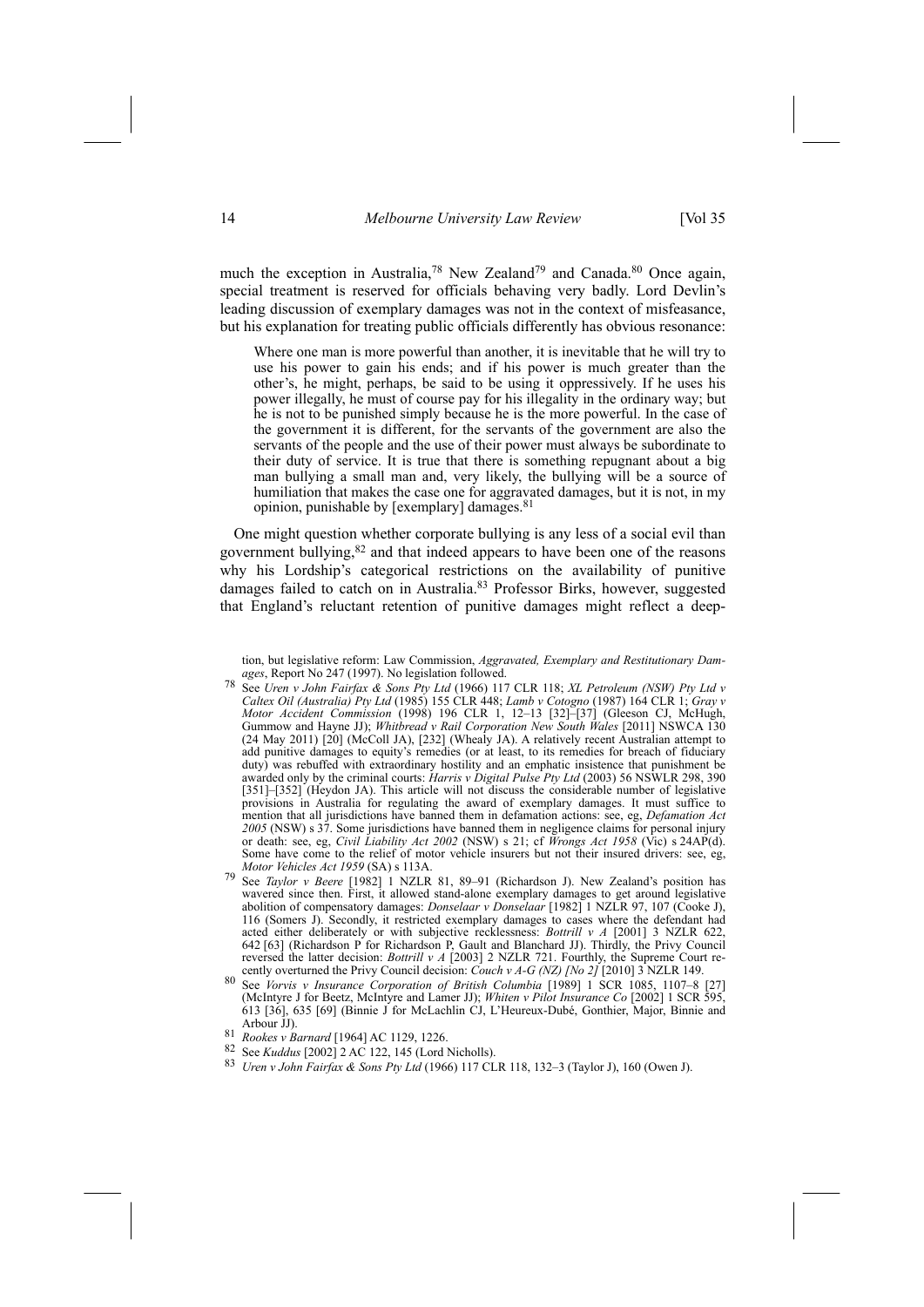much the exception in Australia,<sup>78</sup> New Zealand<sup>79</sup> and Canada.<sup>80</sup> Once again, special treatment is reserved for officials behaving very badly. Lord Devlin's leading discussion of exemplary damages was not in the context of misfeasance, but his explanation for treating public officials differently has obvious resonance:

Where one man is more powerful than another, it is inevitable that he will try to use his power to gain his ends; and if his power is much greater than the other's, he might, perhaps, be said to be using it oppressively. If he uses his power illegally, he must of course pay for his illegality in the ordinary way; but he is not to be punished simply because he is the more powerful. In the case of the government it is different, for the servants of the government are also the servants of the people and the use of their power must always be subordinate to their duty of service. It is true that there is something repugnant about a big man bullying a small man and, very likely, the bullying will be a source of humiliation that makes the case one for aggravated damages, but it is not, in my opinion, punishable by [exemplary] damages.<sup>81</sup>

One might question whether corporate bullying is any less of a social evil than government bullying,82 and that indeed appears to have been one of the reasons why his Lordship's categorical restrictions on the availability of punitive damages failed to catch on in Australia.83 Professor Birks, however, suggested that England's reluctant retention of punitive damages might reflect a deep-

tion, but legislative reform: Law Commission, *Aggravated, Exemplary and Restitutionary Damages*, Report No 247 (1997). No legislation followed.

- 78 See *Uren v John Fairfax & Sons Pty Ltd* (1966) 117 CLR 118; *XL Petroleum (NSW) Pty Ltd v Caltex Oil (Australia) Pty Ltd* (1985) 155 CLR 448; *Lamb v Cotogno* (1987) 164 CLR 1; *Gray v Motor Accident Commission* (1998) 196 CLR 1, 12–13 [32]–[37] (Gleeson CJ, McHugh, Gummow and Hayne JJ); *Whitbread v Rail Corporation New South Wales* [2011] NSWCA 130 (24 May 2011) [20] (McColl JA), [232] (Whealy JA). A relatively recent Australian attempt to add punitive damages to equity's remedies (or at least, to its remedies for breach of fiduciary duty) was rebuffed with extraordinary hostility and an emphatic insistence that punishment be awarded only by the criminal courts: *Harris v Digital Pulse Pty Ltd* (2003) 56 NSWLR 298, 390 [351]–[352] (Heydon JA). This article will not discuss the considerable number of legislative provisions in Australia for regulating the award of exemplary damages. It must suffice to mention that all jurisdictions have banned them in defamation actions: see, eg, *Defamation Act 2005* (NSW) s 37. Some jurisdictions have banned them in negligence claims for personal injury or death: see, eg, *Civil Liability Act 2002* (NSW) s 21; cf *Wrongs Act 1958* (Vic) s 24AP(d). Some have come to the relief of motor vehicle insurers but not their insured drivers: see, eg, Motor Vehicles Act 1959 (SA) s 113A.
- *Motor Vehicles Act 1959* (SA) s 113A.<br><sup>79</sup> See *Taylor v Beere* [1982] 1 NZLR 81, 89–91 (Richardson J). New Zealand's position has wavered since then. First, it allowed stand-alone exemplary damages to get around legislative abolition of compensatory damages: *Donselaar v Donselaar* [1982] 1 NZLR 97, 107 (Cooke J), 116 (Somers J). Secondly, it restricted exemplary damages to cases where the defendant had acted either deliberately or with subjective recklessness: *Bottrill v A* [2001] 3 NZLR 622, 642 [63] (Richardson P for Richardson P, Gault and Blanchard JJ). Thirdly, the Privy Council reversed the latter decision: *Bottrill v A* [2003] 2 NZLR 721. Fourthly, the Supreme Court recently overturned the Privy Council decision: *Couch v A-G (NZ) [No 2]* [2010] 3 NZLR 149.
- 80 See *Vorvis v Insurance Corporation of British Columbia* [1989] 1 SCR 1085, 1107–8 [27] (McIntyre J for Beetz, McIntyre and Lamer JJ); *Whiten v Pilot Insurance Co* [2002] 1 SCR 595, 613 [36], 635 [69] (Binnie J for McLachlin CJ, L'Heureux-Dubé, Gonthier, Major, Binnie and
- 
- 81 *Rookes v Barnard* [1964] AC 1129, 1226.<br><sup>82</sup> See *Kuddus* [2002] 2 AC 122, 145 (Lord Nicholls).
- 82 See *Kuddus* [2002] 2 AC 122, 145 (Lord Nicholls). 83 *Uren <sup>v</sup> John Fairfax & Sons Pty Ltd* (1966) 117 CLR 118, 132–3 (Taylor J), 160 (Owen J).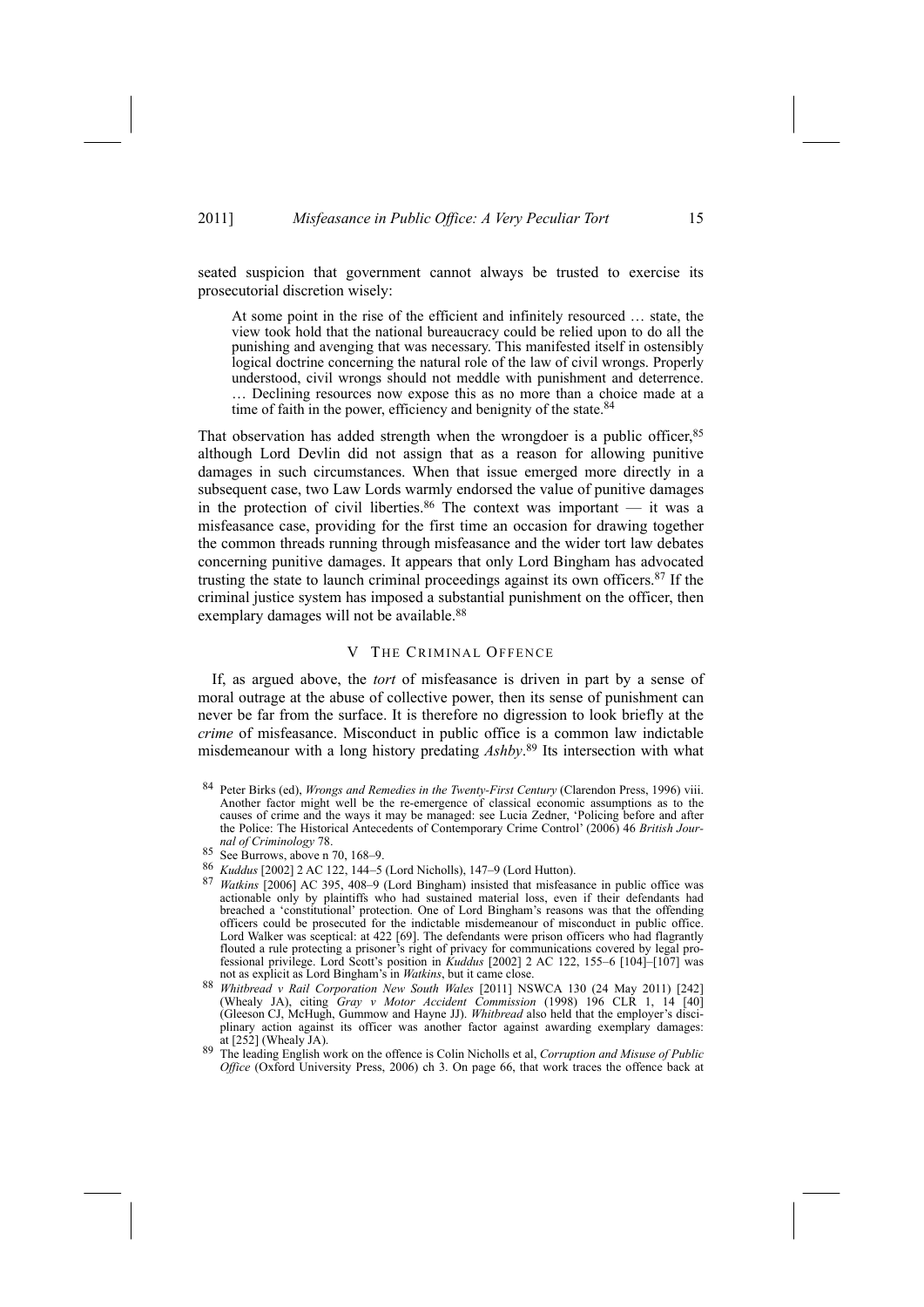seated suspicion that government cannot always be trusted to exercise its prosecutorial discretion wisely:

At some point in the rise of the efficient and infinitely resourced … state, the view took hold that the national bureaucracy could be relied upon to do all the punishing and avenging that was necessary. This manifested itself in ostensibly logical doctrine concerning the natural role of the law of civil wrongs. Properly understood, civil wrongs should not meddle with punishment and deterrence. … Declining resources now expose this as no more than a choice made at a time of faith in the power, efficiency and benignity of the state.<sup>84</sup>

That observation has added strength when the wrongdoer is a public officer, <sup>85</sup> although Lord Devlin did not assign that as a reason for allowing punitive damages in such circumstances. When that issue emerged more directly in a subsequent case, two Law Lords warmly endorsed the value of punitive damages in the protection of civil liberties.<sup>86</sup> The context was important — it was a misfeasance case, providing for the first time an occasion for drawing together the common threads running through misfeasance and the wider tort law debates concerning punitive damages. It appears that only Lord Bingham has advocated trusting the state to launch criminal proceedings against its own officers.87 If the criminal justice system has imposed a substantial punishment on the officer, then exemplary damages will not be available.<sup>88</sup>

# V THE CRIMINAL OFFENCE

If, as argued above, the *tort* of misfeasance is driven in part by a sense of moral outrage at the abuse of collective power, then its sense of punishment can never be far from the surface. It is therefore no digression to look briefly at the *crime* of misfeasance. Misconduct in public office is a common law indictable misdemeanour with a long history predating *Ashby*. 89 Its intersection with what

<sup>84</sup> Peter Birks (ed), *Wrongs and Remedies in the Twenty-First Century* (Clarendon Press, 1996) viii. Another factor might well be the re-emergence of classical economic assumptions as to the causes of crime and the ways it may be managed: see Lucia Zedner, 'Policing before and after the Police: The Historical Antecedents of Contemporary Crime Control' (2006) 46 *British Journal of Criminology* 78.

<sup>85</sup> See Burrows, above n 70, 168–9.<br>86 *Kuddus* [2002] 2 AC 122, 144–5 (Lord Nicholls), 147–9 (Lord Hutton).

<sup>87</sup> *Watkins* [2006] AC 395, 408–9 (Lord Bingham) insisted that misfeasance in public office was actionable only by plaintiffs who had sustained material loss, even if their defendants had breached a 'constitutional' protection. One of Lord Bingham's reasons was that the offending officers could be prosecuted for the indictable misdemeanour of misconduct in public office. Lord Walker was sceptical: at 422 [69]. The defendants were prison officers who had flagrantly flouted a rule protecting a prisoner's right of privacy for communications covered by legal professional privilege. Lord Scott's position in *Kuddus* [2002] 2 AC 122, 155–6 [104]–[107] was not as explicit as Lord Bingham's in *Watkins*, but it came close.

<sup>88</sup> *Whitbread v Rail Corporation New South Wales* [2011] NSWCA 130 (24 May 2011) [242] (Whealy JA), citing *Gray v* Motor *Accident Commission* (1998) 196 CLR 1, 14 (Gleeson CJ, McHugh, Gummow and Hayne JJ). *Whitbread* also held that the employer's disciplinary action against its officer was another factor against awarding exemplary damages: at [252] (Whealy JA).

at [252] (Whealy JA). 89 The leading English work on the offence is Colin Nicholls et al, *Corruption and Misuse of Public Office* (Oxford University Press, 2006) ch 3. On page 66, that work traces the offence back at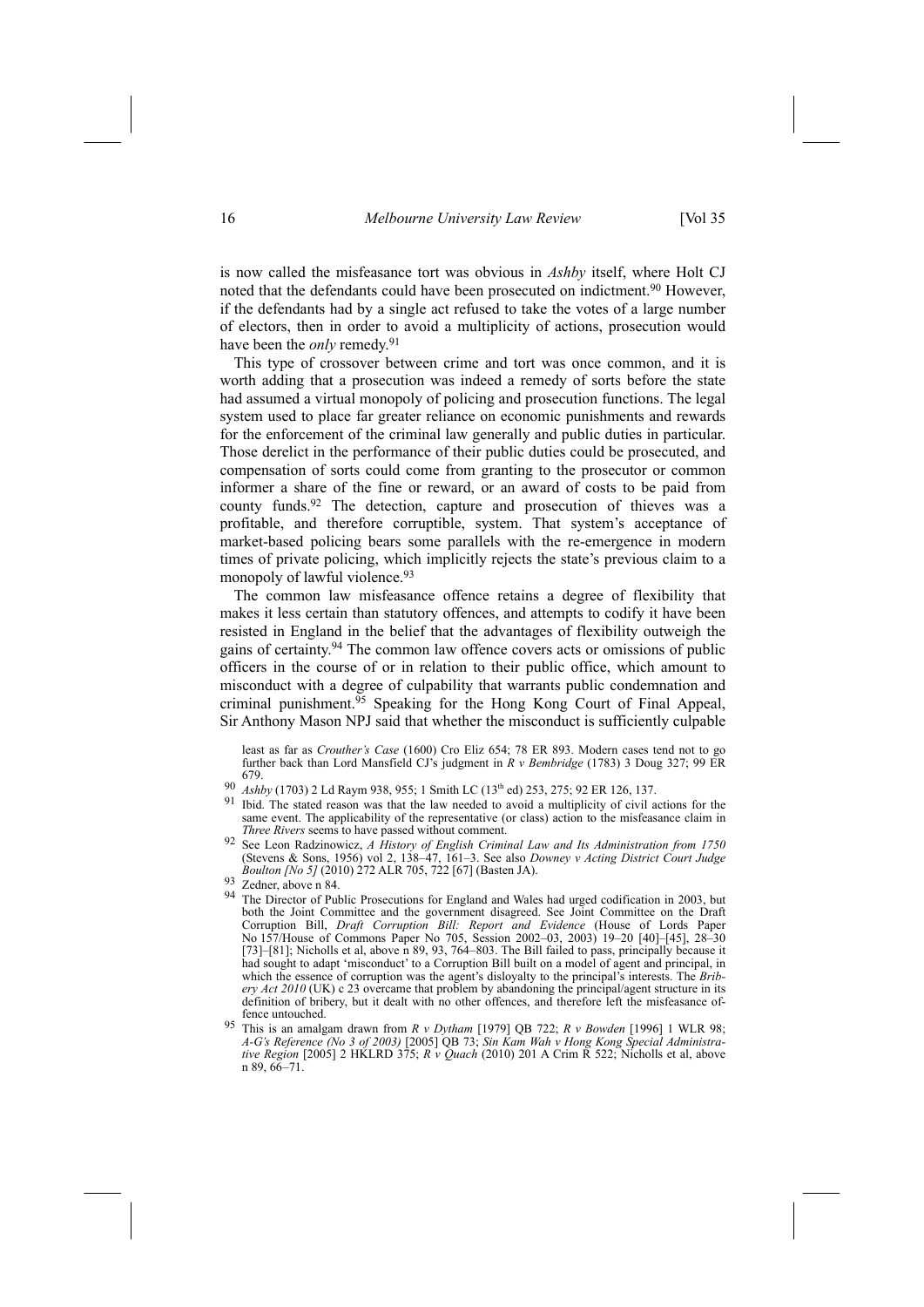is now called the misfeasance tort was obvious in *Ashby* itself, where Holt CJ noted that the defendants could have been prosecuted on indictment.<sup>90</sup> However, if the defendants had by a single act refused to take the votes of a large number of electors, then in order to avoid a multiplicity of actions, prosecution would have been the *only* remedy.<sup>91</sup>

This type of crossover between crime and tort was once common, and it is worth adding that a prosecution was indeed a remedy of sorts before the state had assumed a virtual monopoly of policing and prosecution functions. The legal system used to place far greater reliance on economic punishments and rewards for the enforcement of the criminal law generally and public duties in particular. Those derelict in the performance of their public duties could be prosecuted, and compensation of sorts could come from granting to the prosecutor or common informer a share of the fine or reward, or an award of costs to be paid from county funds.92 The detection, capture and prosecution of thieves was a profitable, and therefore corruptible, system. That system's acceptance of market-based policing bears some parallels with the re-emergence in modern times of private policing, which implicitly rejects the state's previous claim to a monopoly of lawful violence.<sup>93</sup>

The common law misfeasance offence retains a degree of flexibility that makes it less certain than statutory offences, and attempts to codify it have been resisted in England in the belief that the advantages of flexibility outweigh the gains of certainty.94 The common law offence covers acts or omissions of public officers in the course of or in relation to their public office, which amount to misconduct with a degree of culpability that warrants public condemnation and criminal punishment.<sup>95</sup> Speaking for the Hong Kong Court of Final Appeal, Sir Anthony Mason NPJ said that whether the misconduct is sufficiently culpable

least as far as *Crouther's Case* (1600) Cro Eliz 654; 78 ER 893. Modern cases tend not to go further back than Lord Mansfield CJ's judgment in *R v Bembridge* (1783) 3 Doug 327; 99 ER

- 679.<br>Ashby (1703) 2 Ld Raym 938, 955; 1 Smith LC (13<sup>th</sup> ed) 253, 275; 92 ER 126, 137. 90 *Ashby* (1703) 2 Ld Raym 938, 955; 1 Smith LC (13<sup>th</sup> ed) 253, 275; 92 ER 126, 137.<br>91 Ibid. The stated reason was that the law needed to avoid a multiplicity of civil actions for the
- same event. The applicability of the representative (or class) action to the misfeasance claim in Three Rivers seems to have passed without comment.
- See Leon Radzinowicz, A History of English Criminal Law and Its Administration from 1750 (Stevens & Sons, 1956) vol 2, 138–47, 161–3. See also *Downey v Acting District Court Judge Boulton [No 5]* (2010) 272 ALR 705, 722 [67] (Basten JA). 93 Zedner, above n 84.
- 
- <sup>93</sup> Zedner, above n 84.<br><sup>94</sup> The Director of Public Prosecutions for England and Wales had urged codification in 2003, but both the Joint Committee and the government disagreed. See Joint Committee on the Draft Corruption Bill, *Draft Corruption Bill: Report and Evidence* (House of Lords Paper No 157/House of Commons Paper No 705, Session 2002–03, 2003) 19–20 [40]–[45], 28–30 [73]–[81]; Nicholls et al, above n 89, 93, 764–803. The Bill failed to pass, principally because it had sought to adapt 'misconduct' to a Corruption Bill built on a model of agent and principal, in which the essence of corruption was the agent's disloyalty to the principal's interests. The *Bribery Act 2010* (UK) c 23 overcame that problem by abandoning the principal/agent structure in its definition of bribery, but it dealt with no other offences, and therefore left the misfeasance offence untouched.
- 95 This is an amalgam drawn from *R v Dytham* [1979] QB 722; *R v Bowden* [1996] 1 WLR 98; *A-G's Reference (No 3 of 2003)* [2005] QB 73; *Sin Kam Wah v Hong Kong Special Administrative Region* [2005] 2 HKLRD 375; *R v Quach* (2010) 201 A Crim R 522; Nicholls et al, above n 89, 66–71.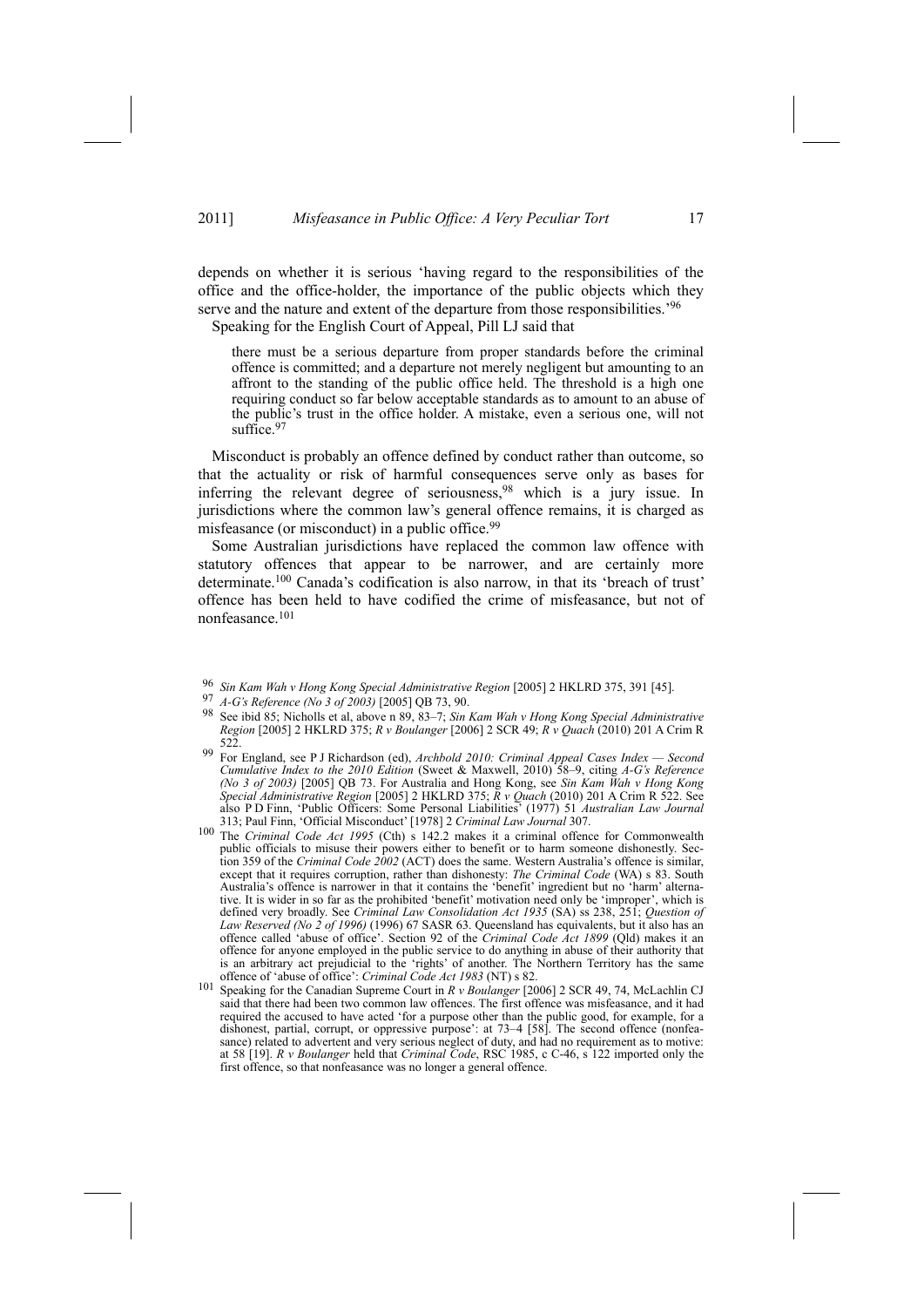depends on whether it is serious 'having regard to the responsibilities of the office and the office-holder, the importance of the public objects which they serve and the nature and extent of the departure from those responsibilities.'96

Speaking for the English Court of Appeal, Pill LJ said that

there must be a serious departure from proper standards before the criminal offence is committed; and a departure not merely negligent but amounting to an affront to the standing of the public office held. The threshold is a high one requiring conduct so far below acceptable standards as to amount to an abuse of the public's trust in the office holder. A mistake, even a serious one, will not suffice.<sup>97</sup>

Misconduct is probably an offence defined by conduct rather than outcome, so that the actuality or risk of harmful consequences serve only as bases for inferring the relevant degree of seriousness,  $98$  which is a jury issue. In jurisdictions where the common law's general offence remains, it is charged as misfeasance (or misconduct) in a public office.<sup>99</sup>

Some Australian jurisdictions have replaced the common law offence with statutory offences that appear to be narrower, and are certainly more determinate.100 Canada's codification is also narrow, in that its 'breach of trust' offence has been held to have codified the crime of misfeasance, but not of nonfeasance.101

- <sup>96</sup> *Sin Kam Wah v Hong Kong Special Administrative Region* [2005] 2 HKLRD 375, 391 [45].
- <sup>97</sup> *A-G's Reference (No 3 of 2003)* [2005] QB 73, 90.
- 98 See ibid 85; Nicholls et al, above n 89, 83–7; *Sin Kam Wah v Hong Kong Special Administrative Region* [2005] 2 HKLRD 375; *R v Boulanger* [2006] 2 SCR 49; *R v Quach* (2010) 201 A Crim R 522.
- 99 For England, see P J Richardson (ed), *Archbold 2010: Criminal Appeal Cases Index — Second Cumulative Index to the 2010 Edition* (Sweet & Maxwell, 2010) 58–9, citing *A-G's Reference (No 3 of 2003)* [2005] QB 73. For Australia and Hong Kong, see *Sin Kam Wah v Hong Kong Special Administrative Region* [2005] 2 HKLRD 375; *R v Quach* (2010) 201 A Crim R 522. See also P D Finn, 'Public Officers: Some Personal Liabilities' (1977) 51 *Australian Law Journal* 313; Paul Finn, 'Official Misconduct' [1978] 2 *Criminal Law Journal* 307.
- 100 The *Criminal Code Act 1995* (Cth) s 142.2 makes it a criminal offence for Commonwealth public officials to misuse their powers either to benefit or to harm someone dishonestly. Section 359 of the *Criminal Code 2002* (ACT) does the same. Western Australia's offence is similar, except that it requires corruption, rather than dishonesty: *The Criminal Code* (WA) s 83. South Australia's offence is narrower in that it contains the 'benefit' ingredient but no 'harm' alternative. It is wider in so far as the prohibited 'benefit' motivation need only be 'improper', which is defined very broadly. See *Criminal Law Consolidation Act 1935* (SA) ss 238, 251; *Question of Law Reserved (No 2 of 1996)* (1996) 67 SASR 63. Queensland has equivalents, but it also has an offence called 'abuse of office'. Section 92 of the *Criminal Code Act 1899* (Qld) makes it an offence for anyone employed in the public service to do anything in abuse of their authority that is an arbitrary act prejudicial to the 'rights' of another. The Northern Territory has the same<br>of offence of 'abuse of office': *Criminal Code Act 1983* (NT) s 82.
- <sup>101</sup> Speaking for the Canadian Supreme Court in *R v Boulanger* [2006] 2 SCR 49, 74, McLachlin CJ said that there had been two common law offences. The first offence was misfeasance, and it had required the accused to have acted 'for a purpose other than the public good, for example, for a dishonest, partial, corrupt, or oppressive purpose': at 73–4 [58]. The second offence (nonfeasance) related to advertent and very serious neglect of duty, and had no requirement as to motive: at 58 [19]. *R v Boulanger* held that *Criminal Code*, RSC 1985, c C-46, s 122 imported only the first offence, so that nonfeasance was no longer a general offence.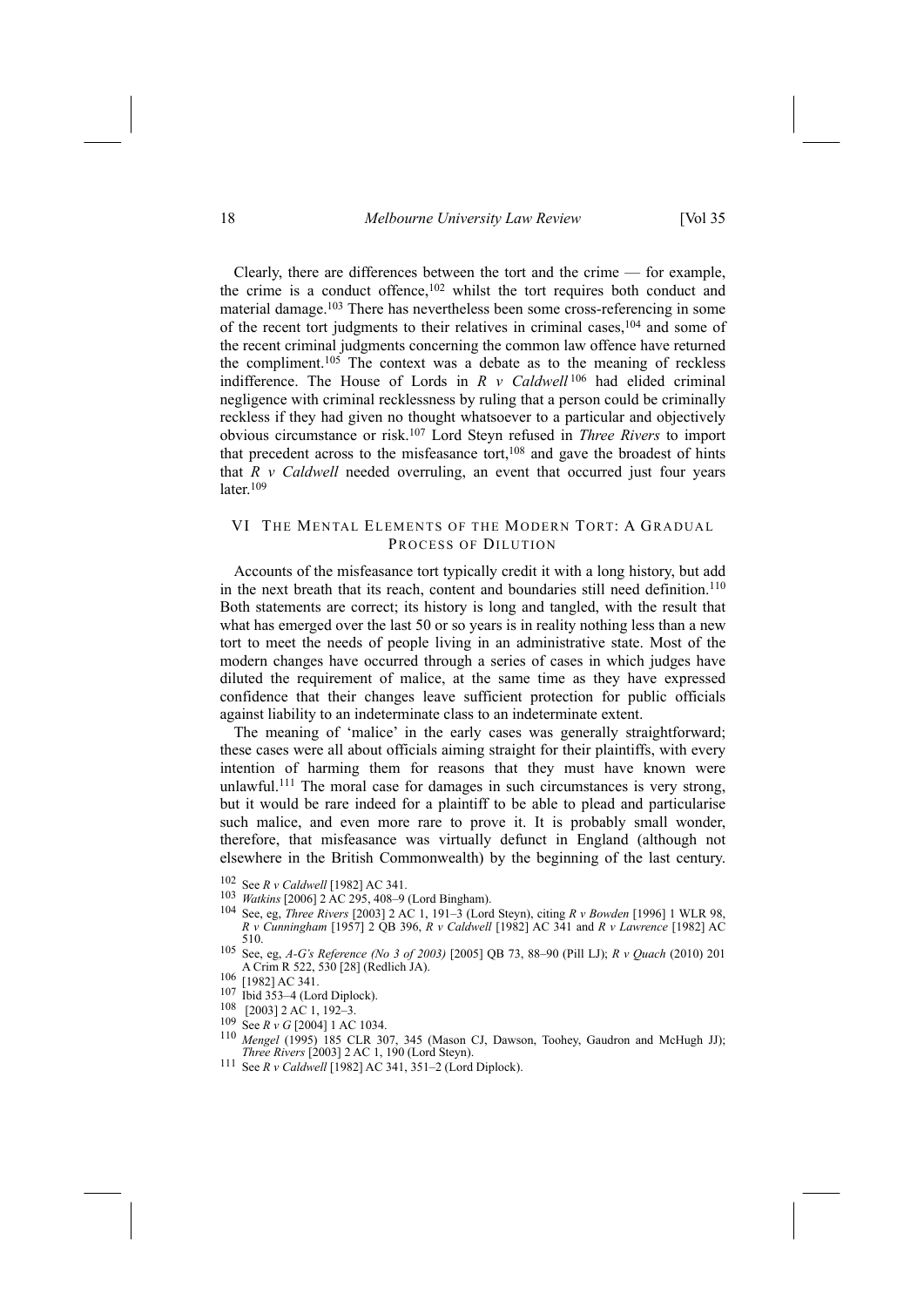18 *Melbourne University Law Review* [Vol 35

Clearly, there are differences between the tort and the crime — for example, the crime is a conduct offence,<sup>102</sup> whilst the tort requires both conduct and material damage.103 There has nevertheless been some cross-referencing in some of the recent tort judgments to their relatives in criminal cases,<sup>104</sup> and some of the recent criminal judgments concerning the common law offence have returned the compliment.105 The context was a debate as to the meaning of reckless indifference. The House of Lords in *R v Caldwell* 106 had elided criminal negligence with criminal recklessness by ruling that a person could be criminally reckless if they had given no thought whatsoever to a particular and objectively obvious circumstance or risk.107 Lord Steyn refused in *Three Rivers* to import that precedent across to the misfeasance tort,<sup>108</sup> and gave the broadest of hints that  $R$   $\nu$  *Caldwell* needed overruling, an event that occurred just four years later $109$ 

# VI THE MENTAL ELEMENTS OF THE MODERN TORT: A GRADUAL PROCESS OF DILUTION

Accounts of the misfeasance tort typically credit it with a long history, but add in the next breath that its reach, content and boundaries still need definition.<sup>110</sup> Both statements are correct; its history is long and tangled, with the result that what has emerged over the last 50 or so years is in reality nothing less than a new tort to meet the needs of people living in an administrative state. Most of the modern changes have occurred through a series of cases in which judges have diluted the requirement of malice, at the same time as they have expressed confidence that their changes leave sufficient protection for public officials against liability to an indeterminate class to an indeterminate extent.

The meaning of 'malice' in the early cases was generally straightforward; these cases were all about officials aiming straight for their plaintiffs, with every intention of harming them for reasons that they must have known were unlawful.<sup>111</sup> The moral case for damages in such circumstances is very strong, but it would be rare indeed for a plaintiff to be able to plead and particularise such malice, and even more rare to prove it. It is probably small wonder, therefore, that misfeasance was virtually defunct in England (although not elsewhere in the British Commonwealth) by the beginning of the last century.

- 
- 102 See *R v Caldwell* [1982] AC 341.
- <sup>103</sup> *Watkins* [2006] 2 AC 295, 408–9 (Lord Bingham). 104 See, eg, *Three Rivers* [2003] 2 AC 1, 191–3 (Lord Steyn), citing *<sup>R</sup> <sup>v</sup> Bowden* [1996] 1 WLR 98, *R v Cunningham* [1957] 2 QB 396, *R v Caldwell* [1982] AC 341 and *R v Lawrence* [1982] AC 510.
- 105 See, eg, *A-G's Reference (No 3 of 2003)* [2005] QB 73, 88–90 (Pill LJ); *R v Quach* (2010) 201 A Crim R 522, 530 [28] (Redlich JA). 106 [1982] AC 341.
- 
- 107 Ibid 353–4 (Lord Diplock). 108 [2003] 2 AC 1, 192–3.
- 
- $109 \text{ See } R \text{ } v \text{ } G$  [2004] 1 AC 1034.
- <sup>110</sup> *Mengel* (1995) 185 CLR 307, 345 (Mason CJ, Dawson, Toohey, Gaudron and McHugh JJ);
- *Three R v Caldwell* [1982] AC 341, 351–2 (Lord Diplock).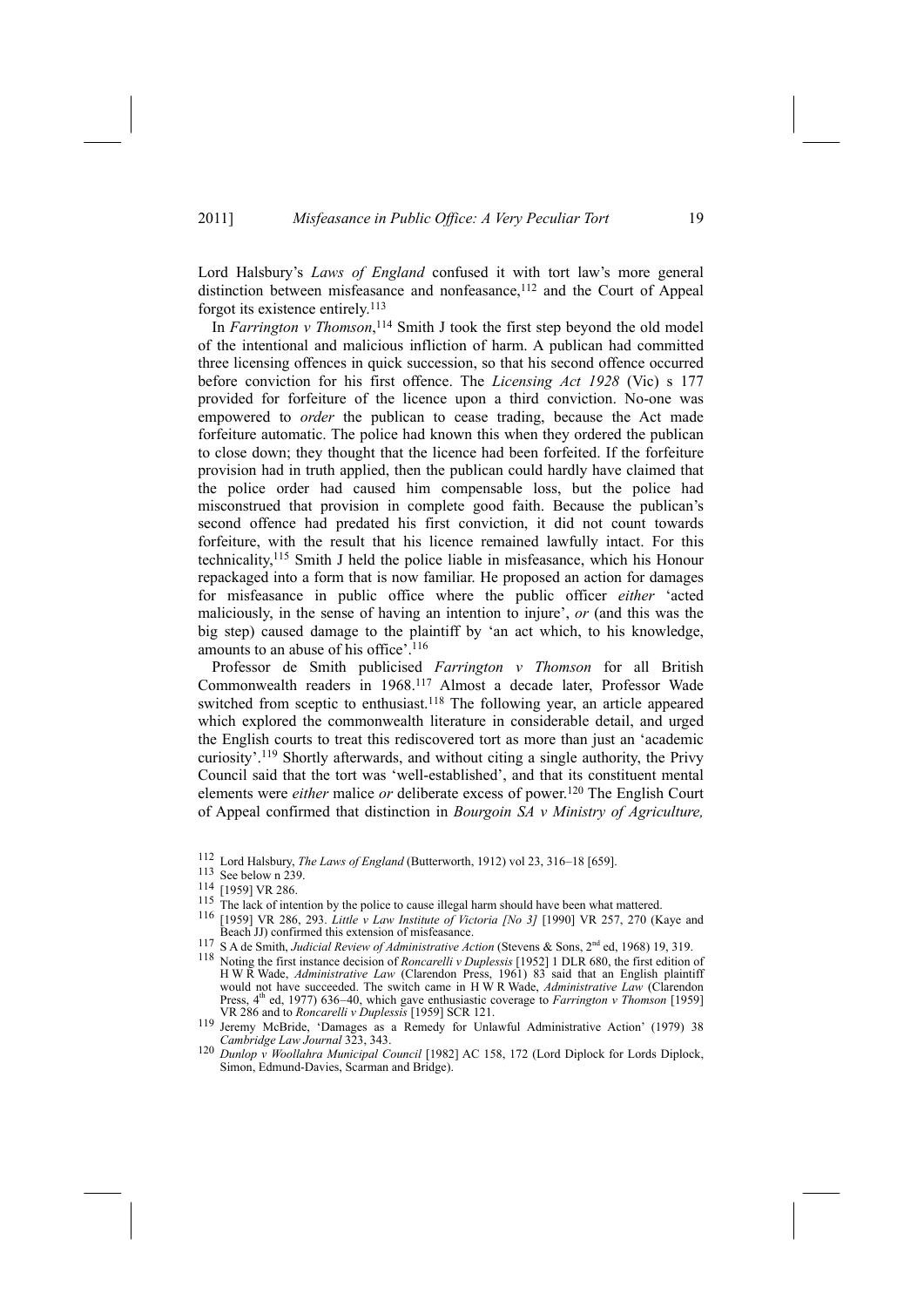Lord Halsbury's *Laws of England* confused it with tort law's more general distinction between misfeasance and nonfeasance,<sup>112</sup> and the Court of Appeal forgot its existence entirely.113

In *Farrington v Thomson*, 114 Smith J took the first step beyond the old model of the intentional and malicious infliction of harm. A publican had committed three licensing offences in quick succession, so that his second offence occurred before conviction for his first offence. The *Licensing Act 1928* (Vic) s 177 provided for forfeiture of the licence upon a third conviction. No-one was empowered to *order* the publican to cease trading, because the Act made forfeiture automatic. The police had known this when they ordered the publican to close down; they thought that the licence had been forfeited. If the forfeiture provision had in truth applied, then the publican could hardly have claimed that the police order had caused him compensable loss, but the police had misconstrued that provision in complete good faith. Because the publican's second offence had predated his first conviction, it did not count towards forfeiture, with the result that his licence remained lawfully intact. For this technicality,115 Smith J held the police liable in misfeasance, which his Honour repackaged into a form that is now familiar. He proposed an action for damages for misfeasance in public office where the public officer *either* 'acted maliciously, in the sense of having an intention to injure', *or* (and this was the big step) caused damage to the plaintiff by 'an act which, to his knowledge, amounts to an abuse of his office'.116

Professor de Smith publicised *Farrington v Thomson* for all British Commonwealth readers in 1968.117 Almost a decade later, Professor Wade switched from sceptic to enthusiast.<sup>118</sup> The following year, an article appeared which explored the commonwealth literature in considerable detail, and urged the English courts to treat this rediscovered tort as more than just an 'academic curiosity'.119 Shortly afterwards, and without citing a single authority, the Privy Council said that the tort was 'well-established', and that its constituent mental elements were *either* malice *or* deliberate excess of power.120 The English Court of Appeal confirmed that distinction in *Bourgoin SA v Ministry of Agriculture,*

<sup>115</sup> The lack of intention by the police to cause illegal harm should have been what mattered.<br><sup>116</sup> [1959] VR 286, 293. *Little v Law Institute of Victoria [No 3]* [1990] VR 257, 270 (Kaye and Beach JJ) confirmed this e

<sup>112</sup> Lord Halsbury, *The Laws of England* (Butterworth, 1912) vol 23, 316–18 [659]. 113 See below n 239.

<sup>114 [1959]</sup> VR 286.

<sup>&</sup>lt;sup>117</sup> S A de Smith, *Judicial Review of Administrative Action* (Stevens & Sons, 2<sup>nd</sup> ed, 1968) 19, 319.<br><sup>118</sup> Noting the first instance decision of *Roncarelli v Duplessis* [1952] 1 DLR 680, the first edition of H W R Wade, *Administrative Law* (Clarendon Press, 1961) 83 said that an English plaintiff would not have succeeded. The switch came in H W R Wade, *Administrative Law* (Clarendon Press, 4<sup>th</sup> ed, 1977) 636–40, which gave enthusiastic coverage to *Farrington v Thomson* [1959] VR 286 and to *Roncarelli v Duplessis* [1959] SCR 121.

Jeremy McBride, 'Damages as a Remedy for Unlawful Administrative Action' (1979) 38 *Cambridge Law Journal* 323, 343.

<sup>120</sup> *Dunlop v Woollahra Municipal Council* [1982] AC 158, 172 (Lord Diplock for Lords Diplock, Simon, Edmund-Davies, Scarman and Bridge).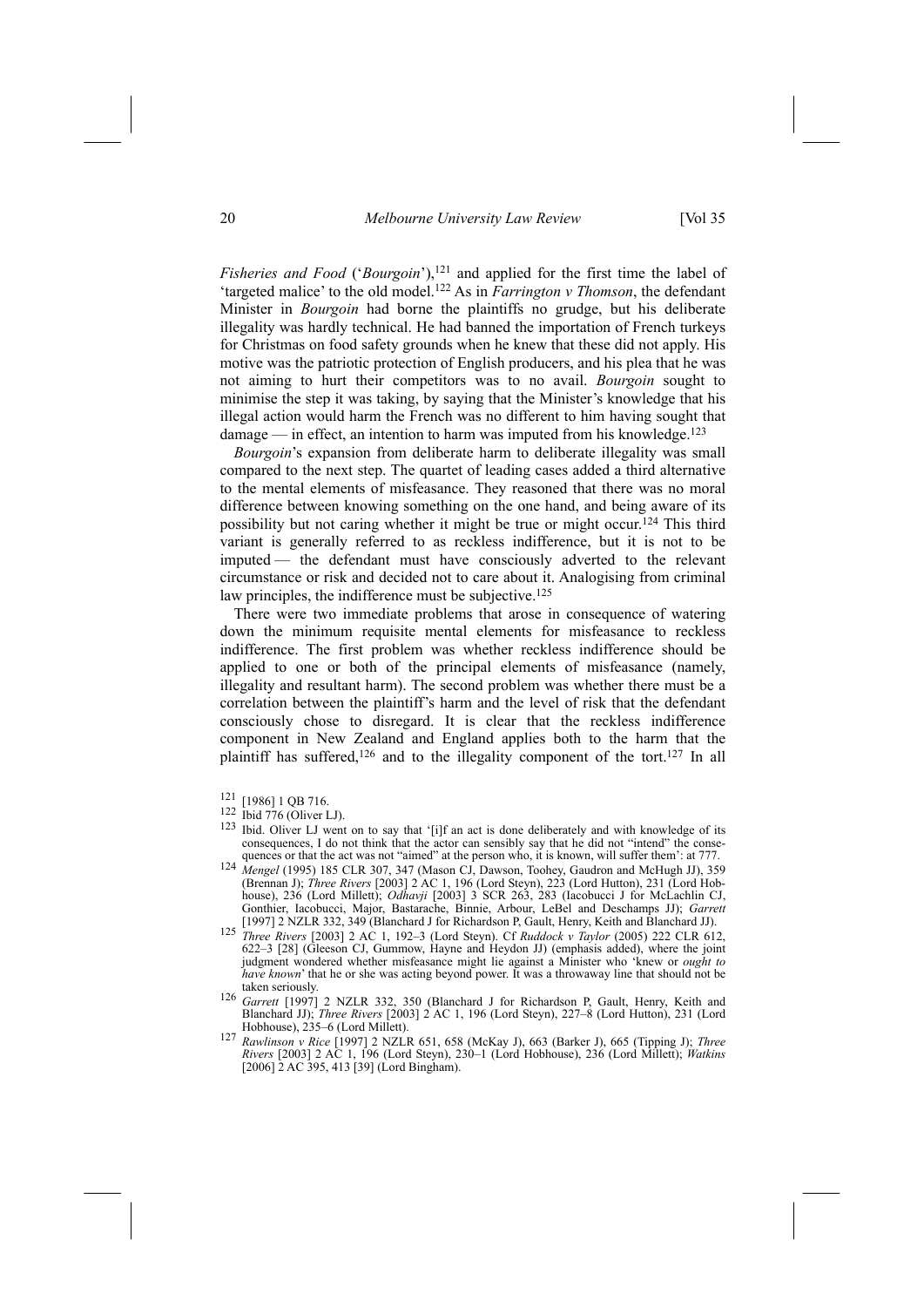# 20 *Melbourne University Law Review* [Vol 35

*Fisheries and Food* ('*Bourgoin*'),<sup>121</sup> and applied for the first time the label of 'targeted malice' to the old model.122 As in *Farrington v Thomson*, the defendant Minister in *Bourgoin* had borne the plaintiffs no grudge, but his deliberate illegality was hardly technical. He had banned the importation of French turkeys for Christmas on food safety grounds when he knew that these did not apply. His motive was the patriotic protection of English producers, and his plea that he was not aiming to hurt their competitors was to no avail. *Bourgoin* sought to minimise the step it was taking, by saying that the Minister's knowledge that his illegal action would harm the French was no different to him having sought that damage — in effect, an intention to harm was imputed from his knowledge.<sup>123</sup>

*Bourgoin*'s expansion from deliberate harm to deliberate illegality was small compared to the next step. The quartet of leading cases added a third alternative to the mental elements of misfeasance. They reasoned that there was no moral difference between knowing something on the one hand, and being aware of its possibility but not caring whether it might be true or might occur.124 This third variant is generally referred to as reckless indifference, but it is not to be imputed — the defendant must have consciously adverted to the relevant circumstance or risk and decided not to care about it. Analogising from criminal law principles, the indifference must be subjective.<sup>125</sup>

There were two immediate problems that arose in consequence of watering down the minimum requisite mental elements for misfeasance to reckless indifference. The first problem was whether reckless indifference should be applied to one or both of the principal elements of misfeasance (namely, illegality and resultant harm). The second problem was whether there must be a correlation between the plaintiff's harm and the level of risk that the defendant consciously chose to disregard. It is clear that the reckless indifference component in New Zealand and England applies both to the harm that the plaintiff has suffered,<sup>126</sup> and to the illegality component of the tort.<sup>127</sup> In all

- quences or that the act was not "aimed" at the person who, it is known, will suffer them': at 777.<br><sup>124</sup> *Mengel* (1995) 185 CLR 307, 347 (Mason CJ, Dawson, Toohey, Gaudron and McHugh JJ), 359 (Brennan J); *Three Rivers* [2003] 2 AC 1, 196 (Lord Steyn), 223 (Lord Hutton), 231 (Lord Hobhouse), 236 (Lord Millett); *Odhavji* [2003] 3 SCR 263, 283 (Iacobucci J for McLachlin CJ, Gonthier, Iacobucci, Major, Bastarache, Binnie, Arbour, LeBel and Deschamps JJ); *Garrett*
- [1997] 2 NZLR 332, 349 (Blanchard J for Richardson P, Gault, Henry, Keith and Blanchard JJ). 125 *Three Rivers* [2003] 2 AC 1, 192–3 (Lord Steyn). Cf *Ruddock <sup>v</sup> Taylor* (2005) 222 CLR 612, 622–3 [28] (Gleeson CJ, Gummow, Hayne and Heydon JJ) (emphasis added), where the joint judgment wondered whether misfeasance might lie against a Minister who 'knew or *ought to have known*' that he or she was acting beyond power. It was a throwaway line that should not be taken seriously. 126 *Garrett* [1997] 2 NZLR 332, 350 (Blanchard J for Richardson P, Gault, Henry, Keith and
- Blanchard JJ); *Three Rivers* [2003] 2 AC 1, 196 (Lord Steyn), 227–8 (Lord Hutton), 231 (Lord Hobhouse), 235–6 (Lord Millett).
- Hobhouse), 235–6 (Lord Millett). 127 *Rawlinson <sup>v</sup> Rice* [1997] 2 NZLR 651, 658 (McKay J), 663 (Barker J), 665 (Tipping J); *Three Rivers* [2003] 2 AC 1, 196 (Lord Steyn), 230–1 (Lord Hobhouse), 236 (Lord Millett); *Watkins* [2006] 2 AC 395, 413 [39] (Lord Bingham).

<sup>&</sup>lt;sup>121</sup> [1986] 1 QB 716.<br><sup>122</sup> Ibid 776 (Oliver LJ).

<sup>&</sup>lt;sup>123</sup> Ibid. Oliver LJ went on to say that '[i]f an act is done deliberately and with knowledge of its consequences, I do not think that the actor can sensibly say that he did not "intend" the conse-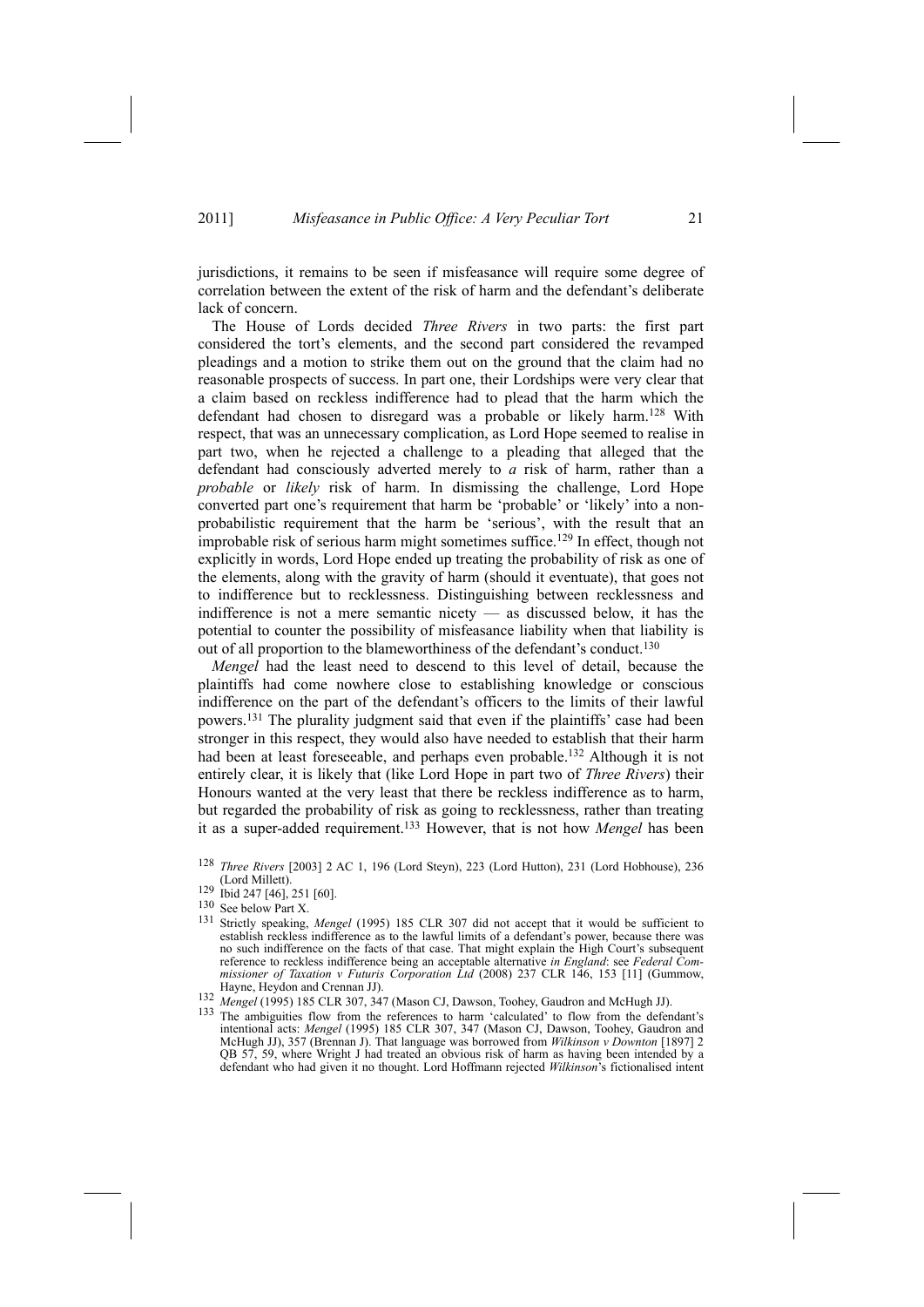jurisdictions, it remains to be seen if misfeasance will require some degree of correlation between the extent of the risk of harm and the defendant's deliberate lack of concern.

The House of Lords decided *Three Rivers* in two parts: the first part considered the tort's elements, and the second part considered the revamped pleadings and a motion to strike them out on the ground that the claim had no reasonable prospects of success. In part one, their Lordships were very clear that a claim based on reckless indifference had to plead that the harm which the defendant had chosen to disregard was a probable or likely harm.128 With respect, that was an unnecessary complication, as Lord Hope seemed to realise in part two, when he rejected a challenge to a pleading that alleged that the defendant had consciously adverted merely to *a* risk of harm, rather than a *probable* or *likely* risk of harm. In dismissing the challenge, Lord Hope converted part one's requirement that harm be 'probable' or 'likely' into a nonprobabilistic requirement that the harm be 'serious', with the result that an improbable risk of serious harm might sometimes suffice.<sup>129</sup> In effect, though not explicitly in words, Lord Hope ended up treating the probability of risk as one of the elements, along with the gravity of harm (should it eventuate), that goes not to indifference but to recklessness. Distinguishing between recklessness and indifference is not a mere semantic nicety — as discussed below, it has the potential to counter the possibility of misfeasance liability when that liability is out of all proportion to the blameworthiness of the defendant's conduct.130

*Mengel* had the least need to descend to this level of detail, because the plaintiffs had come nowhere close to establishing knowledge or conscious indifference on the part of the defendant's officers to the limits of their lawful powers.131 The plurality judgment said that even if the plaintiffs' case had been stronger in this respect, they would also have needed to establish that their harm had been at least foreseeable, and perhaps even probable.<sup>132</sup> Although it is not entirely clear, it is likely that (like Lord Hope in part two of *Three Rivers*) their Honours wanted at the very least that there be reckless indifference as to harm, but regarded the probability of risk as going to recklessness, rather than treating it as a super-added requirement.133 However, that is not how *Mengel* has been

<sup>128</sup> *Three Rivers* [2003] 2 AC 1, 196 (Lord Steyn), 223 (Lord Hutton), 231 (Lord Hobhouse), 236

 $\frac{(29 \text{ lbid } 247 [46], 251 [60])}{129}$ 

<sup>130</sup> See below Part X.

<sup>131</sup> Strictly speaking, *Mengel* (1995) 185 CLR 307 did not accept that it would be sufficient to establish reckless indifference as to the lawful limits of a defendant's power, because there was no such indifference on the facts of that case. That might explain the High Court's subsequent reference to reckless indifference being an acceptable alternative *in England*: see *Federal Commissioner of Taxation v Futuris Corporation Ltd* (2008) 237 CLR 146, 153 [11] (Gummow, Hayne, Heydon and Crennan JJ).<br>
<sup>132</sup> *Mengel* (1995) 185 CLR 307, 347 (Mason CJ, Dawson, Toohey, Gaudron and McHugh JJ).<br>
<sup>133</sup> The ambiguities flow from the references to harm 'calculated' to flow from the defendant's

intentional acts: *Mengel* (1995) 185 CLR 307, 347 (Mason CJ, Dawson, Toohey, Gaudron and McHugh JJ), 357 (Brennan J). That language was borrowed from *Wilkinson v Downton* [1897] 2 QB 57, 59, where Wright J had treated an obvious risk of harm as having been intended by a defendant who had given it no thought. Lord Hoffmann rejected *Wilkinson*'s fictionalised intent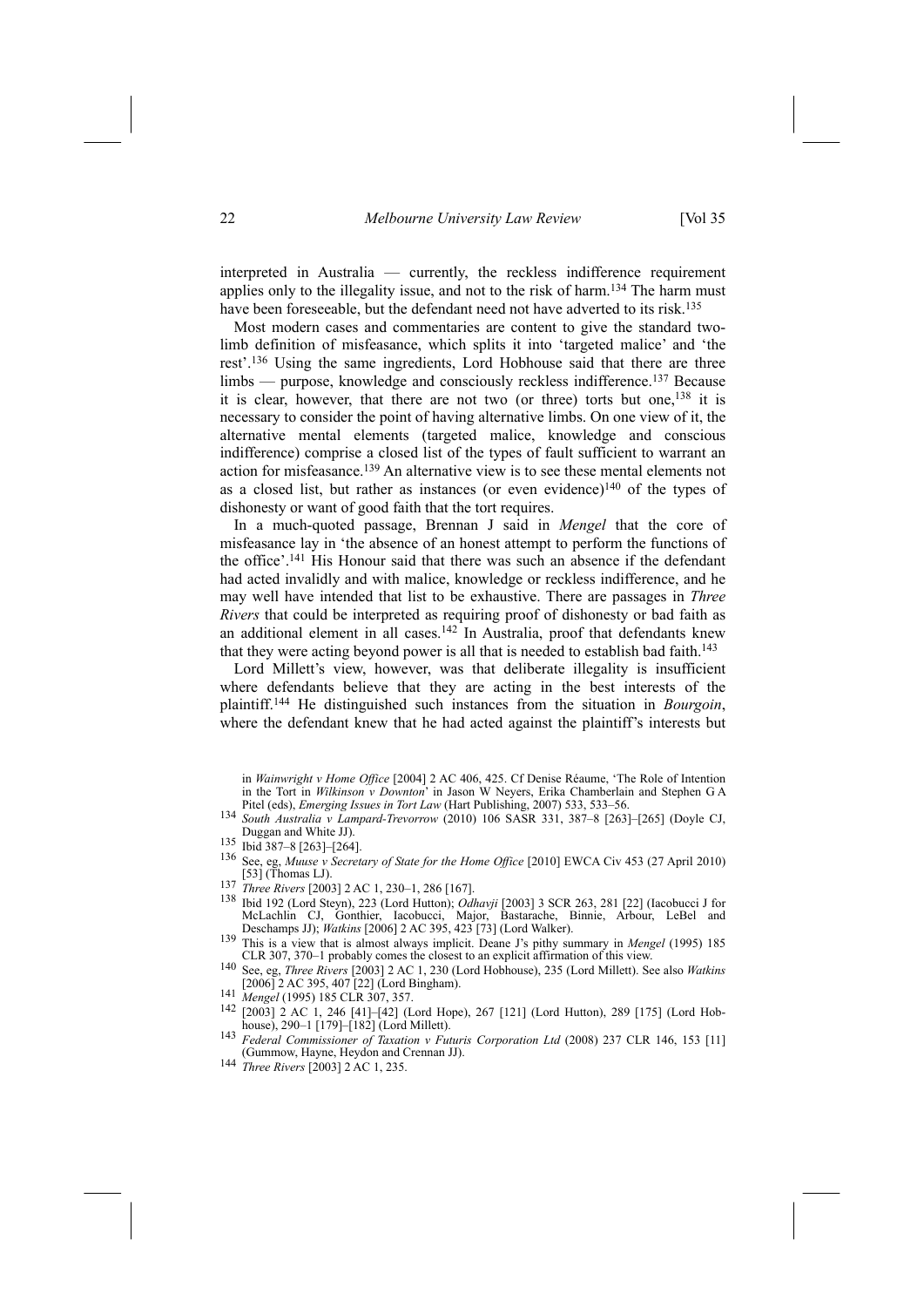interpreted in Australia — currently, the reckless indifference requirement applies only to the illegality issue, and not to the risk of harm.134 The harm must have been foreseeable, but the defendant need not have adverted to its risk.<sup>135</sup>

Most modern cases and commentaries are content to give the standard twolimb definition of misfeasance, which splits it into 'targeted malice' and 'the rest'.136 Using the same ingredients, Lord Hobhouse said that there are three limbs — purpose, knowledge and consciously reckless indifference.137 Because it is clear, however, that there are not two (or three) torts but one,138 it is necessary to consider the point of having alternative limbs. On one view of it, the alternative mental elements (targeted malice, knowledge and conscious indifference) comprise a closed list of the types of fault sufficient to warrant an action for misfeasance.139 An alternative view is to see these mental elements not as a closed list, but rather as instances (or even evidence)<sup>140</sup> of the types of dishonesty or want of good faith that the tort requires.

In a much-quoted passage, Brennan J said in *Mengel* that the core of misfeasance lay in 'the absence of an honest attempt to perform the functions of the office'.141 His Honour said that there was such an absence if the defendant had acted invalidly and with malice, knowledge or reckless indifference, and he may well have intended that list to be exhaustive. There are passages in *Three Rivers* that could be interpreted as requiring proof of dishonesty or bad faith as an additional element in all cases.<sup>142</sup> In Australia, proof that defendants knew that they were acting beyond power is all that is needed to establish bad faith.<sup>143</sup>

Lord Millett's view, however, was that deliberate illegality is insufficient where defendants believe that they are acting in the best interests of the plaintiff.144 He distinguished such instances from the situation in *Bourgoin*, where the defendant knew that he had acted against the plaintiff's interests but

- [53] (Thomas LJ). 137 *Three Rivers* [2003] 2 AC 1, 230–1, 286 [167].
- 138 Ibid 192 (Lord Steyn), 223 (Lord Hutton); *Odhavji* [2003] 3 SCR 263, 281 [22] (Iacobucci J for McLachlin CJ, Gonthier, Iacobucci, Major, Bastarache, Binnie, Arbour, LeBel and Deschamps JJ); *Watkins* [2006] 2 AC 395, 423 [73] (Lord Walker). 139 This is a view that is almost always implicit. Deane J's pithy summary in *Mengel* (1995) 185
- <sup>139</sup> This is a view that is almost always implicit. Deane J's pithy summary in *Mengel* (1995) 185 CLR 307, 370–1 probably comes the closest to an explicit affirmation of this view.<br><sup>140</sup> See, eg, *Three Rivers* [2003] 2
- 
- 
- 141 *Mengel* (1995) 185 CLR 307, 357.<br>
142 [2003] 2 AC 1, 246 [41]–[42] (Lord Hope), 267 [121] (Lord Hutton), 289 [175] (Lord Hob-<br>
house), 290–1 [179]–[182] (Lord Millett).
- <sup>143</sup> *Federal Commissioner of Taxation v Futuris Corporation Ltd* (2008) 237 CLR 146, 153 [11] (Gummow, Hayne, Heydon and Crennan JJ).
- 144 *Three Rivers* [2003] 2 AC 1, 235.

in *Wainwright v Home Office* [2004] 2 AC 406, 425. Cf Denise Réaume, 'The Role of Intention in the Tort in *Wilkinson v Downton*' in Jason W Neyers, Erika Chamberlain and Stephen G A Pitel (eds), Emerging Issues in Tort Law (Hart Publishing, 2007) 533, 533–56.

South Australia v Lampard-Trevorrow (2010) 106 SASR 331, 387-8 [263]-[265] (Doyle CJ, Duggan and White JJ).

 $135$  Ibid 387–8 [263]–[264].

<sup>136</sup> See, eg, *Muuse v Secretary of State for the Home Office* [2010] EWCA Civ 453 (27 April 2010)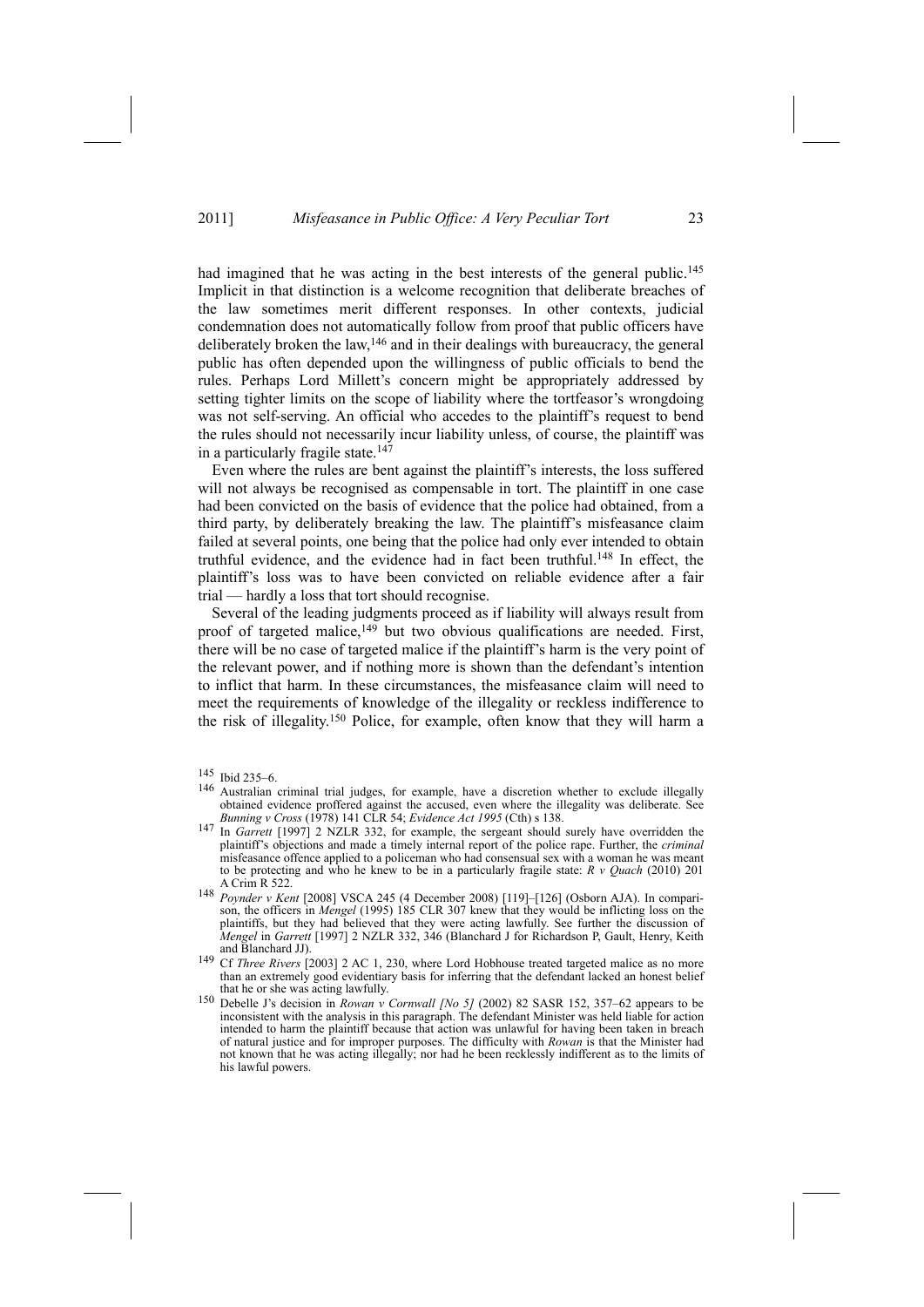had imagined that he was acting in the best interests of the general public.<sup>145</sup> Implicit in that distinction is a welcome recognition that deliberate breaches of the law sometimes merit different responses. In other contexts, judicial condemnation does not automatically follow from proof that public officers have deliberately broken the law,146 and in their dealings with bureaucracy, the general public has often depended upon the willingness of public officials to bend the rules. Perhaps Lord Millett's concern might be appropriately addressed by setting tighter limits on the scope of liability where the tortfeasor's wrongdoing was not self-serving. An official who accedes to the plaintiff's request to bend the rules should not necessarily incur liability unless, of course, the plaintiff was in a particularly fragile state.<sup>147</sup>

Even where the rules are bent against the plaintiff's interests, the loss suffered will not always be recognised as compensable in tort. The plaintiff in one case had been convicted on the basis of evidence that the police had obtained, from a third party, by deliberately breaking the law. The plaintiff's misfeasance claim failed at several points, one being that the police had only ever intended to obtain truthful evidence, and the evidence had in fact been truthful.148 In effect, the plaintiff's loss was to have been convicted on reliable evidence after a fair trial — hardly a loss that tort should recognise.

Several of the leading judgments proceed as if liability will always result from proof of targeted malice, $149$  but two obvious qualifications are needed. First, there will be no case of targeted malice if the plaintiff's harm is the very point of the relevant power, and if nothing more is shown than the defendant's intention to inflict that harm. In these circumstances, the misfeasance claim will need to meet the requirements of knowledge of the illegality or reckless indifference to the risk of illegality.150 Police, for example, often know that they will harm a

<sup>145</sup> Ibid 235–6.

<sup>146</sup> Australian criminal trial judges, for example, have a discretion whether to exclude illegally obtained evidence proffered against the accused, even where the illegality was deliberate. See Bunning v Cross (1978) 141 CLR 54; Evidence Act 1995 (Cth) s 138.

<sup>&</sup>lt;sup>147</sup> In *Garrett* [1997] 2 NZLR 332, for example, the sergeant should surely have overridden the plaintiff's objections and made a timely internal report of the police rape. Further, the *criminal* misfeasance offence applied to a policeman who had consensual sex with a woman he was meant to be protecting and who he knew to be in a particularly fragile state: *R v Quach* (2010) 201 A Crim R 522.

<sup>148</sup> *Poynder v Kent* [2008] VSCA 245 (4 December 2008) [119]–[126] (Osborn AJA). In comparison, the officers in *Mengel* (1995) 185 CLR 307 knew that they would be inflicting loss on the plaintiffs, but they had believed that they were acting lawfully. See further the discussion of *Mengel* in *Garrett* [1997] 2 NZLR 332, 346 (Blanchard J for Richardson P, Gault, Henry, Keith and Blanchard JJ). 149 Cf *Three Rivers* [2003] 2 AC 1, 230, where Lord Hobhouse treated targeted malice as no more

than an extremely good evidentiary basis for inferring that the defendant lacked an honest belief

<sup>150</sup> Debelle J's decision in *Rowan v Cornwall* [No 5] (2002) 82 SASR 152, 357–62 appears to be inconsistent with the analysis in this paragraph. The defendant Minister was held liable for action intended to harm the plaintiff because that action was unlawful for having been taken in breach of natural justice and for improper purposes. The difficulty with *Rowan* is that the Minister had not known that he was acting illegally; nor had he been recklessly indifferent as to the limits of his lawful powers.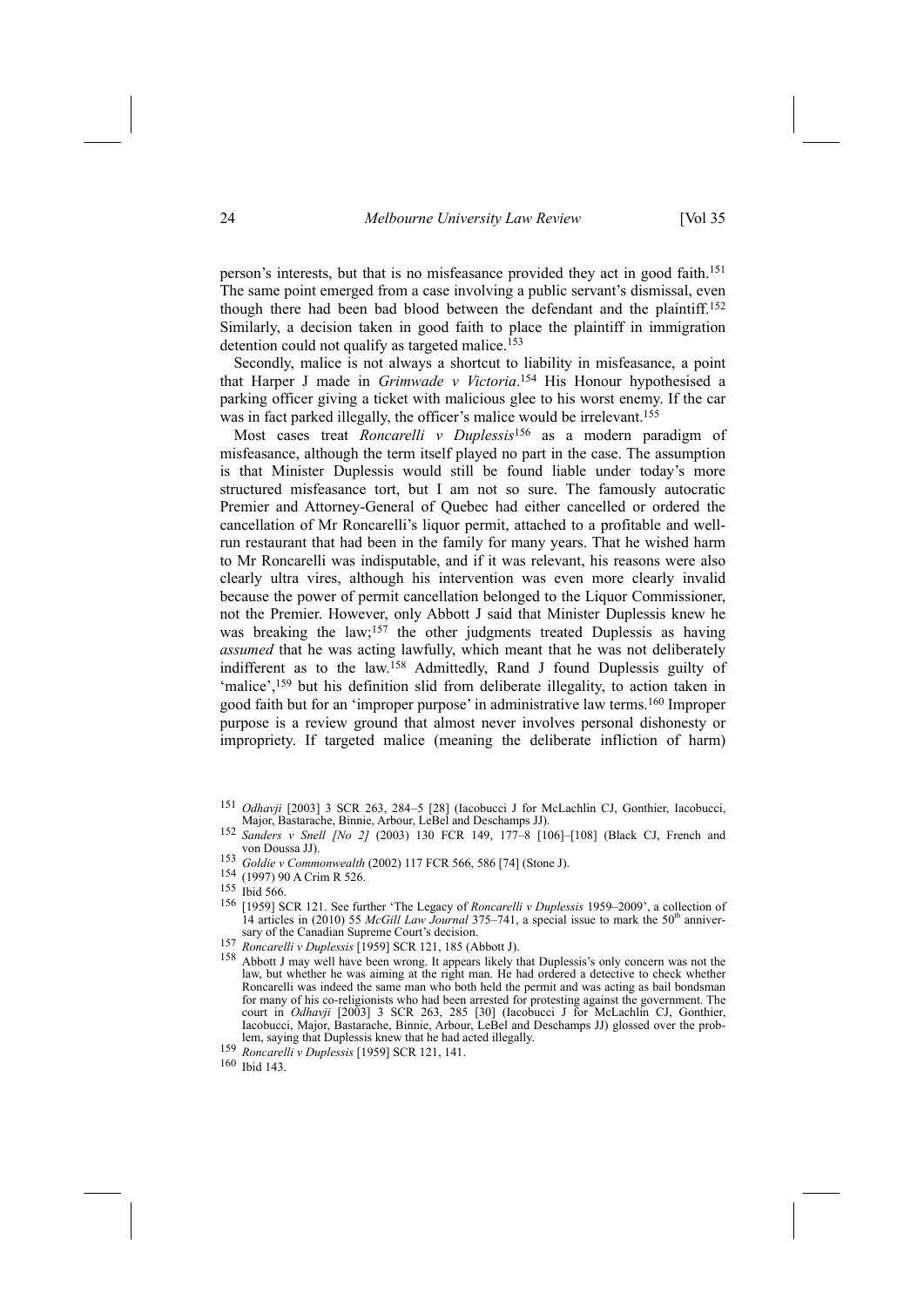person's interests, but that is no misfeasance provided they act in good faith.151 The same point emerged from a case involving a public servant's dismissal, even though there had been bad blood between the defendant and the plaintiff.152 Similarly, a decision taken in good faith to place the plaintiff in immigration detention could not qualify as targeted malice.<sup>153</sup>

Secondly, malice is not always a shortcut to liability in misfeasance, a point that Harper J made in *Grimwade v Victoria*. 154 His Honour hypothesised a parking officer giving a ticket with malicious glee to his worst enemy. If the car was in fact parked illegally, the officer's malice would be irrelevant.<sup>155</sup>

Most cases treat *Roncarelli v Duplessis*156 as a modern paradigm of misfeasance, although the term itself played no part in the case. The assumption is that Minister Duplessis would still be found liable under today's more structured misfeasance tort, but I am not so sure. The famously autocratic Premier and Attorney-General of Quebec had either cancelled or ordered the cancellation of Mr Roncarelli's liquor permit, attached to a profitable and wellrun restaurant that had been in the family for many years. That he wished harm to Mr Roncarelli was indisputable, and if it was relevant, his reasons were also clearly ultra vires, although his intervention was even more clearly invalid because the power of permit cancellation belonged to the Liquor Commissioner, not the Premier. However, only Abbott J said that Minister Duplessis knew he was breaking the law;<sup>157</sup> the other judgments treated Duplessis as having *assumed* that he was acting lawfully, which meant that he was not deliberately indifferent as to the law.158 Admittedly, Rand J found Duplessis guilty of 'malice',<sup>159</sup> but his definition slid from deliberate illegality, to action taken in good faith but for an 'improper purpose' in administrative law terms.160 Improper purpose is a review ground that almost never involves personal dishonesty or impropriety. If targeted malice (meaning the deliberate infliction of harm)

153 *Goldie v Commonwealth* (2002) 117 FCR 566, 586 [74] (Stone J). 154 (1997) 90 A Crim R 526. 155 Ibid 566.

<sup>&</sup>lt;sup>151</sup> *Odhavji* [2003] 3 SCR 263, 284–5 [28] (Iacobucci J for McLachlin CJ, Gonthier, Iacobucci, Major, Bastarache, Binnie, Arbour, LeBel and Deschamps JJ).

<sup>152</sup> *Sanders v Snell [No* 2*]* (2003) 130 FCR 149, 177-8 [106]-[108] (Black CJ, French and von Doussa JJ).

<sup>156 [1959]</sup> SCR 121. See further 'The Legacy of *Roncarelli v Duplessis* 1959–2009', a collection of 14 articles in (2010) 55 *McGill Law Journal* 375–741, a special issue to mark the 50<sup>th</sup> anniver-<br>sary of the Canadian Supreme Court's decision.

<sup>157</sup> Roncarelli v Duplessis [1959] SCR 121, 185 (Abbott J).<br>
<sup>158</sup> Abbott J may well have been wrong. It appears likely that Duplessis's only concern was not the law, but whether he was aiming at the right man. He had ordered a detective to check whether Roncarelli was indeed the same man who both held the permit and was acting as bail bondsman for many of his co-religionists who had been arrested for protesting against the government. The court in *Odhavji* [2003] 3 SCR 263, 285 [30] (Iacobucci J for McLachlin CJ, Gonthier, Iacobucci, Major, Bastarache, Binnie, Arbour, LeBel and Deschamps JJ) glossed over the problem, saying that Duplessis knew that he had acted illegally. 159 *Roncarelli <sup>v</sup> Duplessis* [1959] SCR 121, 141.

<sup>159</sup> Roncarelli v Duplessis [1959] SCR 121, 141.<br>160 Ibid 143.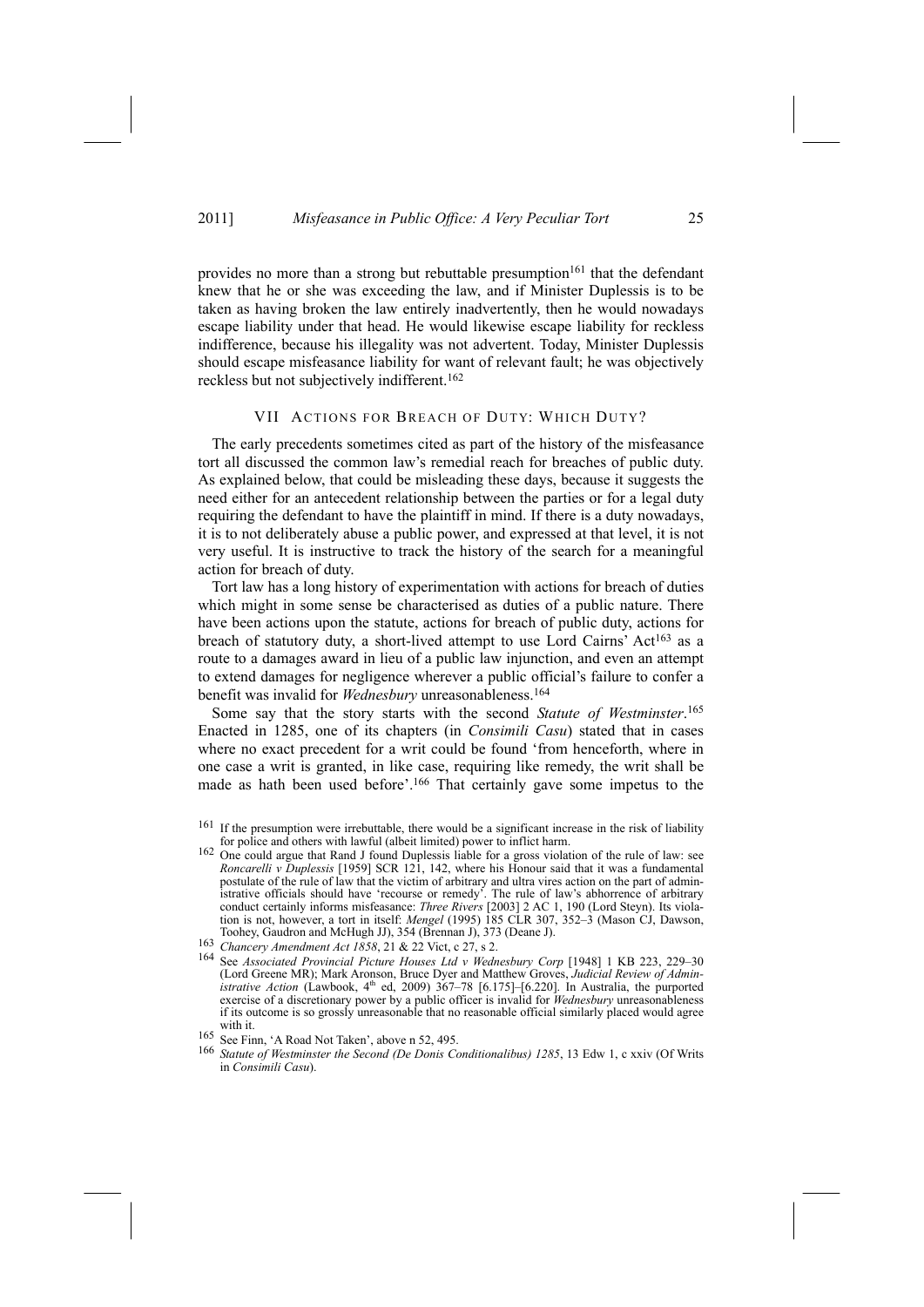provides no more than a strong but rebuttable presumption<sup>161</sup> that the defendant knew that he or she was exceeding the law, and if Minister Duplessis is to be taken as having broken the law entirely inadvertently, then he would nowadays escape liability under that head. He would likewise escape liability for reckless indifference, because his illegality was not advertent. Today, Minister Duplessis should escape misfeasance liability for want of relevant fault; he was objectively reckless but not subjectively indifferent.162

# VII ACTIONS FOR BREACH OF DUTY: WHICH DUTY?

The early precedents sometimes cited as part of the history of the misfeasance tort all discussed the common law's remedial reach for breaches of public duty. As explained below, that could be misleading these days, because it suggests the need either for an antecedent relationship between the parties or for a legal duty requiring the defendant to have the plaintiff in mind. If there is a duty nowadays, it is to not deliberately abuse a public power, and expressed at that level, it is not very useful. It is instructive to track the history of the search for a meaningful action for breach of duty.

Tort law has a long history of experimentation with actions for breach of duties which might in some sense be characterised as duties of a public nature. There have been actions upon the statute, actions for breach of public duty, actions for breach of statutory duty, a short-lived attempt to use Lord Cairns' Act<sup>163</sup> as a route to a damages award in lieu of a public law injunction, and even an attempt to extend damages for negligence wherever a public official's failure to confer a benefit was invalid for *Wednesbury* unreasonableness.164

Some say that the story starts with the second *Statute of Westminster*. 165 Enacted in 1285, one of its chapters (in *Consimili Casu*) stated that in cases where no exact precedent for a writ could be found 'from henceforth, where in one case a writ is granted, in like case, requiring like remedy, the writ shall be made as hath been used before'.<sup>166</sup> That certainly gave some impetus to the

If the presumption were irrebuttable, there would be a significant increase in the risk of liability for police and others with lawful (albeit limited) power to inflict harm.

for police and others with lawful (albeit limited) power to inflict harm. 162 One could argue that Rand J found Duplessis liable for a gross violation of the rule of law: see *Roncarelli v Duplessis* [1959] SCR 121, 142, where his Honour said that it was a fundamental postulate of the rule of law that the victim of arbitrary and ultra vires action on the part of administrative officials should have 'recourse or remedy'. The rule of law's abhorrence of arbitrary conduct certainly informs misfeasance: *Three Rivers* [2003] 2 AC 1, 190 (Lord Steyn). Its violation is not, however, a tort in itself: *Mengel* (1995) 185 CLR 307, 352–3 (Mason CJ, Dawson, Toohey, Gaudron and McHugh JJ), 354 (Brennan J), 373 (Deane J).

<sup>163</sup> Chancery *Amendment Act* 1858, 21 & 22 Vict, c 27, s 2.

<sup>164</sup> See *Associated Provincial Picture Houses Ltd v Wednesbury Corp* [1948] 1 KB 223, 229–30 (Lord Greene MR); Mark Aronson, Bruce Dyer and Matthew Groves, *Judicial Review of Administrative Action* (Lawbook, 4<sup>th</sup> ed, 2009) 367-78 [6.175]-[6.220]. In Australia, the purported exercise of a discretionary power by a public officer is invalid for *Wednesbury* unreasonableness if its outcome is so grossly unreasonable that no reasonable official similarly placed would agree with it.

<sup>165</sup> See Finn, 'A Road Not Taken', above n 52, 495.

<sup>166</sup> *Statute of Westminster the Second (De Donis Conditionalibus) 1285*, 13 Edw 1, c xxiv (Of Writs in *Consimili Casu*).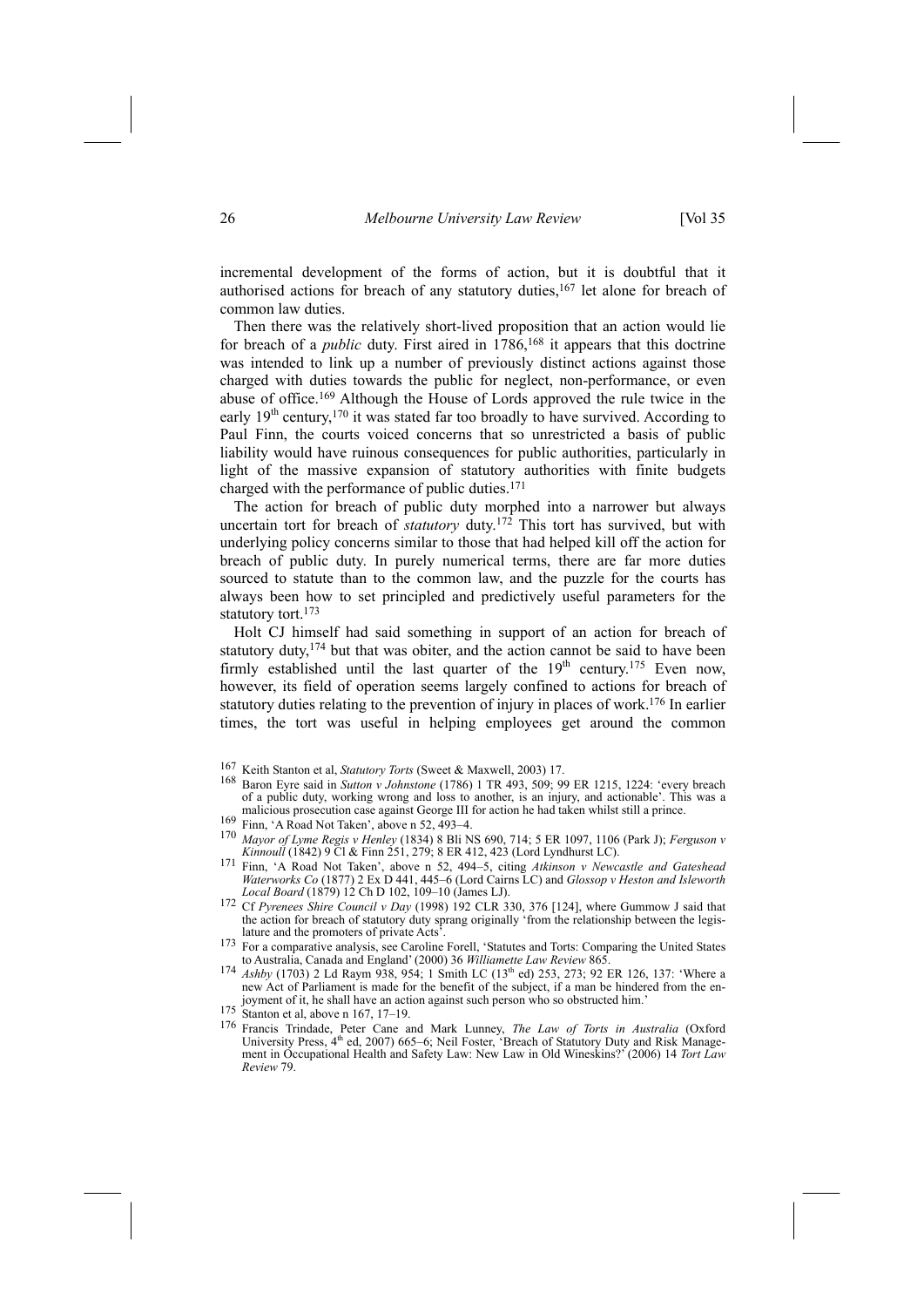incremental development of the forms of action, but it is doubtful that it authorised actions for breach of any statutory duties,167 let alone for breach of common law duties.

Then there was the relatively short-lived proposition that an action would lie for breach of a *public* duty. First aired in 1786,<sup>168</sup> it appears that this doctrine was intended to link up a number of previously distinct actions against those charged with duties towards the public for neglect, non-performance, or even abuse of office.169 Although the House of Lords approved the rule twice in the early  $19<sup>th</sup>$  century,<sup>170</sup> it was stated far too broadly to have survived. According to Paul Finn, the courts voiced concerns that so unrestricted a basis of public liability would have ruinous consequences for public authorities, particularly in light of the massive expansion of statutory authorities with finite budgets charged with the performance of public duties.171

The action for breach of public duty morphed into a narrower but always uncertain tort for breach of *statutory* duty.<sup>172</sup> This tort has survived, but with underlying policy concerns similar to those that had helped kill off the action for breach of public duty. In purely numerical terms, there are far more duties sourced to statute than to the common law, and the puzzle for the courts has always been how to set principled and predictively useful parameters for the statutory tort.<sup>173</sup>

Holt CJ himself had said something in support of an action for breach of statutory duty,  $174$  but that was obiter, and the action cannot be said to have been firmly established until the last quarter of the  $19<sup>th</sup>$  century.<sup>175</sup> Even now, however, its field of operation seems largely confined to actions for breach of statutory duties relating to the prevention of injury in places of work.176 In earlier times, the tort was useful in helping employees get around the common

- 167 Keith Stanton et al, *Statutory Torts* (Sweet & Maxwell, 2003) 17. 168 Baron Eyre said in *Sutton <sup>v</sup> Johnstone* (1786) 1 TR 493, 509; 99 ER 1215, 1224: 'every breach of a public duty, working wrong and loss to another, is an injury, and actionable'. This was a malicious prosecution case against George III for action he had taken whilst still a prince.<br><sup>169</sup> Finn, 'A Road Not Taken', above n 52, 493–4.
- 
- <sup>170</sup> *Mayor of Lyme Regis v Henley* (1834) 8 Bli NS 690, 714; 5 ER 1097, 1106 (Park J); *Ferguson v*
- *Kinnoull* (1842) 9 Cl & Finn 251, 279; 8 ER 412, 423 (Lord Lyndhurst LC). 171 Finn, 'A Road Not Taken', above n 52, 494–5, citing *Atkinson <sup>v</sup> Newcastle and Gateshead Waterworks Co* (1877) 2 Ex D 441, 445–6 (Lord Cairns LC) and *Glossop v Heston and Isleworth Local Board* (1879) 12 Ch D 102, 109–10 (James LJ). 172 Cf *Pyrenees Shire Council <sup>v</sup> Day* (1998) 192 CLR 330, 376 [124], where Gummow J said that
- the action for breach of statutory duty sprang originally 'from the relationship between the legislature and the promoters of private Acts<sup>3</sup>.<br><sup>173</sup> For a comparative analysis, see Caroline Forell, 'Statutes and Torts: Comparing the United States
- to Australia, Canada and England' (2000) 36 *Williamette Law Review* 865.
- 174 *Ashby* (1703) 2 Ld Raym 938, 954; 1 Smith LC (13<sup>th</sup> ed) 253, 273; 92 ER 126, 137: 'Where a new Act of Parliament is made for the benefit of the subject, if a man be hindered from the enjoyment of it, he shall have an action against such person who so obstructed him.<br><sup>175</sup> Stanton et al, above n 167, 17–19.
- 
- 176 Francis Trindade, Peter Cane and Mark Lunney, *The Law of Torts in Australia* (Oxford University Press, 4<sup>th</sup> ed, 2007) 665–6; Neil Foster, 'Breach of Statutory Duty and Risk Management in Occupational Health and Safety Law: New Law in Old Wineskins?' (2006) 14 *Tort Law Review* 79.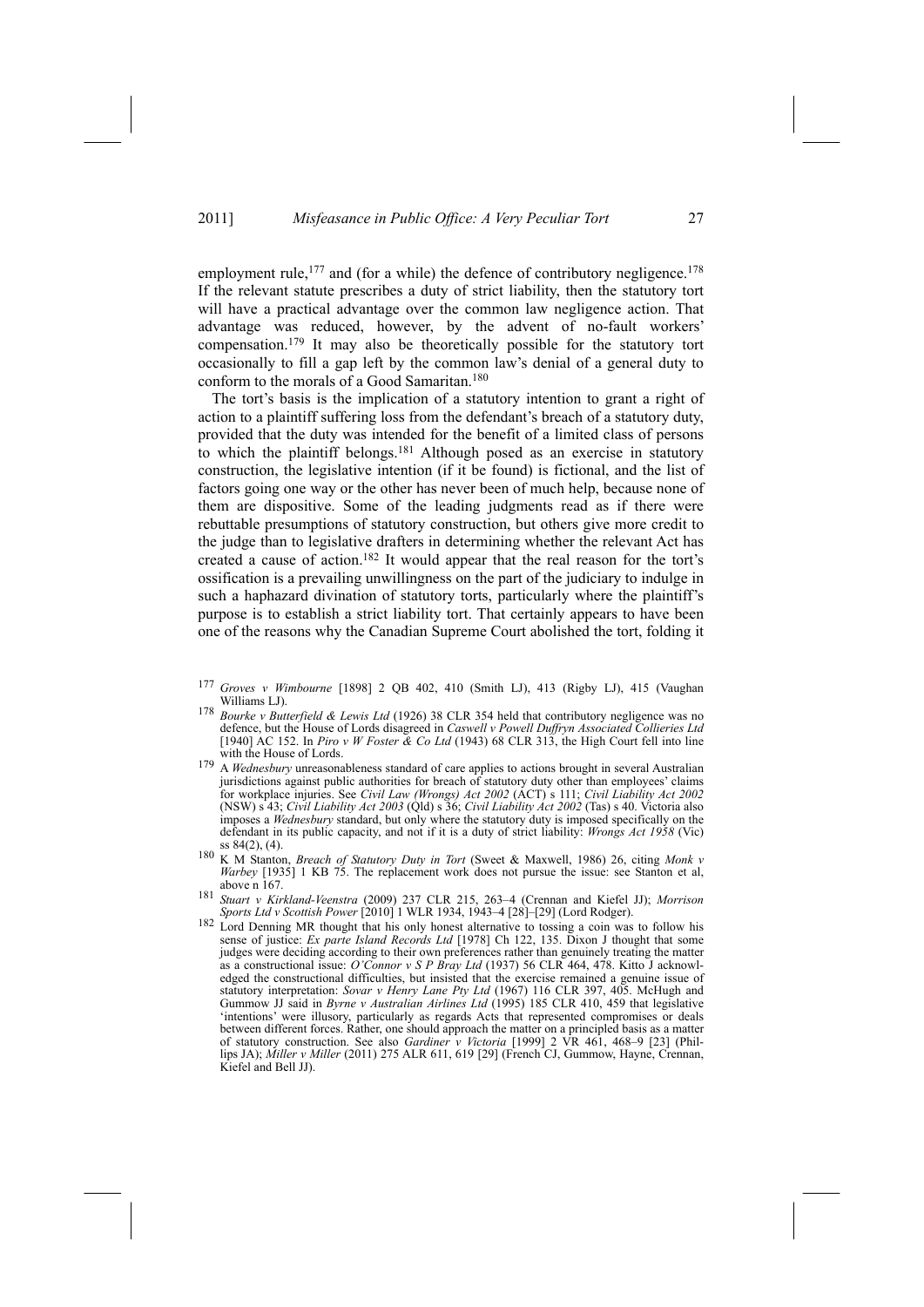employment rule, $177$  and (for a while) the defence of contributory negligence. $178$ If the relevant statute prescribes a duty of strict liability, then the statutory tort will have a practical advantage over the common law negligence action. That advantage was reduced, however, by the advent of no-fault workers' compensation.179 It may also be theoretically possible for the statutory tort occasionally to fill a gap left by the common law's denial of a general duty to conform to the morals of a Good Samaritan.180

The tort's basis is the implication of a statutory intention to grant a right of action to a plaintiff suffering loss from the defendant's breach of a statutory duty, provided that the duty was intended for the benefit of a limited class of persons to which the plaintiff belongs.181 Although posed as an exercise in statutory construction, the legislative intention (if it be found) is fictional, and the list of factors going one way or the other has never been of much help, because none of them are dispositive. Some of the leading judgments read as if there were rebuttable presumptions of statutory construction, but others give more credit to the judge than to legislative drafters in determining whether the relevant Act has created a cause of action.182 It would appear that the real reason for the tort's ossification is a prevailing unwillingness on the part of the judiciary to indulge in such a haphazard divination of statutory torts, particularly where the plaintiff's purpose is to establish a strict liability tort. That certainly appears to have been one of the reasons why the Canadian Supreme Court abolished the tort, folding it

- 178 *Bourke v Butterfield* & *Lewis Ltd* (1926) 38 CLR 354 held that contributory negligence was no defence, but the House of Lords disagreed in *Caswell v Powell Duffryn Associated Collieries Ltd* [1940] AC 152. In *Piro v W Foster & Co Ltd* (1943) 68 CLR 313, the High Court fell into line with the House of Lords.
- 179 A *Wednesbury* unreasonableness standard of care applies to actions brought in several Australian jurisdictions against public authorities for breach of statutory duty other than employees' claims for workplace injuries. See *Civil Law (Wrongs) Act 2002* (ACT) s 111; *Civil Liability Act 2002* (NSW) s 43; *Civil Liability Act 2003* (Qld) s 36; *Civil Liability Act 2002* (Tas) s 40. Victoria also imposes a *Wednesbury* standard, but only where the statutory duty is imposed specifically on the defendant in its public capacity, and not if it is a duty of strict liability: *Wrongs Act 1958* (Vic) ss 84(2), (4). 180 K M Stanton, *Breach of Statutory Duty in Tort* (Sweet & Maxwell, 1986) 26, citing *Monk <sup>v</sup>*
- *Warbey* [1935] 1 KB 75. The replacement work does not pursue the issue: see Stanton et al, above n 167.
- <sup>181</sup> *Stuart v Kirkland-Veenstra* (2009) 237 CLR 215, 263–4 (Crennan and Kiefel JJ); *Morrison Sports Ltd v Scottish Power* [2010] 1 WLR 1934, 1943–4 [28]–[29] (Lord Rodger).<br><sup>182</sup> Lord Denning MR thought that his only honest alternative to tossing a coin was to follow his
- sense of justice: *Ex parte Island Records Ltd* [1978] Ch 122, 135. Dixon J thought that some judges were deciding according to their own preferences rather than genuinely treating the matter as a constructional issue: *O'Connor v S P Bray Ltd* (1937) 56 CLR 464, 478. Kitto J acknowledged the constructional difficulties, but insisted that the exercise remained a genuine issue of statutory interpretation: *Sovar v Henry Lane Pty Ltd* (1967) 116 CLR 397, 405. McHugh and Gummow JJ said in *Byrne v Australian Airlines Ltd* (1995) 185 CLR 410, 459 that legislative 'intentions' were illusory, particularly as regards Acts that represented compromises or deals between different forces. Rather, one should approach the matter on a principled basis as a matter of statutory construction. See also *Gardiner v Victoria* [1999] 2 VR 461, 468–9 [23] (Phillips JA); *Miller v Miller* (2011) 275 ALR 611, 619 [29] (French CJ, Gummow, Hayne, Crennan, Kiefel and Bell JJ).

<sup>177</sup> *Groves v Wimbourne* [1898] 2 QB 402, 410 (Smith LJ), 413 (Rigby LJ), 415 (Vaughan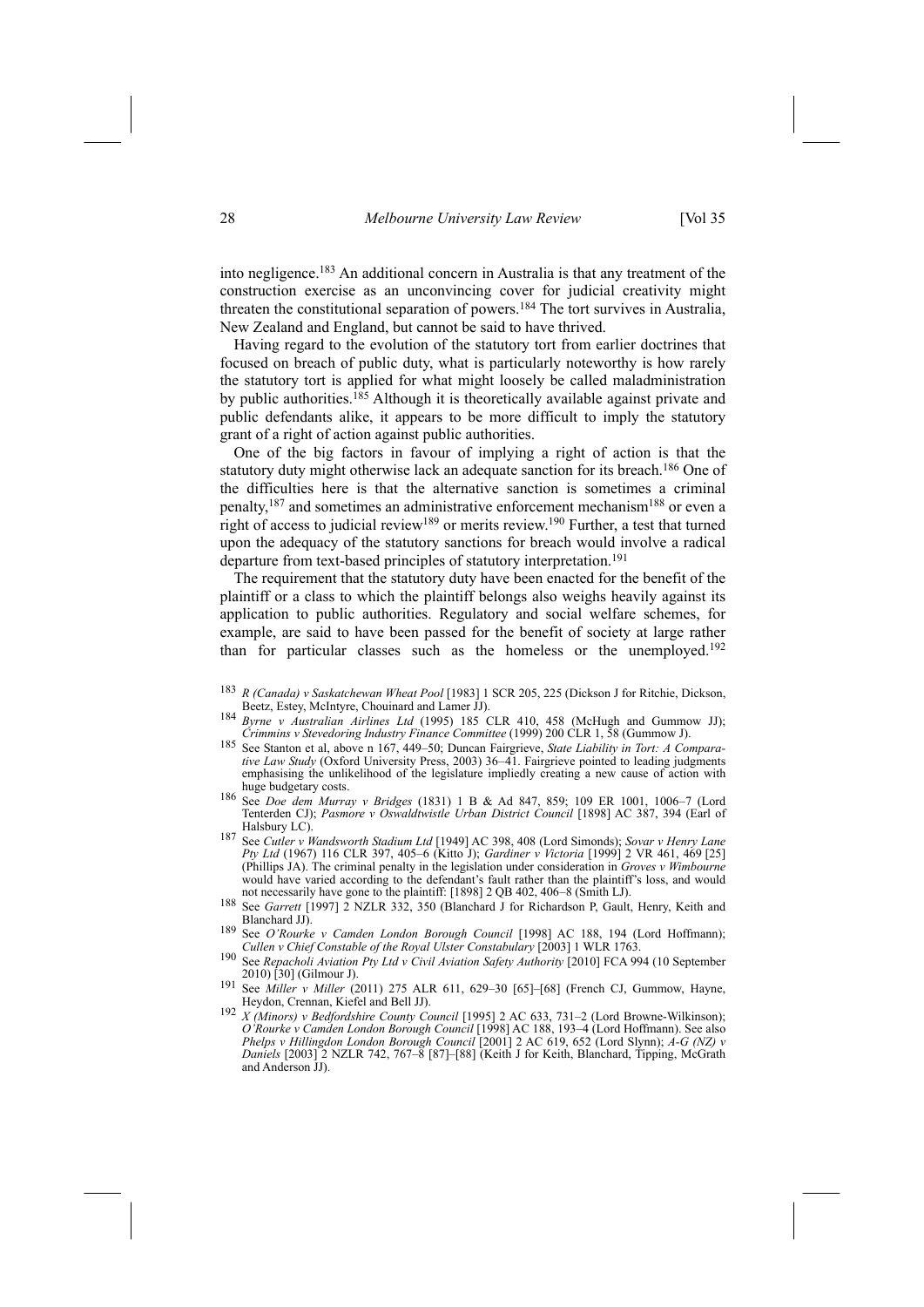into negligence.183 An additional concern in Australia is that any treatment of the construction exercise as an unconvincing cover for judicial creativity might threaten the constitutional separation of powers.184 The tort survives in Australia, New Zealand and England, but cannot be said to have thrived.

Having regard to the evolution of the statutory tort from earlier doctrines that focused on breach of public duty, what is particularly noteworthy is how rarely the statutory tort is applied for what might loosely be called maladministration by public authorities.<sup>185</sup> Although it is theoretically available against private and public defendants alike, it appears to be more difficult to imply the statutory grant of a right of action against public authorities.

One of the big factors in favour of implying a right of action is that the statutory duty might otherwise lack an adequate sanction for its breach.<sup>186</sup> One of the difficulties here is that the alternative sanction is sometimes a criminal penalty,187 and sometimes an administrative enforcement mechanism188 or even a right of access to judicial review<sup>189</sup> or merits review.<sup>190</sup> Further, a test that turned upon the adequacy of the statutory sanctions for breach would involve a radical departure from text-based principles of statutory interpretation.<sup>191</sup>

The requirement that the statutory duty have been enacted for the benefit of the plaintiff or a class to which the plaintiff belongs also weighs heavily against its application to public authorities. Regulatory and social welfare schemes, for example, are said to have been passed for the benefit of society at large rather than for particular classes such as the homeless or the unemployed.<sup>192</sup>

- <sup>183</sup> *R (Canada) v Saskatchewan Wheat Pool* [1983] 1 SCR 205, 225 (Dickson J for Ritchie, Dickson,
- 184 *Byrne v Australian Airlines Ltd* (1995) 185 CLR 410, 458 (McHugh and Gummow JJ);<br>Crimmins v Stevedoring Industry Finance Committee (1999) 200 CLR 1, 58 (Gummow J).
- 185 See Stanton et al, above n 167, 449-50; Duncan Fairgrieve, State Liability in Tort: A Compara*tive Law Study* (Oxford University Press, 2003) 36–41. Fairgrieve pointed to leading judgments emphasising the unlikelihood of the legislature impliedly creating a new cause of action with huge budgetary costs.
- huge budgetary costs. 186 See *Doe dem Murray <sup>v</sup> Bridges* (1831) 1 B & Ad 847, 859; 109 ER 1001, 1006–7 (Lord Tenterden CJ); *Pasmore v Oswaldtwistle Urban District Council* [1898] AC 387, 394 (Earl of Halsbury LC). 187 See *Cutler <sup>v</sup> Wandsworth Stadium Ltd* [1949] AC 398, 408 (Lord Simonds); *Sovar <sup>v</sup> Henry Lane*
- *Pty Ltd* (1967) 116 CLR 397, 405–6 (Kitto J); *Gardiner v Victoria* [1999] 2 VR 461, 469 [25] (Phillips JA). The criminal penalty in the legislation under consideration in *Groves v Wimbourne* would have varied according to the defendant's fault rather than the plaintiff's loss, and would not necessarily have gone to the plaintiff: [1898] 2 QB 402, 406-8 (Smith LJ).
- not necessarily through to the plantific prove planetted, the contract planetted in the planetted of the planet<br>188 See *Garrett* [1997] 2 NZLR 332, 350 (Blanchard J for Richardson P, Gault, Henry, Keith and
- Blanchard JJ). 189 See *O'Rourke <sup>v</sup> Camden London Borough Council* [1998] AC 188, 194 (Lord Hoffmann); *Cullen v Chief Constable of the Royal Ulster Constabulary* [2003] 1 WLR 1763.
- 190 See *Repacholi Aviation Pty Ltd v Civil Aviation Safety Authority* [2010] FCA 994 (10 September
- See *Miller v Miller* (2011) 275 ALR 611, 629-30 [65]-[68] (French CJ, Gummow, Hayne, Heydon, Crennan, Kiefel and Bell JJ). Heydon, Crennan, Kiefel and Bell JJ). 192 *<sup>X</sup> (Minors) <sup>v</sup> Bedfordshire County Council* [1995] 2 AC 633, 731–2 (Lord Browne-Wilkinson);
- *O'Rourke v Camden London Borough Council* [1998] AC 188, 193–4 (Lord Hoffmann). See also *Phelps v Hillingdon London Borough Council* [2001] 2 AC 619, 652 (Lord Slynn); *A-G (NZ) v Daniels* [2003] 2 NZLR 742, 767–8 [87]–[88] (Keith J for Keith, Blanchard, Tipping, McGrath and Anderson JJ).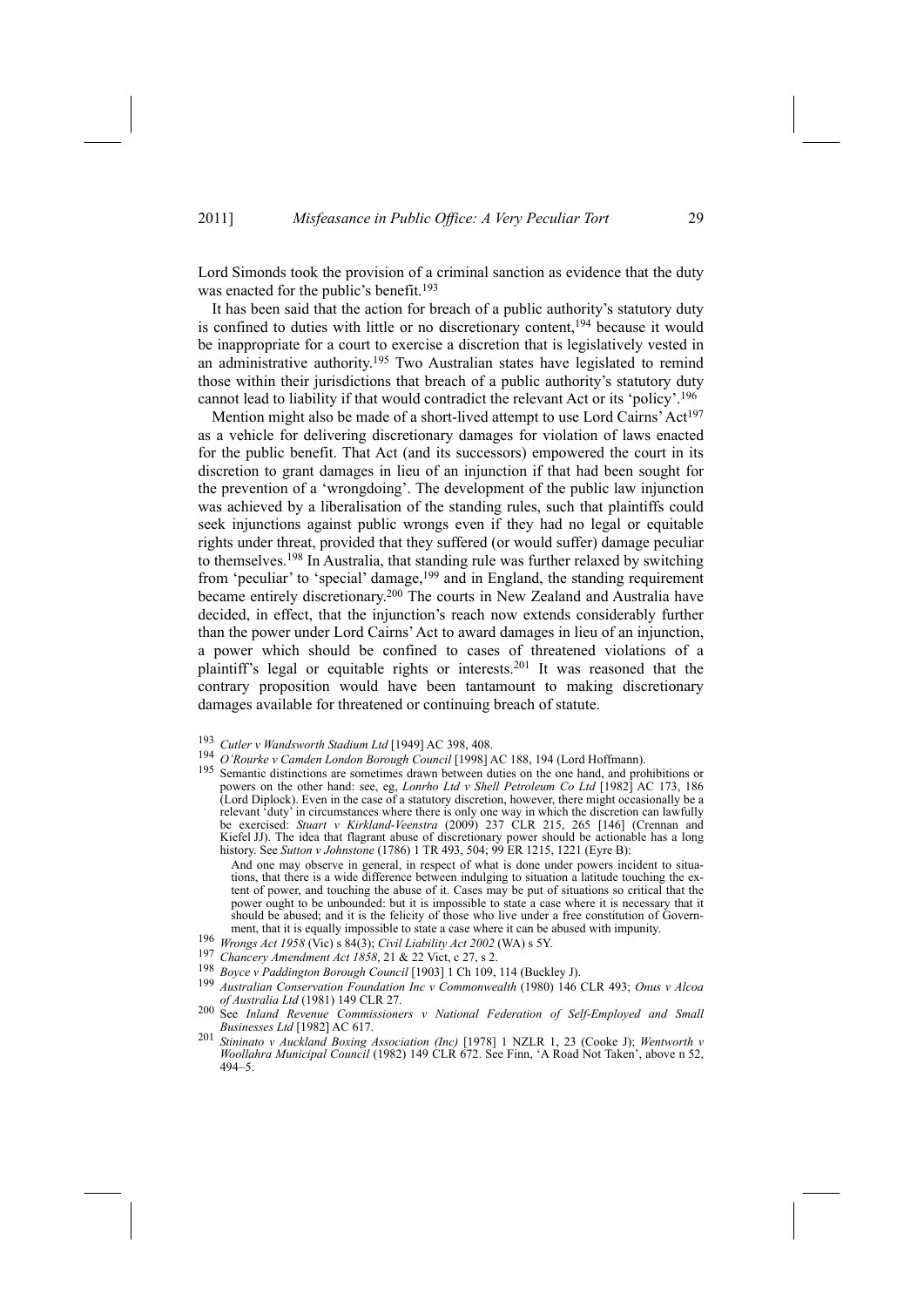Lord Simonds took the provision of a criminal sanction as evidence that the duty was enacted for the public's benefit.<sup>193</sup>

It has been said that the action for breach of a public authority's statutory duty is confined to duties with little or no discretionary content,<sup>194</sup> because it would be inappropriate for a court to exercise a discretion that is legislatively vested in an administrative authority.195 Two Australian states have legislated to remind those within their jurisdictions that breach of a public authority's statutory duty cannot lead to liability if that would contradict the relevant Act or its 'policy'.196

Mention might also be made of a short-lived attempt to use Lord Cairns' Act<sup>197</sup> as a vehicle for delivering discretionary damages for violation of laws enacted for the public benefit. That Act (and its successors) empowered the court in its discretion to grant damages in lieu of an injunction if that had been sought for the prevention of a 'wrongdoing'. The development of the public law injunction was achieved by a liberalisation of the standing rules, such that plaintiffs could seek injunctions against public wrongs even if they had no legal or equitable rights under threat, provided that they suffered (or would suffer) damage peculiar to themselves.198 In Australia, that standing rule was further relaxed by switching from 'peculiar' to 'special' damage,<sup>199</sup> and in England, the standing requirement became entirely discretionary.200 The courts in New Zealand and Australia have decided, in effect, that the injunction's reach now extends considerably further than the power under Lord Cairns' Act to award damages in lieu of an injunction, a power which should be confined to cases of threatened violations of a plaintiff's legal or equitable rights or interests.201 It was reasoned that the contrary proposition would have been tantamount to making discretionary damages available for threatened or continuing breach of statute.

- 
- <sup>193</sup> *Cutler v Wandsworth Stadium Ltd* [1949] AC 398, 408.
- <sup>195</sup> Semantic distinctions are sometimes drawn between duties on the one hand, and prohibitions or powers on the other hand: see, eg, *Lonrho Ltd v Shell Petroleum Co Ltd* [1982] AC 173, 186 (Lord Diplock). Even in the case of a statutory discretion, however, there might occasionally be a relevant 'duty' in circumstances where there is only one way in which the discretion can lawfully be exercised: *Stuart v Kirkland-Veenstra* (2009) 237 CLR 215, 265 [146] (Crennan and Kiefel JJ). The idea that flagrant abuse of discretionary power should be actionable has a long history. See *Sutton v Johnstone* (1786) 1 TR 493, 504; 99 ER 1215, 1221 (Eyre B):

And one may observe in general, in respect of what is done under powers incident to situations, that there is a wide difference between indulging to situation a latitude touching the extent of power, and touching the abuse of it. Cases may be put of situations so critical that the power ought to be unbounded: but it is impossible to state a case where it is necessary that it should be abused; and it is the felicity of those who live under a free constitution of Govern-<br>ment, that it is equally impossible to state a case where it can be abused with impunity.

- <sup>196</sup> Wrongs Act 1958 (Vic) s 84(3); Civil Liability Act 2002 (WA) s 5Y.<br><sup>197</sup> Chancery Amendment Act 1858, 21 & 22 Vict, c 27, s 2.
- 
- 
- <sup>198</sup> Boyce v Paddington Borough Council [1903] 1 Ch 109, 114 (Buckley J).<br><sup>199</sup> Australian Conservation Foundation Inc v Commonwealth (1980) 146 CLR 493; Onus v Alcoa *of Australia Ltd* (1981) 149 CLR 27. 200 See *Inland Revenue Commissioners <sup>v</sup> National Federation of Self-Employed and Small*
- *Businesses Ltd* [1982] AC 617.
- <sup>201</sup> *Stininato v Auckland Boxing Association (Inc)* [1978] 1 NZLR 1, 23 (Cooke J); *Wentworth v Woollahra Municipal Council* (1982) 149 CLR 672. See Finn, 'A Road Not Taken', above n 52, 494–5.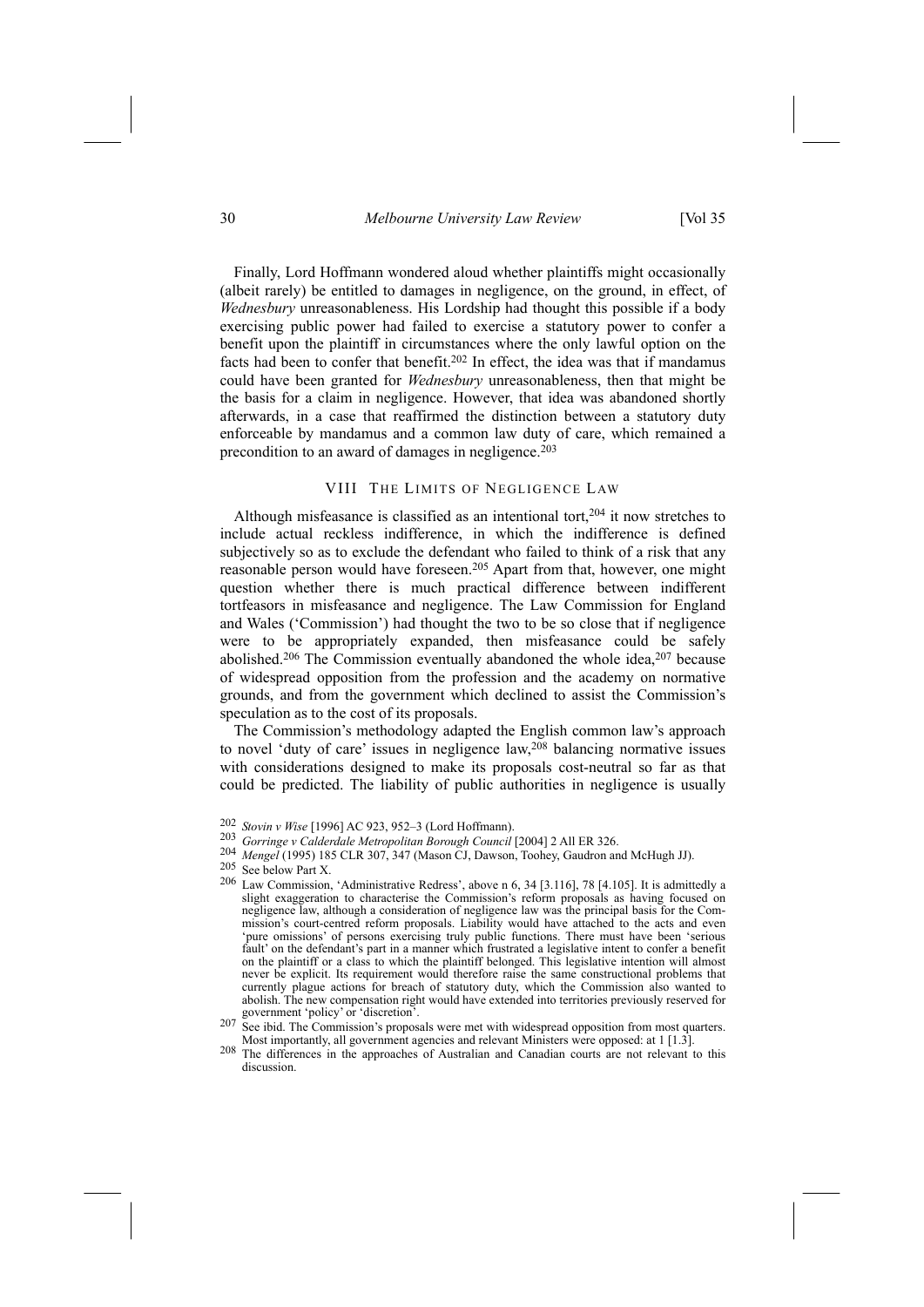Finally, Lord Hoffmann wondered aloud whether plaintiffs might occasionally (albeit rarely) be entitled to damages in negligence, on the ground, in effect, of *Wednesbury* unreasonableness. His Lordship had thought this possible if a body exercising public power had failed to exercise a statutory power to confer a benefit upon the plaintiff in circumstances where the only lawful option on the facts had been to confer that benefit.202 In effect, the idea was that if mandamus could have been granted for *Wednesbury* unreasonableness, then that might be the basis for a claim in negligence. However, that idea was abandoned shortly afterwards, in a case that reaffirmed the distinction between a statutory duty enforceable by mandamus and a common law duty of care, which remained a precondition to an award of damages in negligence.<sup>203</sup>

# VIII THE LIMITS OF NEGLIGENCE LAW

Although misfeasance is classified as an intentional tort, $204$  it now stretches to include actual reckless indifference, in which the indifference is defined subjectively so as to exclude the defendant who failed to think of a risk that any reasonable person would have foreseen.205 Apart from that, however, one might question whether there is much practical difference between indifferent tortfeasors in misfeasance and negligence. The Law Commission for England and Wales ('Commission') had thought the two to be so close that if negligence were to be appropriately expanded, then misfeasance could be safely abolished.<sup>206</sup> The Commission eventually abandoned the whole idea,<sup>207</sup> because of widespread opposition from the profession and the academy on normative grounds, and from the government which declined to assist the Commission's speculation as to the cost of its proposals.

The Commission's methodology adapted the English common law's approach to novel 'duty of care' issues in negligence law,<sup>208</sup> balancing normative issues with considerations designed to make its proposals cost-neutral so far as that could be predicted. The liability of public authorities in negligence is usually

<sup>202</sup> *Stovin <sup>v</sup> Wise* [1996] AC 923, 952–3 (Lord Hoffmann). 203 *Gorringe <sup>v</sup> Calderdale Metropolitan Borough Council* [2004] 2 All ER 326.

<sup>204</sup> *Mengel* (1995) 185 CLR 307, 347 (Mason CJ, Dawson, Toohey, Gaudron and McHugh JJ). 205 See below Part X.

<sup>206</sup> Law Commission, 'Administrative Redress', above n 6, 34 [3.116], 78 [4.105]. It is admittedly a slight exaggeration to characterise the Commission's reform proposals as having focused on negligence law, although a consideration of negligence law was the principal basis for the Commission's court-centred reform proposals. Liability would have attached to the acts and even 'pure omissions' of persons exercising truly public functions. There must have been 'serious fault' on the defendant's part in a manner which frustrated a legislative intent to confer a benefit on the plaintiff or a class to which the plaintiff belonged. This legislative intention will almost never be explicit. Its requirement would therefore raise the same constructional problems that currently plague actions for breach of statutory duty, which the Commission also wanted to abolish. The new compensation right would have extended into territories previously reserved for

government 'policy' or 'discretion'.<br>
<sup>207</sup> See ibid. The Commission's proposals were met with widespread opposition from most quarters.<br>
Most importantly, all government agencies and relevant Ministers were opposed: at 1

<sup>&</sup>lt;sup>208</sup> The differences in the approaches of Australian and Canadian courts are not relevant to this discussion.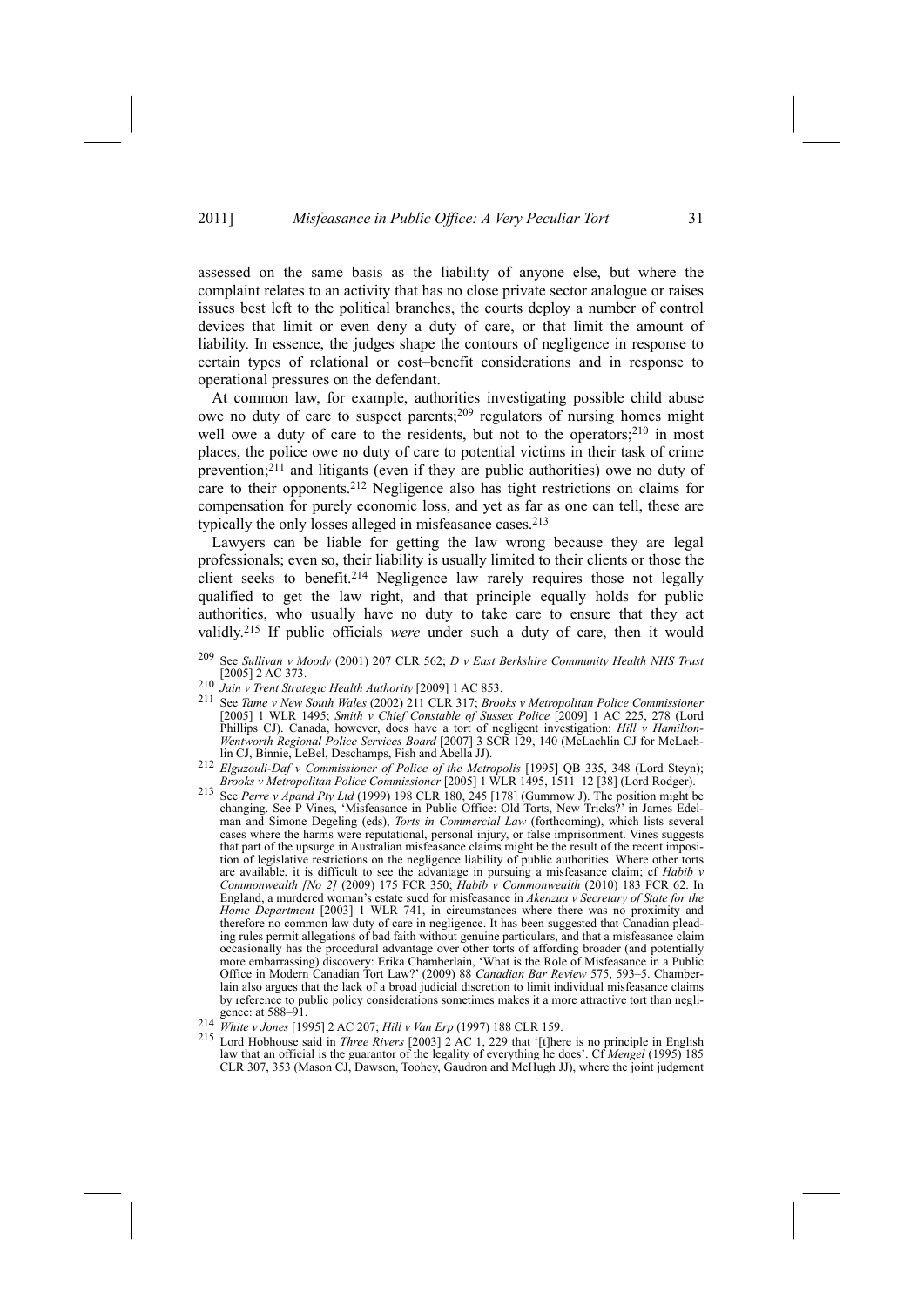assessed on the same basis as the liability of anyone else, but where the complaint relates to an activity that has no close private sector analogue or raises issues best left to the political branches, the courts deploy a number of control devices that limit or even deny a duty of care, or that limit the amount of liability. In essence, the judges shape the contours of negligence in response to certain types of relational or cost–benefit considerations and in response to operational pressures on the defendant.

At common law, for example, authorities investigating possible child abuse owe no duty of care to suspect parents;209 regulators of nursing homes might well owe a duty of care to the residents, but not to the operators;<sup>210</sup> in most places, the police owe no duty of care to potential victims in their task of crime prevention; $2^{11}$  and litigants (even if they are public authorities) owe no duty of care to their opponents.212 Negligence also has tight restrictions on claims for compensation for purely economic loss, and yet as far as one can tell, these are typically the only losses alleged in misfeasance cases.213

Lawyers can be liable for getting the law wrong because they are legal professionals; even so, their liability is usually limited to their clients or those the client seeks to benefit.<sup>214</sup> Negligence law rarely requires those not legally qualified to get the law right, and that principle equally holds for public authorities, who usually have no duty to take care to ensure that they act validly.215 If public officials *were* under such a duty of care, then it would

- 209 See *Sullivan v Moody* (2001) 207 CLR 562; *D v East Berkshire Community Health NHS Trust* [2005] 2 AC 373.
- <sup>210</sup> *Jain v Trent Strategic Health Authority* [2009] 1 AC 853.
- 211 See *Tame v New South Wales* (2002) 211 CLR 317; *Brooks v Metropolitan Police Commissioner* [2005] 1 WLR 1495; *Smith v Chief Constable of Sussex Police* [2009] 1 AC 225, 278 (Lord Phillips CJ). Canada, however, does have a tort of negligent investigation: *Hill v Hamilton-Wentworth Regional Police Services Board* [2007] 3 SCR 129, 140 (McLachlin CJ for McLach-
- lin CJ, Binnie, LeBel, Deschamps, Fish and Abella JJ). 212 *Elguzouli-Daf <sup>v</sup> Commissioner of Police of the Metropolis* [1995] QB 335, 348 (Lord Steyn);
- *Brooks v Metropolitan Police Commissioner* [2005] 1 WLR 1495, 1511-12 [38] (Lord Rodger).<br><sup>213</sup> See *Perre v Apand Pty Ltd* (1999) 198 CLR 180, 245 [178] (Gummow J). The position might be See Perre v Apand Pty Ltd (1999) 198 CLR 180, 245 [178] (Gummow J). The position might be changing. See P Vines, 'Misfeasance in Public Office: Old Torts, New Tricks?' in James Edelman and Simone Degeling (eds), *Torts in Commercial Law* (forthcoming), which lists several cases where the harms were reputational, personal injury, or false imprisonment. Vines suggests that part of the upsurge in Australian misfeasance claims might be the result of the recent imposition of legislative restrictions on the negligence liability of public authorities. Where other torts are available, it is difficult to see the advantage in pursuing a misfeasance claim; cf *Habib v Commonwealth [No 2]* (2009) 175 FCR 350; *Habib v Commonwealth* (2010) 183 FCR 62. In England, a murdered woman's estate sued for misfeasance in *Akenzua v Secretary of State for the Home Department* [2003] 1 WLR 741, in circumstances where there was no proximity and therefore no common law duty of care in negligence. It has been suggested that Canadian pleading rules permit allegations of bad faith without genuine particulars, and that a misfeasance claim occasionally has the procedural advantage over other torts of affording broader (and potentially more embarrassing) discovery: Erika Chamberlain, 'What is the Role of Misfeasance in a Public Office in Modern Canadian Tort Law?' (2009) 88 *Canadian Bar Review* 575, 593–5. Chamberlain also argues that the lack of a broad judicial discretion to limit individual misfeasance claims by reference to public policy considerations sometimes makes it a more attractive tort than negli-<br>gence: at 588–91.
- 
- 214 White v Jones [1995] 2 AC 207; Hill v Van Erp (1997) 188 CLR 159.<br>215 Lord Hobhouse said in *Three Rivers* [2003] 2 AC 1, 229 that '[t]here is no principle in English law that an official is the guarantor of the legality of everything he does'. Cf *Mengel* (1995) 185 CLR 307, 353 (Mason CJ, Dawson, Toohey, Gaudron and McHugh JJ), where the joint judgment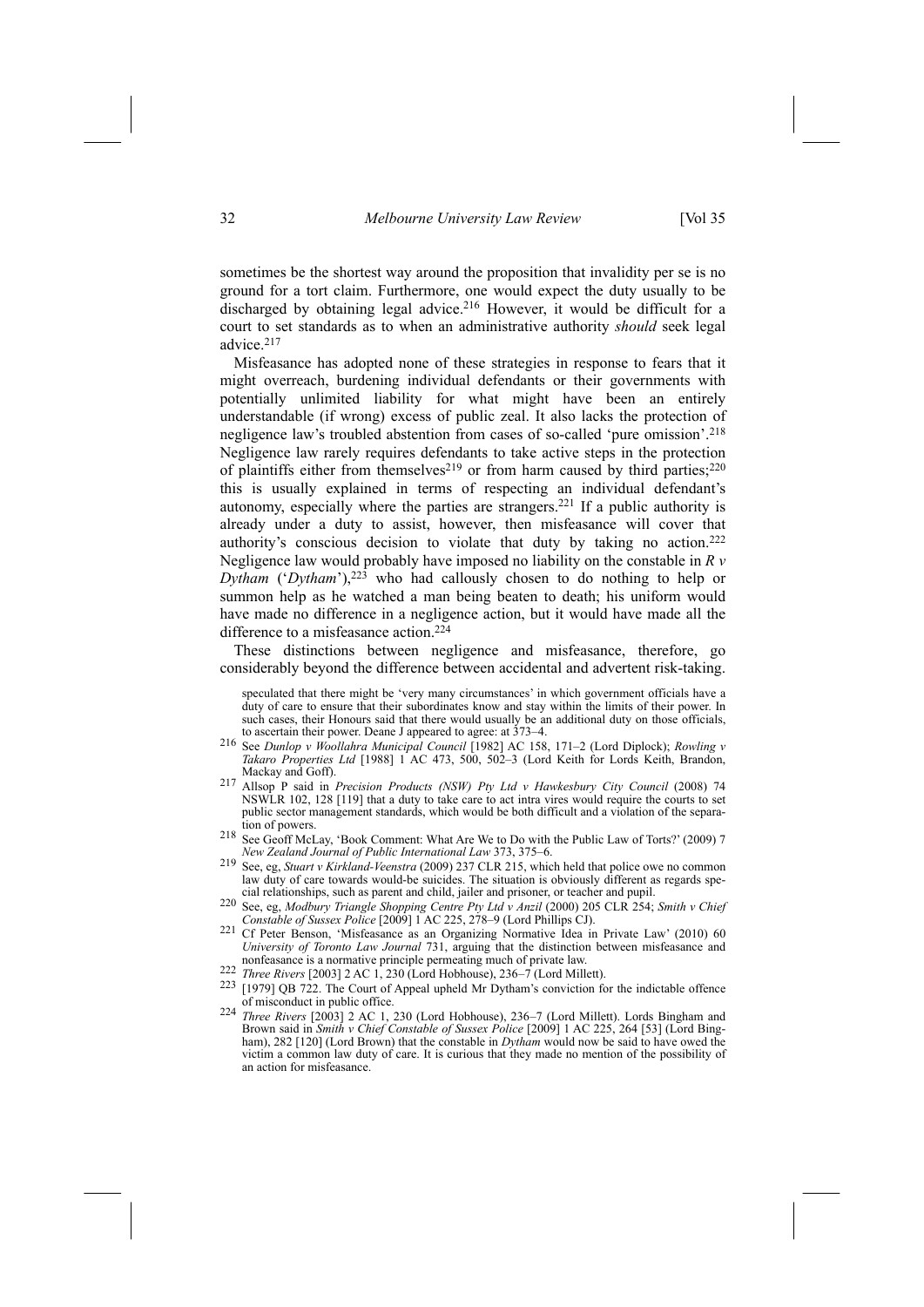sometimes be the shortest way around the proposition that invalidity per se is no ground for a tort claim. Furthermore, one would expect the duty usually to be discharged by obtaining legal advice.<sup>216</sup> However, it would be difficult for a court to set standards as to when an administrative authority *should* seek legal advice.217

Misfeasance has adopted none of these strategies in response to fears that it might overreach, burdening individual defendants or their governments with potentially unlimited liability for what might have been an entirely understandable (if wrong) excess of public zeal. It also lacks the protection of negligence law's troubled abstention from cases of so-called 'pure omission'.218 Negligence law rarely requires defendants to take active steps in the protection of plaintiffs either from themselves<sup>219</sup> or from harm caused by third parties;<sup>220</sup> this is usually explained in terms of respecting an individual defendant's autonomy, especially where the parties are strangers.221 If a public authority is already under a duty to assist, however, then misfeasance will cover that authority's conscious decision to violate that duty by taking no action.222 Negligence law would probably have imposed no liability on the constable in *R v Dytham* ('*Dytham*'),<sup>223</sup> who had callously chosen to do nothing to help or summon help as he watched a man being beaten to death; his uniform would have made no difference in a negligence action, but it would have made all the difference to a misfeasance action.<sup>224</sup>

These distinctions between negligence and misfeasance, therefore, go considerably beyond the difference between accidental and advertent risk-taking.

speculated that there might be 'very many circumstances' in which government officials have a duty of care to ensure that their subordinates know and stay within the limits of their power. In such cases, their Honours said that there would usually be an additional duty on those officials, to ascertain their power. Deane J appeared to agree: at  $373-4$ .

- to ascertain their power. Deane J appeared to agree: at 373–4. 216 See *Dunlop <sup>v</sup> Woollahra Municipal Council* [1982] AC 158, 171–2 (Lord Diplock); *Rowling <sup>v</sup> Takaro Properties Ltd* [1988] 1 AC 473, 500, 502–3 (Lord Keith for Lords Keith, Brandon,
- Mackay and Goff). 217 Allsop P said in *Precision Products (NSW) Pty Ltd <sup>v</sup> Hawkesbury City Council* (2008) 74 NSWLR 102, 128 [119] that a duty to take care to act intra vires would require the courts to set public sector management standards, which would be both difficult and a violation of the separa-
- tion of powers. 218 See Geoff McLay, 'Book Comment: What Are We to Do with the Public Law of Torts?' (2009) 7 *New Zealand Journal of Public International Law* 373, 375–6.
- 219 See, eg, *Stuart v Kirkland-Veenstra* (2009) 237 CLR 215, which held that police owe no common law duty of care towards would-be suicides. The situation is obviously different as regards spe-<br>cial relationships, such as parent and child, jailer and prisoner, or teacher and pupil.
- 220 See, eg, Modbury Triangle Shopping Centre Pty Ltd v Anzil (2000) 205 CLR 254; Smith v Chief<br>Constable of Sussex Police [2009] 1 AC 225, 278–9 (Lord Phillips CJ). *Constable of Sussex Police* [2009] 1 AC 225, 278–9 (Lord Phillips CJ). 221 Cf Peter Benson, 'Misfeasance as an Organizing Normative Idea in Private Law' (2010) 60
- *University of Toronto Law Journal* 731, arguing that the distinction between misfeasance and
- 
- nonfeasance is a normative principle permeating much of private law.<br>
<sup>222</sup> *Three Rivers* [2003] 2 AC 1, 230 (Lord Hobhouse), 236–7 (Lord Millett).<br>
<sup>223</sup> [1979] QB 722. The Court of Appeal upheld Mr Dytham's conviction f
- of misconduct in public office. 224 *Three Rivers* [2003] 2 AC 1, 230 (Lord Hobhouse), 236–7 (Lord Millett). Lords Bingham and Brown said in *Smith v Chief Constable of Sussex Police* [2009] 1 AC 225, 264 [53] (Lord Bingham), 282 [120] (Lord Brown) that the constable in *Dytham* would now be said to have owed the victim a common law duty of care. It is curious that they made no mention of the possibility of an action for misfeasance.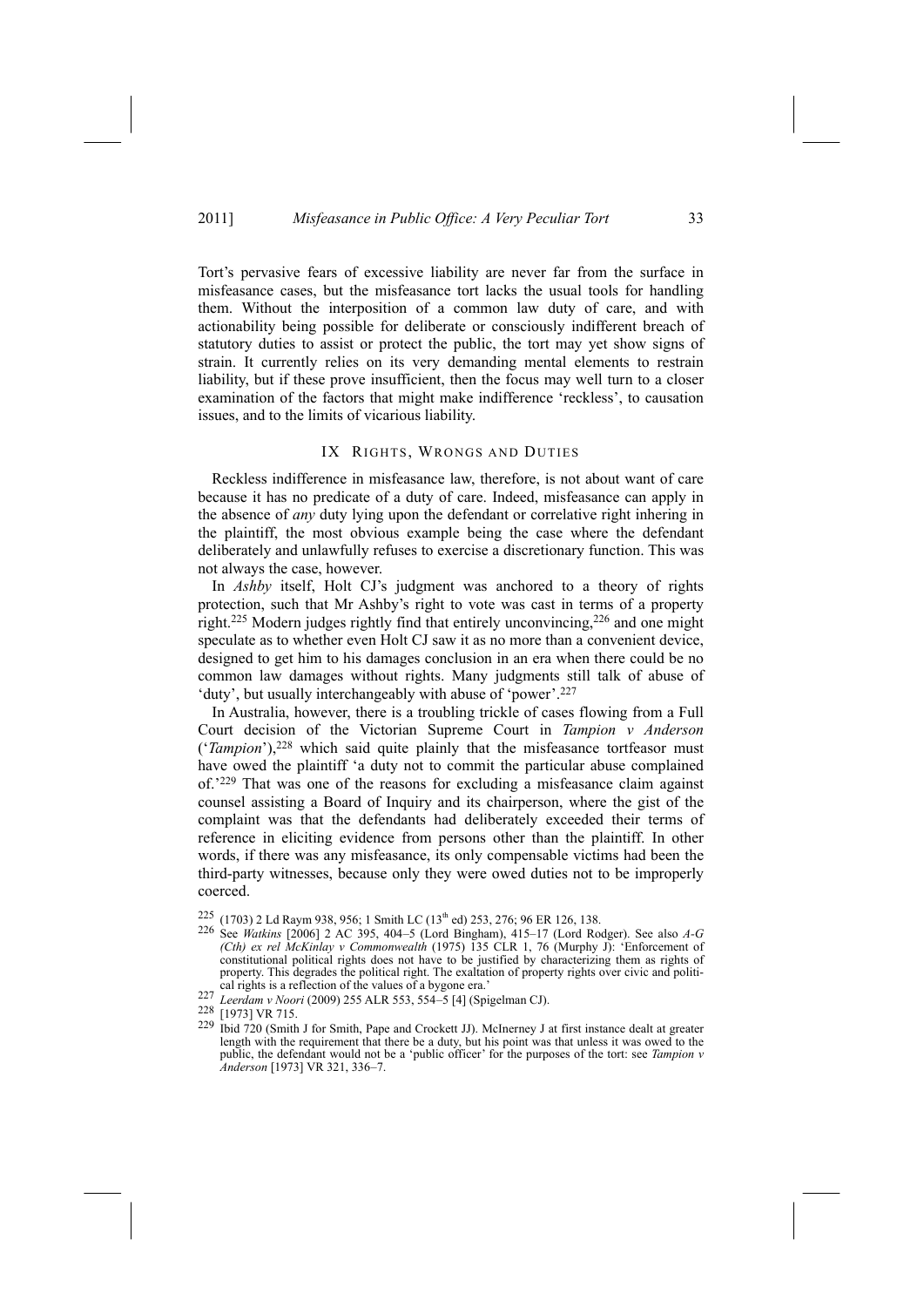Tort's pervasive fears of excessive liability are never far from the surface in misfeasance cases, but the misfeasance tort lacks the usual tools for handling them. Without the interposition of a common law duty of care, and with actionability being possible for deliberate or consciously indifferent breach of statutory duties to assist or protect the public, the tort may yet show signs of strain. It currently relies on its very demanding mental elements to restrain liability, but if these prove insufficient, then the focus may well turn to a closer examination of the factors that might make indifference 'reckless', to causation issues, and to the limits of vicarious liability.

# IX RIGHTS, WRONGS AND DUTIES

Reckless indifference in misfeasance law, therefore, is not about want of care because it has no predicate of a duty of care. Indeed, misfeasance can apply in the absence of *any* duty lying upon the defendant or correlative right inhering in the plaintiff, the most obvious example being the case where the defendant deliberately and unlawfully refuses to exercise a discretionary function. This was not always the case, however.

In *Ashby* itself, Holt CJ's judgment was anchored to a theory of rights protection, such that Mr Ashby's right to vote was cast in terms of a property right.225 Modern judges rightly find that entirely unconvincing,226 and one might speculate as to whether even Holt CJ saw it as no more than a convenient device, designed to get him to his damages conclusion in an era when there could be no common law damages without rights. Many judgments still talk of abuse of 'duty', but usually interchangeably with abuse of 'power'.<sup>227</sup>

In Australia, however, there is a troubling trickle of cases flowing from a Full Court decision of the Victorian Supreme Court in *Tampion v Anderson* ('*Tampion*'),<sup>228</sup> which said quite plainly that the misfeasance tortfeasor must have owed the plaintiff 'a duty not to commit the particular abuse complained of.'229 That was one of the reasons for excluding a misfeasance claim against counsel assisting a Board of Inquiry and its chairperson, where the gist of the complaint was that the defendants had deliberately exceeded their terms of reference in eliciting evidence from persons other than the plaintiff. In other words, if there was any misfeasance, its only compensable victims had been the third-party witnesses, because only they were owed duties not to be improperly coerced.

225 (1703) 2 Ld Raym 938, 956; 1 Smith LC (13th ed) 253, 276; 96 ER 126, 138. 226 See *Watkins* [2006] 2 AC 395, 404–5 (Lord Bingham), 415–17 (Lord Rodger). See also *A-G (Cth) ex rel McKinlay v Commonwealth* (1975) 135 CLR 1, 76 (Murphy J): 'Enforcement of constitutional political rights does not have to be justified by characterizing them as rights of property. This degrades the political right. The exaltation of property rights over civic and political rights is a reflection of the values of a bygone era.

<sup>227</sup> *Leerdam v Noori* (2009) 255 ALR 553, 554–5 [4] (Spigelman CJ).<br><sup>228</sup> [1973] VR 715.

<sup>229</sup> Ibid 720 (Smith J for Smith, Pape and Crockett JJ). McInerney J at first instance dealt at greater length with the requirement that there be a duty, but his point was that unless it was owed to the public, the defendant would not be a 'public officer' for the purposes of the tort: see *Tampion v Anderson* [1973] VR 321, 336–7.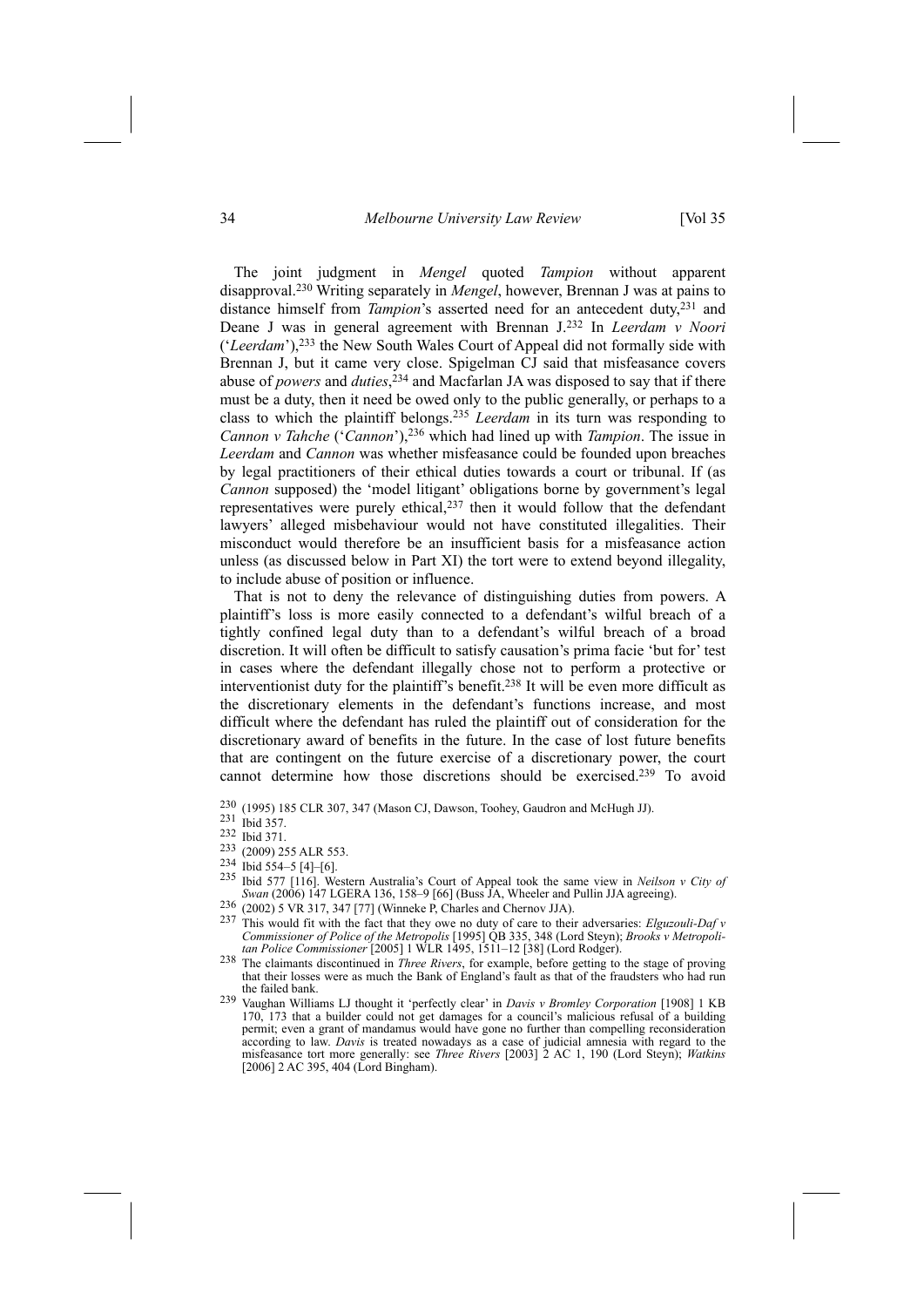#### 34 *Melbourne University Law Review* [Vol 35

The joint judgment in *Mengel* quoted *Tampion* without apparent disapproval.230 Writing separately in *Mengel*, however, Brennan J was at pains to distance himself from *Tampion*'s asserted need for an antecedent duty,<sup>231</sup> and Deane J was in general agreement with Brennan J.232 In *Leerdam v Noori* ('*Leerdam*'),233 the New South Wales Court of Appeal did not formally side with Brennan J, but it came very close. Spigelman CJ said that misfeasance covers abuse of *powers* and *duties*, 234 and Macfarlan JA was disposed to say that if there must be a duty, then it need be owed only to the public generally, or perhaps to a class to which the plaintiff belongs.235 *Leerdam* in its turn was responding to *Cannon v Tahche* ('*Cannon*'),236 which had lined up with *Tampion*. The issue in *Leerdam* and *Cannon* was whether misfeasance could be founded upon breaches by legal practitioners of their ethical duties towards a court or tribunal. If (as *Cannon* supposed) the 'model litigant' obligations borne by government's legal representatives were purely ethical,237 then it would follow that the defendant lawyers' alleged misbehaviour would not have constituted illegalities. Their misconduct would therefore be an insufficient basis for a misfeasance action unless (as discussed below in Part XI) the tort were to extend beyond illegality, to include abuse of position or influence.

That is not to deny the relevance of distinguishing duties from powers. A plaintiff's loss is more easily connected to a defendant's wilful breach of a tightly confined legal duty than to a defendant's wilful breach of a broad discretion. It will often be difficult to satisfy causation's prima facie 'but for' test in cases where the defendant illegally chose not to perform a protective or interventionist duty for the plaintiff's benefit.238 It will be even more difficult as the discretionary elements in the defendant's functions increase, and most difficult where the defendant has ruled the plaintiff out of consideration for the discretionary award of benefits in the future. In the case of lost future benefits that are contingent on the future exercise of a discretionary power, the court cannot determine how those discretions should be exercised.239 To avoid

- 235 Ibid 577 [116]. Western Australia's Court of Appeal took the same view in *Neilson v City* of *Swan* (2006) 147 LGERA 136, 158–9 [66] (Buss JA, Wheeler and Pullin JJA agreeing).
- 
- 236 (2002) 5 VR 317, 347 [77] (Winneke P, Charles and Chernov JJA).<br>237 This would fit with the fact that they owe no duty of care to their adversaries: *Elguzouli-Daf v Commissioner of Police of the Metropolis* [1995] QB 335, 348 (Lord Steyn); *Brooks v Metropoli-*<br>
tan Police Commissioner [2005] 1 WLR 1495, 1511–12 [38] (Lord Rodger).
- *tan Police Commissioner* [2005] 1 WLR 1495, 1511–12 [38] (Lord Rodger). 238 The claimants discontinued in *Three Rivers*, for example, before getting to the stage of proving that their losses were as much the Bank of England's fault as that of the fraudsters who had run the failed bank.
- 239 Vaughan Williams LJ thought it 'perfectly clear' in *Davis v Bromley Corporation* [1908] 1 KB 170, 173 that a builder could not get damages for a council's malicious refusal of a building permit; even a grant of mandamus would have gone no further than compelling reconsideration according to law. *Davis* is treated nowadays as a case of judicial amnesia with regard to the misfeasance tort more generally: see *Three Rivers* [2003] 2 AC 1, 190 (Lord Steyn); *Watkins* [2006] 2 AC 395, 404 (Lord Bingham).

<sup>230 (1995) 185</sup> CLR 307, 347 (Mason CJ, Dawson, Toohey, Gaudron and McHugh JJ). 231 Ibid 357.

<sup>232</sup> Ibid 371.

<sup>233 (2009) 255</sup> ALR 553.<br>
234 Ibid 554–5 [4]–[6].<br>
235 Ibid 577 [116] World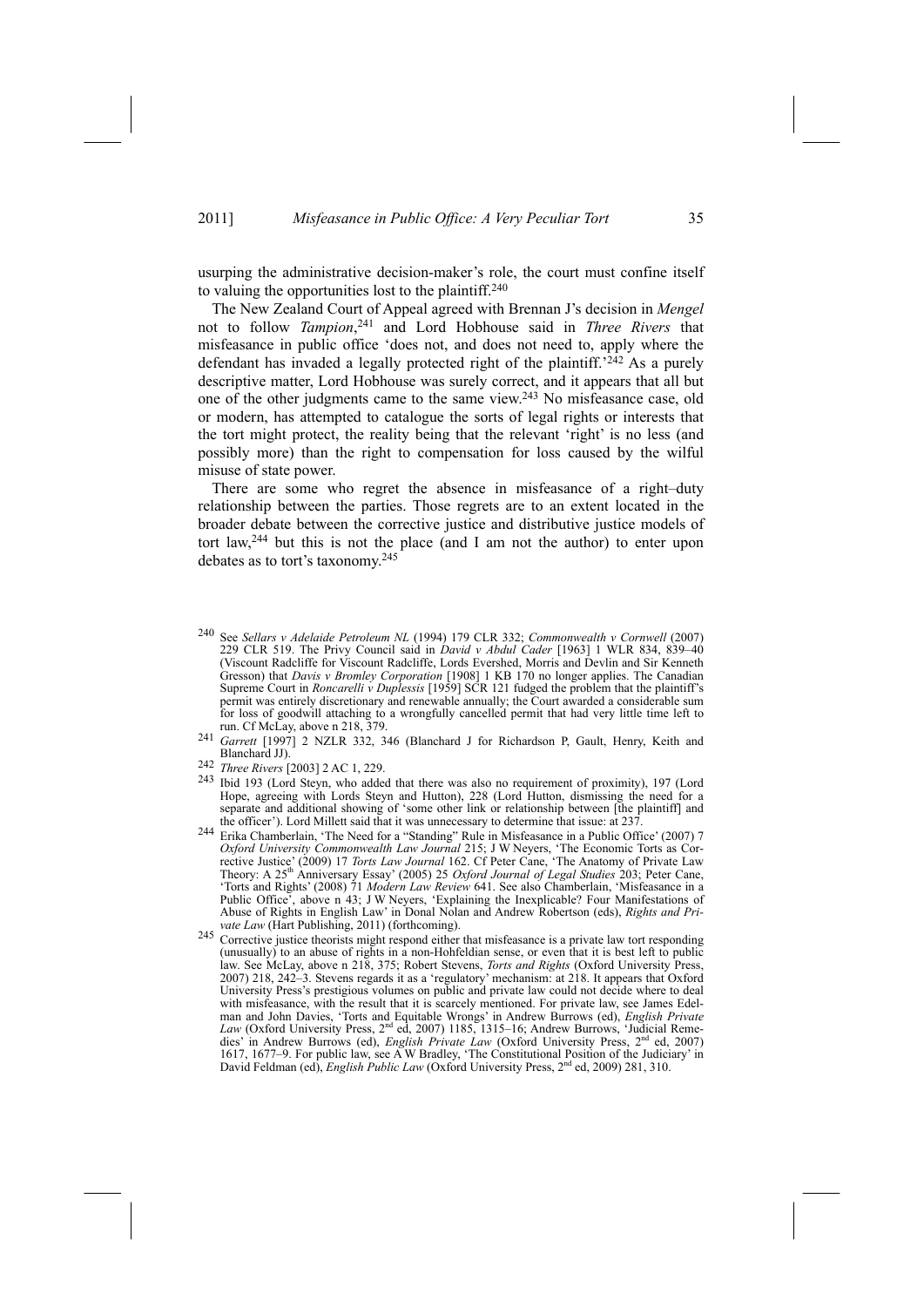usurping the administrative decision-maker's role, the court must confine itself to valuing the opportunities lost to the plaintiff.240

The New Zealand Court of Appeal agreed with Brennan J's decision in *Mengel* not to follow *Tampion*, 241 and Lord Hobhouse said in *Three Rivers* that misfeasance in public office 'does not, and does not need to, apply where the defendant has invaded a legally protected right of the plaintiff.'242 As a purely descriptive matter, Lord Hobhouse was surely correct, and it appears that all but one of the other judgments came to the same view.243 No misfeasance case, old or modern, has attempted to catalogue the sorts of legal rights or interests that the tort might protect, the reality being that the relevant 'right' is no less (and possibly more) than the right to compensation for loss caused by the wilful misuse of state power.

There are some who regret the absence in misfeasance of a right–duty relationship between the parties. Those regrets are to an extent located in the broader debate between the corrective justice and distributive justice models of tort law,  $244$  but this is not the place (and I am not the author) to enter upon debates as to tort's taxonomy.245

- 240 See *Sellars v Adelaide Petroleum NL* (1994) 179 CLR 332; *Commonwealth v Cornwell* (2007) 229 CLR 519. The Privy Council said in *David v Abdul Cader* [1963] 1 WLR 834, 839–40 (Viscount Radcliffe for Viscount Radcliffe, Lords Evershed, Morris and Devlin and Sir Kenneth Gresson) that *Davis v Bromley Corporation* [1908] 1 KB 170 no longer applies. The Canadian Supreme Court in *Roncarelli v Duplessis* [1959] SCR 121 fudged the problem that the plaintiff's permit was entirely discretionary and renewable annually; the Court awarded a considerable sum for loss of goodwill attaching to a wrongfully cancelled permit that had very little time left to run. Cf McLay, above n 218, 379.
- run. Cf McLay, above n 218, 379. 241 *Garrett* [1997] 2 NZLR 332, 346 (Blanchard J for Richardson P, Gault, Henry, Keith and
- Blanchard JJ). 242 *Three Rivers* [2003] 2 AC 1, 229.
- 243 Ibid 193 (Lord Steyn, who added that there was also no requirement of proximity), 197 (Lord Hope, agreeing with Lords Steyn and Hutton), 228 (Lord Hutton, dismissing the need for a separate and additional showing of 'some other link or relationship between [the plaintiff] and the officer'). Lord Millett said that it was unnecessary to determine that issue: at 237.
- <sup>244</sup> Erika Chamberlain, 'The Need for a "Standing" Rule in Misfeasance in a Public Office' (2007) 7 *Oxford University Commonwealth Law Journal* 215; J W Neyers, 'The Economic Torts as Corrective Justice' (2009) 17 *Torts Law Journal* 162. Cf Peter Cane, 'The Anatomy of Private Law<br>Theory: A 25<sup>th</sup> Anniversary Essay' (2005) 25 *Oxford Journal of Legal Studies* 203; Peter Cane, 'Torts and Rights' (2008) 71 *Modern Law Review* 641. See also Chamberlain, 'Misfeasance in a Public Office', above n 43; J W Neyers, 'Explaining the Inexplicable? Four Manifestations of Abuse of Rights in English Law' in Donal Nolan and Andrew Robertson (eds), *Rights and Private Law* (Hart Publishing, 2011) (forthcoming).
- <sup>245</sup> Corrective justice theorists might respond either that misfeasance is a private law tort responding (unusually) to an abuse of rights in a non-Hohfeldian sense, or even that it is best left to public law. See McLay, above n 218, 375; Robert Stevens, *Torts and Rights* (Oxford University Press, 2007) 218, 242–3. Stevens regards it as a 'regulatory' mechanism: at 218. It appears that Oxford University Press's prestigious volumes on public and private law could not decide where to deal with misfeasance, with the result that it is scarcely mentioned. For private law, see James Edelman and John Davies, 'Torts and Equitable Wrongs' in Andrew Burrows (ed), *English Private* Law (Oxford University Press, 2<sup>nd</sup> ed, 2007) 1185, 1315–16; Andrew Burrows, 'Judicial Remedies' in Andrew Burrows (ed), *English Private Law* (Oxford University Press, 2nd ed, 2007) 1617, 1677–9. For public law, see A W Bradley, 'The Constitutional Position of the Judiciary' in David Feldman (ed), *English Public Law* (Oxford University Press, 2<sup>nd</sup> ed, 2009) 281, 310.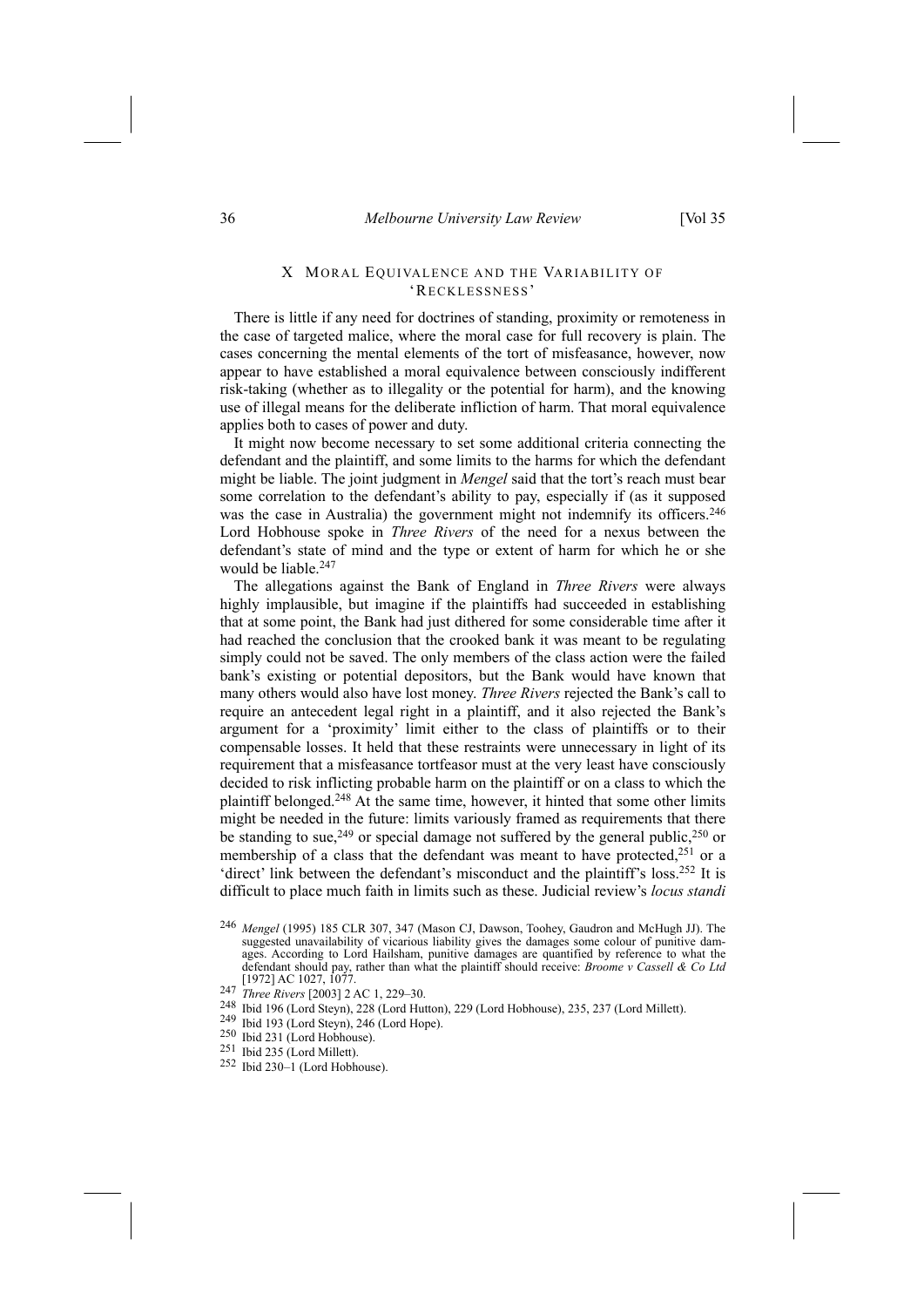# X MORAL EQUIVALENCE AND THE VARIABILITY OF 'RECKLESSNESS'

There is little if any need for doctrines of standing, proximity or remoteness in the case of targeted malice, where the moral case for full recovery is plain. The cases concerning the mental elements of the tort of misfeasance, however, now appear to have established a moral equivalence between consciously indifferent risk-taking (whether as to illegality or the potential for harm), and the knowing use of illegal means for the deliberate infliction of harm. That moral equivalence applies both to cases of power and duty.

It might now become necessary to set some additional criteria connecting the defendant and the plaintiff, and some limits to the harms for which the defendant might be liable. The joint judgment in *Mengel* said that the tort's reach must bear some correlation to the defendant's ability to pay, especially if (as it supposed was the case in Australia) the government might not indemnify its officers.<sup>246</sup> Lord Hobhouse spoke in *Three Rivers* of the need for a nexus between the defendant's state of mind and the type or extent of harm for which he or she would be liable.247

The allegations against the Bank of England in *Three Rivers* were always highly implausible, but imagine if the plaintiffs had succeeded in establishing that at some point, the Bank had just dithered for some considerable time after it had reached the conclusion that the crooked bank it was meant to be regulating simply could not be saved. The only members of the class action were the failed bank's existing or potential depositors, but the Bank would have known that many others would also have lost money. *Three Rivers* rejected the Bank's call to require an antecedent legal right in a plaintiff, and it also rejected the Bank's argument for a 'proximity' limit either to the class of plaintiffs or to their compensable losses. It held that these restraints were unnecessary in light of its requirement that a misfeasance tortfeasor must at the very least have consciously decided to risk inflicting probable harm on the plaintiff or on a class to which the plaintiff belonged.248 At the same time, however, it hinted that some other limits might be needed in the future: limits variously framed as requirements that there be standing to sue,<sup>249</sup> or special damage not suffered by the general public,<sup>250</sup> or membership of a class that the defendant was meant to have protected,<sup>251</sup> or a 'direct' link between the defendant's misconduct and the plaintiff's loss.252 It is difficult to place much faith in limits such as these. Judicial review's *locus standi*

- <sup>246</sup> *Mengel* (1995) 185 CLR 307, 347 (Mason CJ, Dawson, Toohey, Gaudron and McHugh JJ). The suggested unavailability of vicarious liability gives the damages some colour of punitive damages. According to Lord Hailsham, punitive damages are quantified by reference to what the defendant should pay, rather than what the plaintiff should receive: *Broome v Cassell & Co Ltd* [1972] AC 1027, 1077.
- <sup>247</sup> *Three Rivers* [2003] 2 AC 1, 229–30.
- <sup>248</sup> Ibid 196 (Lord Steyn), 228 (Lord Hutton), 229 (Lord Hobhouse), 235, 237 (Lord Millett).<br><sup>249</sup> Ibid 193 (Lord Steyn), 246 (Lord Hope).<br><sup>250</sup> Ibid 231 (Lord Hobhouse).<br><sup>251</sup> Ibid 235 (Lord Millett).<br><sup>251</sup> Ibid 235 (Lo
- 
- 
- 
-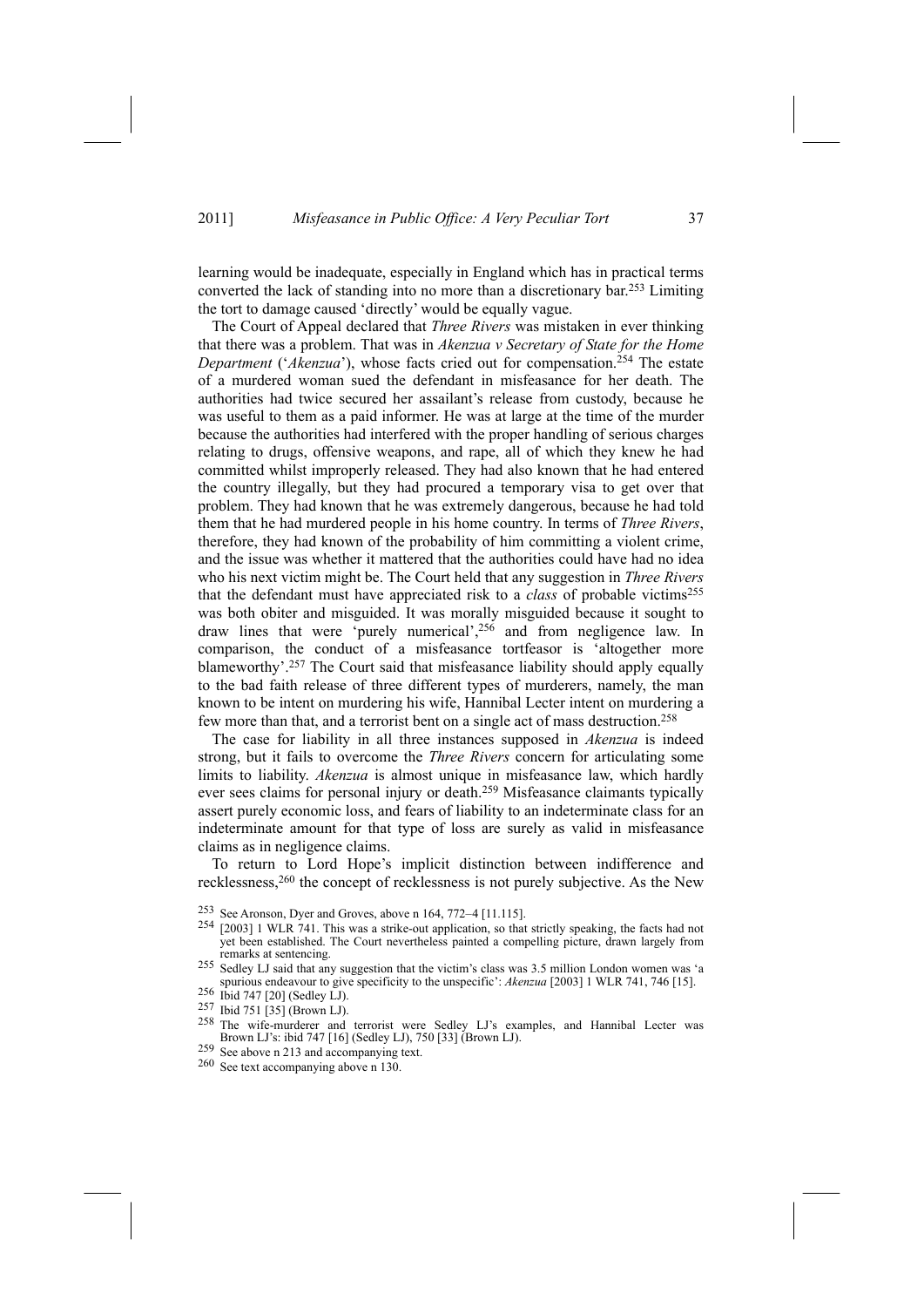learning would be inadequate, especially in England which has in practical terms converted the lack of standing into no more than a discretionary bar.253 Limiting the tort to damage caused 'directly' would be equally vague.

The Court of Appeal declared that *Three Rivers* was mistaken in ever thinking that there was a problem. That was in *Akenzua v Secretary of State for the Home Department* ('*Akenzua*'), whose facts cried out for compensation.254 The estate of a murdered woman sued the defendant in misfeasance for her death. The authorities had twice secured her assailant's release from custody, because he was useful to them as a paid informer. He was at large at the time of the murder because the authorities had interfered with the proper handling of serious charges relating to drugs, offensive weapons, and rape, all of which they knew he had committed whilst improperly released. They had also known that he had entered the country illegally, but they had procured a temporary visa to get over that problem. They had known that he was extremely dangerous, because he had told them that he had murdered people in his home country. In terms of *Three Rivers*, therefore, they had known of the probability of him committing a violent crime, and the issue was whether it mattered that the authorities could have had no idea who his next victim might be. The Court held that any suggestion in *Three Rivers* that the defendant must have appreciated risk to a *class* of probable victims255 was both obiter and misguided. It was morally misguided because it sought to draw lines that were 'purely numerical',256 and from negligence law. In comparison, the conduct of a misfeasance tortfeasor is 'altogether more blameworthy'.257 The Court said that misfeasance liability should apply equally to the bad faith release of three different types of murderers, namely, the man known to be intent on murdering his wife, Hannibal Lecter intent on murdering a few more than that, and a terrorist bent on a single act of mass destruction.<sup>258</sup>

The case for liability in all three instances supposed in *Akenzua* is indeed strong, but it fails to overcome the *Three Rivers* concern for articulating some limits to liability. *Akenzua* is almost unique in misfeasance law, which hardly ever sees claims for personal injury or death.259 Misfeasance claimants typically assert purely economic loss, and fears of liability to an indeterminate class for an indeterminate amount for that type of loss are surely as valid in misfeasance claims as in negligence claims.

To return to Lord Hope's implicit distinction between indifference and recklessness,<sup>260</sup> the concept of recklessness is not purely subjective. As the New

<sup>253</sup> See Aronson, Dyer and Groves, above n 164, 772–4 [11.115].<br><sup>254</sup> [2003] 1 WLR 741. This was a strike-out application, so that strictly speaking, the facts had not yet been established. The Court nevertheless painted a compelling picture, drawn largely from

- 256 Ibid 747 [20] (Sedley LJ).<br>
257 Ibid 751 [35] (Brown LJ).<br>
257 Ibid 751 [35] (Brown LJ).<br>
258 The wife-murderer and terrorist were Sedley LJ's examples, and Hannibal Lecter was<br>
Brown LJ's: ibid 747 [16] (Sedley LJ), 7
- $259$  See above n 213 and accompanying text.  $260$  See text accompanying above n 130.
- 

remarks at sentencing. 255 Sedley LJ said that any suggestion that the victim's class was 3.5 million London women was 'a spurious endeavour to give specificity to the unspecific': *Akenzua* [2003] 1 WLR 741, 746 [15]. Ibid 747 [20] (Sedley LJ).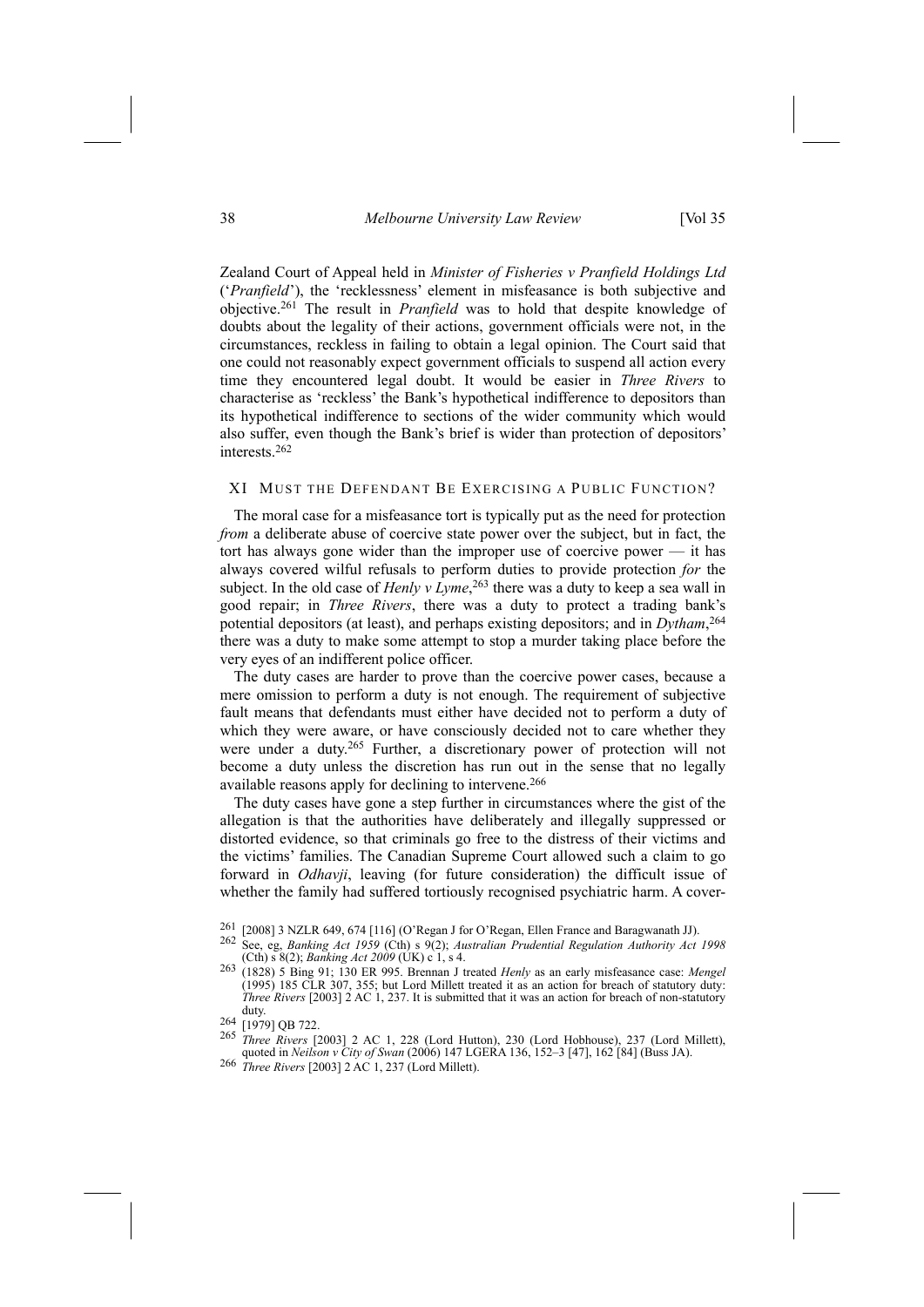38 *Melbourne University Law Review* [Vol 35

Zealand Court of Appeal held in *Minister of Fisheries v Pranfield Holdings Ltd* ('*Pranfield*'), the 'recklessness' element in misfeasance is both subjective and objective.261 The result in *Pranfield* was to hold that despite knowledge of doubts about the legality of their actions, government officials were not, in the circumstances, reckless in failing to obtain a legal opinion. The Court said that one could not reasonably expect government officials to suspend all action every time they encountered legal doubt. It would be easier in *Three Rivers* to characterise as 'reckless' the Bank's hypothetical indifference to depositors than its hypothetical indifference to sections of the wider community which would also suffer, even though the Bank's brief is wider than protection of depositors' interests.262

# XI MUST THE DEFENDANT BE EXERCISING A PUBLIC FUNCTION?

The moral case for a misfeasance tort is typically put as the need for protection *from* a deliberate abuse of coercive state power over the subject, but in fact, the tort has always gone wider than the improper use of coercive power — it has always covered wilful refusals to perform duties to provide protection *for* the subject. In the old case of *Henly v Lyme*, 263 there was a duty to keep a sea wall in good repair; in *Three Rivers*, there was a duty to protect a trading bank's potential depositors (at least), and perhaps existing depositors; and in *Dytham*, 264 there was a duty to make some attempt to stop a murder taking place before the very eyes of an indifferent police officer.

The duty cases are harder to prove than the coercive power cases, because a mere omission to perform a duty is not enough. The requirement of subjective fault means that defendants must either have decided not to perform a duty of which they were aware, or have consciously decided not to care whether they were under a duty.265 Further, a discretionary power of protection will not become a duty unless the discretion has run out in the sense that no legally available reasons apply for declining to intervene.<sup>266</sup>

The duty cases have gone a step further in circumstances where the gist of the allegation is that the authorities have deliberately and illegally suppressed or distorted evidence, so that criminals go free to the distress of their victims and the victims' families. The Canadian Supreme Court allowed such a claim to go forward in *Odhavji*, leaving (for future consideration) the difficult issue of whether the family had suffered tortiously recognised psychiatric harm. A cover-

- <sup>261</sup> [2008] 3 NZLR 649, 674 [116] (O'Regan J for O'Regan, Ellen France and Baragwanath JJ).<br><sup>262</sup> See, eg, *Banking Act 1959* (Cth) s 9(2); *Australian Prudential Regulation Authority Act 1998* (Cth) s 8(2); *Banking Act*
- (Cth) s 8(2); *Banking Act <sup>2009</sup>* (UK) c 1, s 4. 263 (1828) 5 Bing 91; 130 ER 995. Brennan J treated *Henly* as an early misfeasance case: *Mengel*  $(1995)$  185 CLR 307, 355; but Lord Millett treated it as an action for breach of statutory duty: *Three Rivers* [2003] 2 AC 1, 237. It is submitted that it was an action for breach of non-statutory duty.

- <sup>265</sup> *Three Rivers* [2003] 2 AC 1, 228 (Lord Hutton), 230 (Lord Hobhouse), 237 (Lord Millett), quoted in *Neilson <sup>v</sup> City of Swan* (2006) 147 LGERA 136, 152–3 [47], 162 [84] (Buss JA). 266 *Three Rivers* [2003] 2 AC 1, 237 (Lord Millett).
- 

 $\frac{264}{265}$  [1979] QB 722.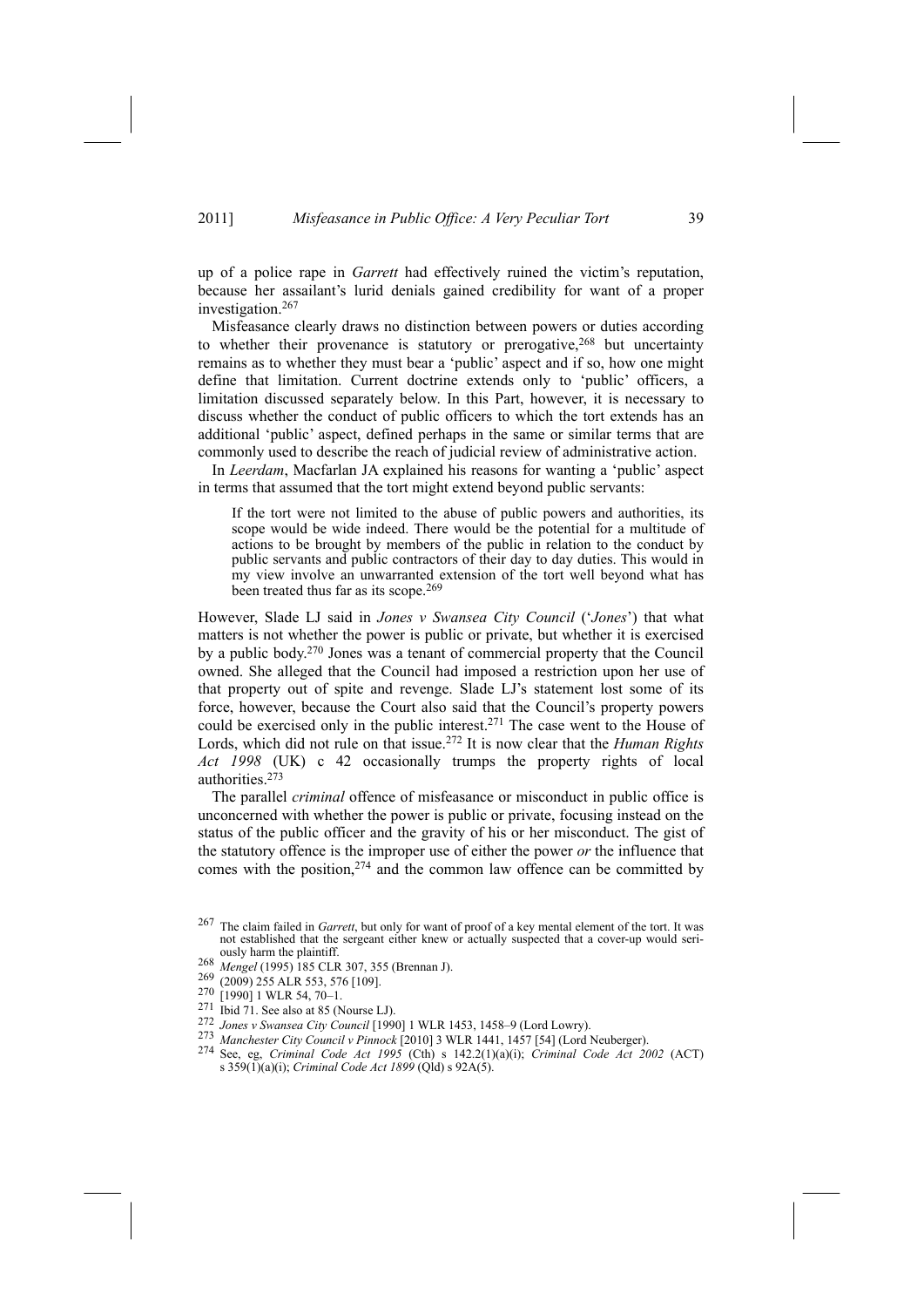up of a police rape in *Garrett* had effectively ruined the victim's reputation, because her assailant's lurid denials gained credibility for want of a proper investigation.267

Misfeasance clearly draws no distinction between powers or duties according to whether their provenance is statutory or prerogative,<sup>268</sup> but uncertainty remains as to whether they must bear a 'public' aspect and if so, how one might define that limitation. Current doctrine extends only to 'public' officers, a limitation discussed separately below. In this Part, however, it is necessary to discuss whether the conduct of public officers to which the tort extends has an additional 'public' aspect, defined perhaps in the same or similar terms that are commonly used to describe the reach of judicial review of administrative action.

In *Leerdam*, Macfarlan JA explained his reasons for wanting a 'public' aspect in terms that assumed that the tort might extend beyond public servants:

If the tort were not limited to the abuse of public powers and authorities, its scope would be wide indeed. There would be the potential for a multitude of actions to be brought by members of the public in relation to the conduct by public servants and public contractors of their day to day duties. This would in my view involve an unwarranted extension of the tort well beyond what has been treated thus far as its scope.269

However, Slade LJ said in *Jones v Swansea City Council* ('*Jones*') that what matters is not whether the power is public or private, but whether it is exercised by a public body.270 Jones was a tenant of commercial property that the Council owned. She alleged that the Council had imposed a restriction upon her use of that property out of spite and revenge. Slade LJ's statement lost some of its force, however, because the Court also said that the Council's property powers could be exercised only in the public interest.<sup>271</sup> The case went to the House of Lords, which did not rule on that issue.272 It is now clear that the *Human Rights Act 1998* (UK) c 42 occasionally trumps the property rights of local authorities.273

The parallel *criminal* offence of misfeasance or misconduct in public office is unconcerned with whether the power is public or private, focusing instead on the status of the public officer and the gravity of his or her misconduct. The gist of the statutory offence is the improper use of either the power *or* the influence that comes with the position, $274$  and the common law offence can be committed by

<sup>267</sup> The claim failed in *Garrett*, but only for want of proof of a key mental element of the tort. It was not established that the sergeant either knew or actually suspected that a cover-up would seri-

ously harm the plaintiff.<br>
268 *Mengel* (1995) 185 CLR 307, 355 (Brennan J).<br>
269 (2009) 255 ALR 553, 576 [109].<br>
270 [1990] 1 WLR 54, 70–1.<br>
271 Ibid 71. See also at 85 (Nourse LJ).

<sup>&</sup>lt;sup>272</sup> Jones v Swansea City Council [1990] 1 WLR 1453, 1458-9 (Lord Lowry).<br><sup>273</sup> Manchester City Council v Pinnock [2010] 3 WLR 1441, 1457 [54] (Lord Neuberger).<br><sup>274</sup> See, eg, *Criminal Code Act 1995* (Cth) s 142.2(1)(a) s 359(1)(a)(i); *Criminal Code Act 1899* (Qld) s 92A(5).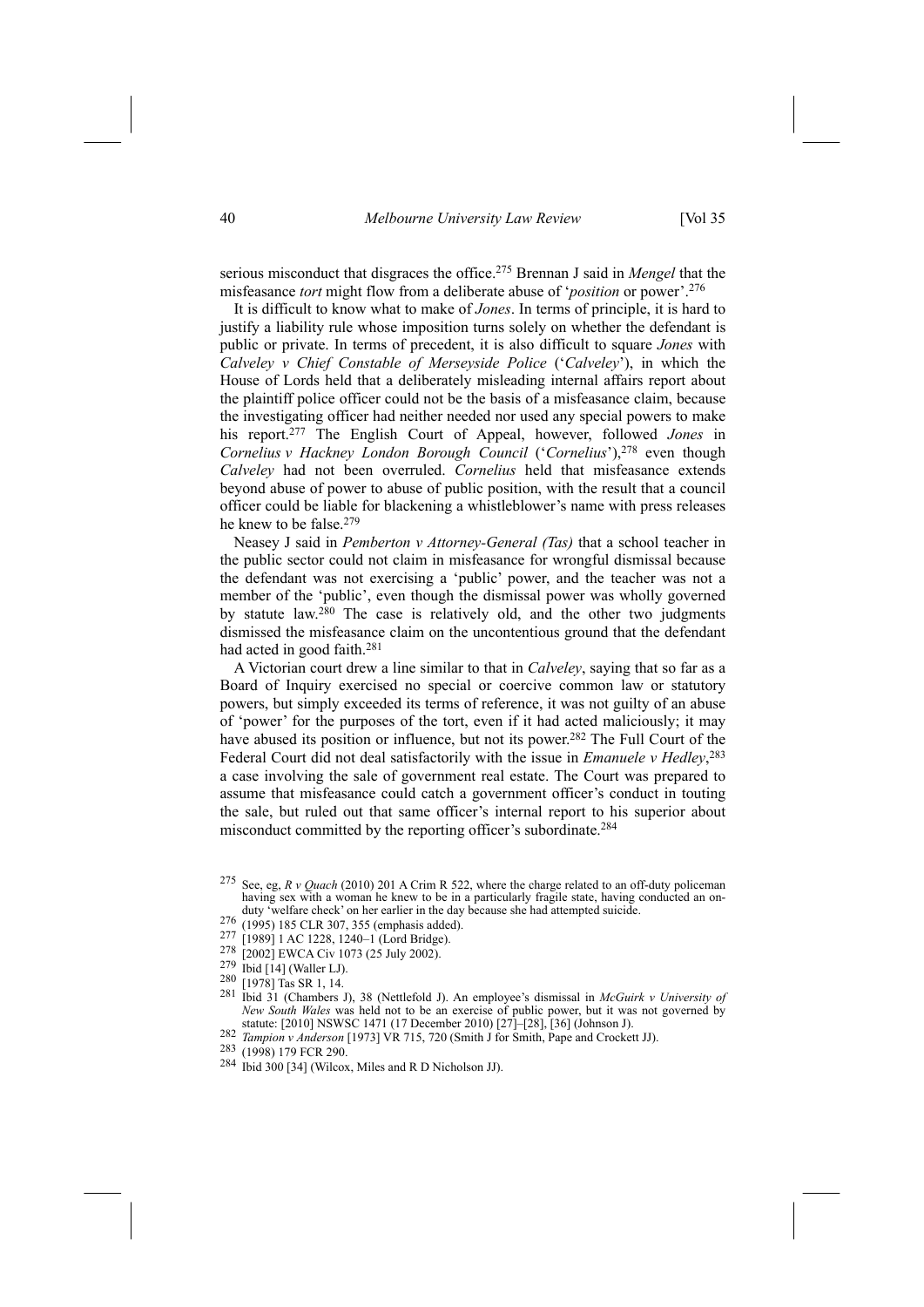serious misconduct that disgraces the office.275 Brennan J said in *Mengel* that the misfeasance *tort* might flow from a deliberate abuse of '*position* or power'.276

It is difficult to know what to make of *Jones*. In terms of principle, it is hard to justify a liability rule whose imposition turns solely on whether the defendant is public or private. In terms of precedent, it is also difficult to square *Jones* with *Calveley v Chief Constable of Merseyside Police* ('*Calveley*'), in which the House of Lords held that a deliberately misleading internal affairs report about the plaintiff police officer could not be the basis of a misfeasance claim, because the investigating officer had neither needed nor used any special powers to make his report.277 The English Court of Appeal, however, followed *Jones* in *Cornelius v Hackney London Borough Council* ('*Cornelius*'),278 even though *Calveley* had not been overruled. *Cornelius* held that misfeasance extends beyond abuse of power to abuse of public position, with the result that a council officer could be liable for blackening a whistleblower's name with press releases he knew to be false.279

Neasey J said in *Pemberton v Attorney-General (Tas)* that a school teacher in the public sector could not claim in misfeasance for wrongful dismissal because the defendant was not exercising a 'public' power, and the teacher was not a member of the 'public', even though the dismissal power was wholly governed by statute law.280 The case is relatively old, and the other two judgments dismissed the misfeasance claim on the uncontentious ground that the defendant had acted in good faith.281

A Victorian court drew a line similar to that in *Calveley*, saying that so far as a Board of Inquiry exercised no special or coercive common law or statutory powers, but simply exceeded its terms of reference, it was not guilty of an abuse of 'power' for the purposes of the tort, even if it had acted maliciously; it may have abused its position or influence, but not its power.<sup>282</sup> The Full Court of the Federal Court did not deal satisfactorily with the issue in *Emanuele v Hedley*, 283 a case involving the sale of government real estate. The Court was prepared to assume that misfeasance could catch a government officer's conduct in touting the sale, but ruled out that same officer's internal report to his superior about misconduct committed by the reporting officer's subordinate.284

- 
- 
- 
- 
- 281 Ibid 31 (Chambers J), 38 (Nettlefold J). An employee's dismissal in *McGuirk v University of New South Wales* was held not to be an exercise of public power, but it was not governed by statute: [2010] NSWSC 1471 (17 December 2010) [27]–[28], [36] (Johnson J).
- 282 Tampion v Anderson [1973] VR 715, 720 (Smith  $\hat{J}$  for Smith, Pape and Crockett JJ).<br>283 (1998) 179 FCR 290.<br>284 Ibid 300 [34] (Wilcox, Miles and R D Nicholson JJ).
- 
- 

<sup>275</sup> See, eg, *R v Quach* (2010) 201 A Crim R 522, where the charge related to an off-duty policeman having sex with a woman he knew to be in a particularly fragile state, having conducted an on-<br>duty 'welfare check' on her earlier in the day because she had attempted suicide.

<sup>276 (1995) 185</sup> CLR 307, 355 (emphasis added).<br>
277 [1989] 1 AC 1228, 1240-1 (Lord Bridge).<br>
278 [2002] EWCA Civ 1073 (25 July 2002).<br>
279 Ibid [14] (Waller LJ).<br>
280 [1978] Tas SR 1, 14.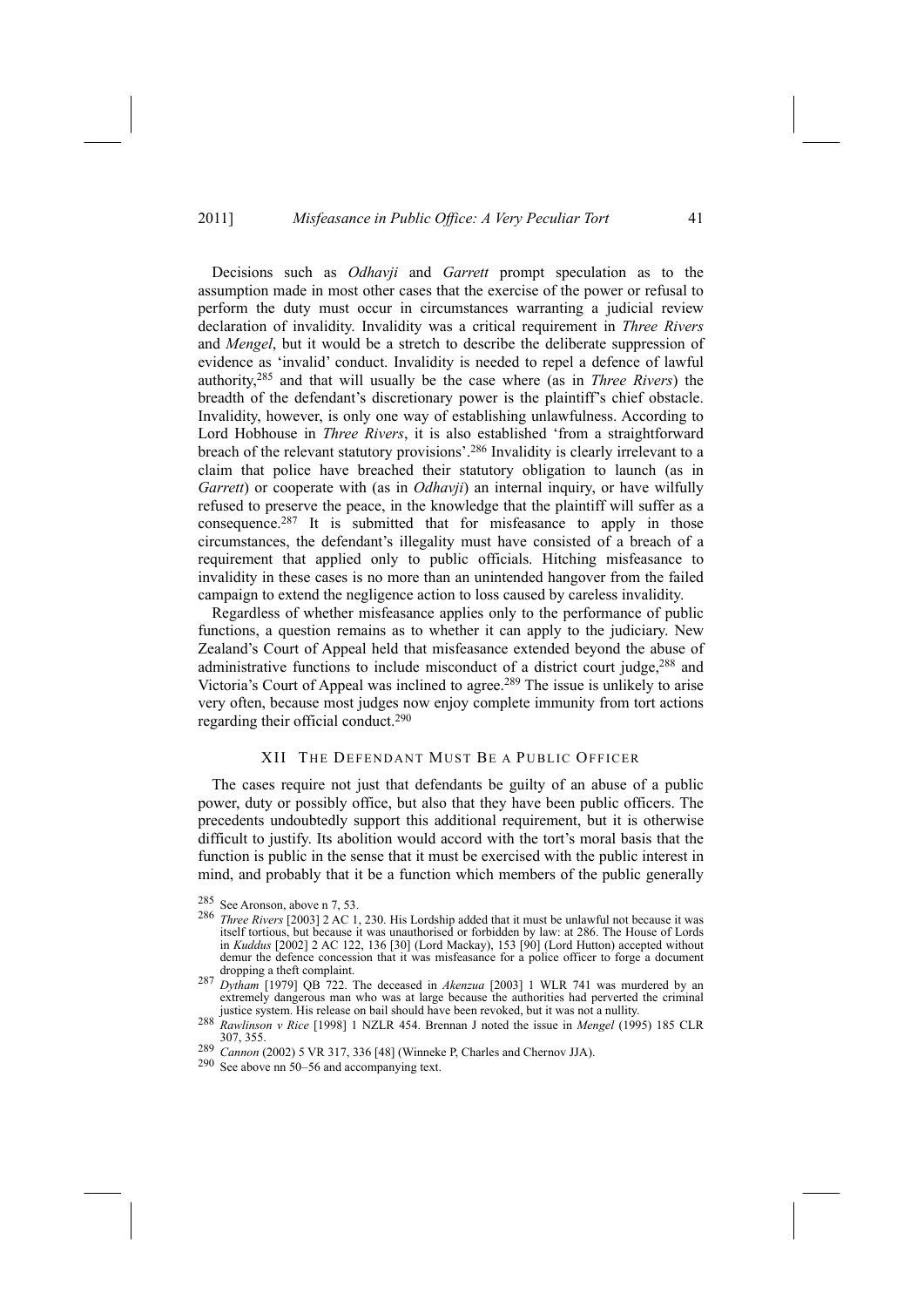Decisions such as *Odhavji* and *Garrett* prompt speculation as to the assumption made in most other cases that the exercise of the power or refusal to perform the duty must occur in circumstances warranting a judicial review declaration of invalidity. Invalidity was a critical requirement in *Three Rivers* and *Mengel*, but it would be a stretch to describe the deliberate suppression of evidence as 'invalid' conduct. Invalidity is needed to repel a defence of lawful authority,285 and that will usually be the case where (as in *Three Rivers*) the breadth of the defendant's discretionary power is the plaintiff's chief obstacle. Invalidity, however, is only one way of establishing unlawfulness. According to Lord Hobhouse in *Three Rivers*, it is also established 'from a straightforward breach of the relevant statutory provisions'.286 Invalidity is clearly irrelevant to a claim that police have breached their statutory obligation to launch (as in *Garrett*) or cooperate with (as in *Odhavji*) an internal inquiry, or have wilfully refused to preserve the peace, in the knowledge that the plaintiff will suffer as a consequence.287 It is submitted that for misfeasance to apply in those circumstances, the defendant's illegality must have consisted of a breach of a requirement that applied only to public officials. Hitching misfeasance to invalidity in these cases is no more than an unintended hangover from the failed campaign to extend the negligence action to loss caused by careless invalidity.

Regardless of whether misfeasance applies only to the performance of public functions, a question remains as to whether it can apply to the judiciary. New Zealand's Court of Appeal held that misfeasance extended beyond the abuse of administrative functions to include misconduct of a district court judge,288 and Victoria's Court of Appeal was inclined to agree.<sup>289</sup> The issue is unlikely to arise very often, because most judges now enjoy complete immunity from tort actions regarding their official conduct.290

#### XII THE DEFENDANT MUST BE A PUBLIC OFFICER

The cases require not just that defendants be guilty of an abuse of a public power, duty or possibly office, but also that they have been public officers. The precedents undoubtedly support this additional requirement, but it is otherwise difficult to justify. Its abolition would accord with the tort's moral basis that the function is public in the sense that it must be exercised with the public interest in mind, and probably that it be a function which members of the public generally

<sup>285</sup> See Aronson, above n 7, 53.

<sup>286</sup> *Three Rivers* [2003] 2 AC 1, 230. His Lordship added that it must be unlawful not because it was itself tortious, but because it was unauthorised or forbidden by law: at 286. The House of Lords in *Kuddus* [2002] 2 AC 122, 136 [30] (Lord Mackay), 153 [90] (Lord Hutton) accepted without defence concession that it was misfeasance for a police officer to forge a document<br>dropping a theft complaint.

dropping a theft complaint. 287 *Dytham* [1979] QB 722. The deceased in *Akenzua* [2003] 1 WLR 741 was murdered by an extremely dangerous man who was at large because the authorities had perverted the criminal justice system. His release on bail should have been revoked, but it was not a nullity.

justice system. His release on bail should have been revoked, but it was not a nullity. 288 *Rawlinson <sup>v</sup> Rice* [1998] 1 NZLR 454. Brennan J noted the issue in *Mengel* (1995) 185 CLR 307, 355.

<sup>289</sup> *Cannon* (2002) 5 VR 317, 336 [48] (Winneke P, Charles and Chernov JJA). 290 See above nn 50–56 and accompanying text.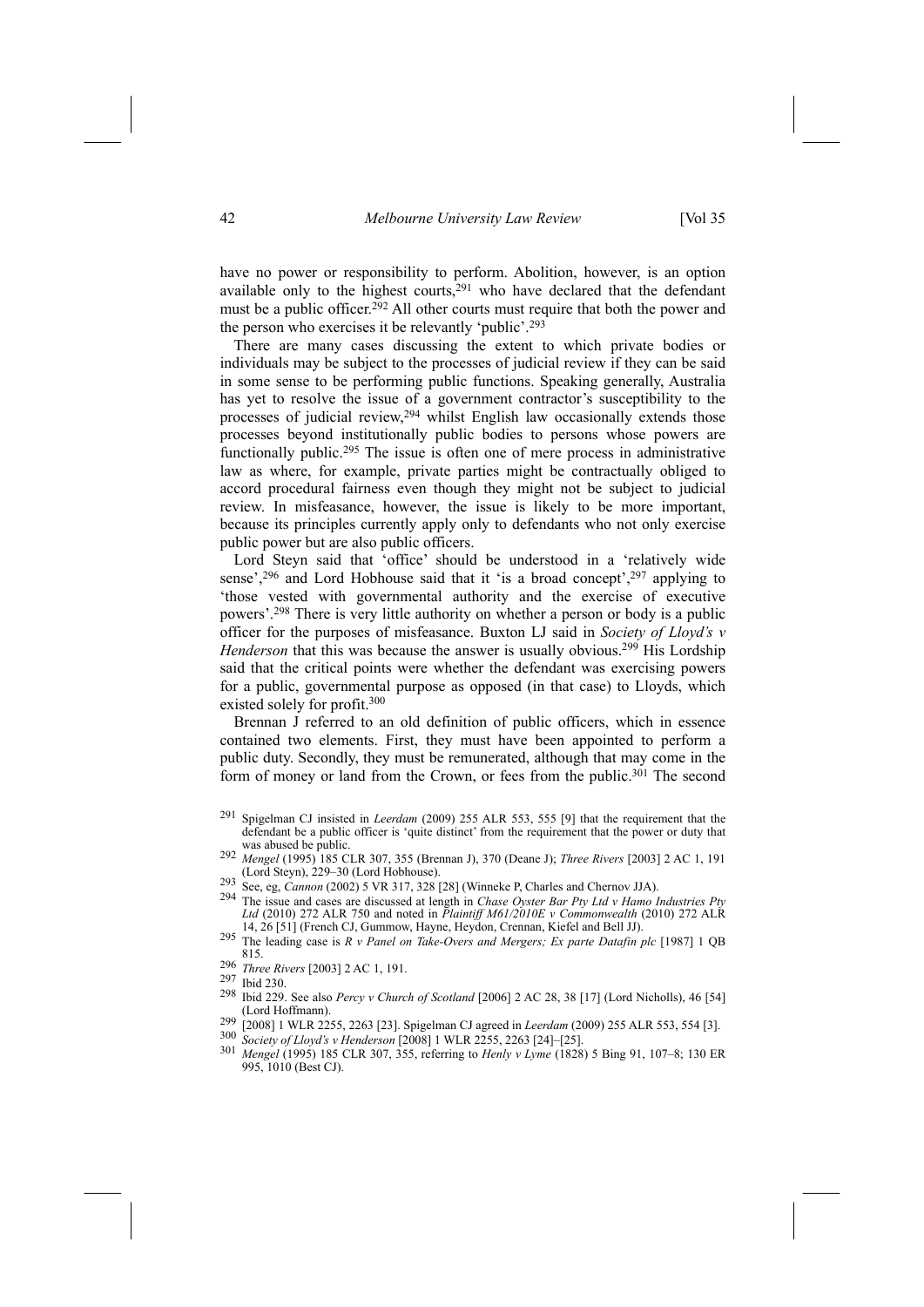have no power or responsibility to perform. Abolition, however, is an option available only to the highest courts, $291$  who have declared that the defendant must be a public officer.<sup>292</sup> All other courts must require that both the power and the person who exercises it be relevantly 'public'.293

There are many cases discussing the extent to which private bodies or individuals may be subject to the processes of judicial review if they can be said in some sense to be performing public functions. Speaking generally, Australia has yet to resolve the issue of a government contractor's susceptibility to the processes of judicial review,<sup>294</sup> whilst English law occasionally extends those processes beyond institutionally public bodies to persons whose powers are functionally public.295 The issue is often one of mere process in administrative law as where, for example, private parties might be contractually obliged to accord procedural fairness even though they might not be subject to judicial review. In misfeasance, however, the issue is likely to be more important, because its principles currently apply only to defendants who not only exercise public power but are also public officers.

Lord Steyn said that 'office' should be understood in a 'relatively wide sense',<sup>296</sup> and Lord Hobhouse said that it 'is a broad concept',<sup>297</sup> applying to 'those vested with governmental authority and the exercise of executive powers'.298 There is very little authority on whether a person or body is a public officer for the purposes of misfeasance. Buxton LJ said in *Society of Lloyd's v Henderson* that this was because the answer is usually obvious.<sup>299</sup> His Lordship said that the critical points were whether the defendant was exercising powers for a public, governmental purpose as opposed (in that case) to Lloyds, which existed solely for profit.300

Brennan J referred to an old definition of public officers, which in essence contained two elements. First, they must have been appointed to perform a public duty. Secondly, they must be remunerated, although that may come in the form of money or land from the Crown, or fees from the public.<sup>301</sup> The second

- 292 *Mengel* (1995) 185 CLR 307, 355 (Brennan J), 370 (Deane J); *Three Rivers* [2003] 2 AC 1, 191<br>(Lord Steyn), 229–30 (Lord Hobhouse).
- 
- 293 See, eg, *Cannon* (2002) 5 VR 317, 328 [28] (Winneke P, Charles and Chernov JJA).<br><sup>294</sup> The issue and cases are discussed at length in *Chase Oyster Bar Pty Ltd v Hamo Industries Pty Ltd* (2010) 272 ALR 750 and noted in *Plaintiff M61/2010E v Commonwealth* (2010) 272 ALR
- 295 The leading case is  $R$  v Panel on Take-Overs and Mergers; Ex parte Datafin plc [1987] 1 QB 815.
- <sup>296</sup> *Three Rivers* [2003] 2 AC 1, 191.
- 297 Ibid 230.
- 298 Ibid 229. See also *Percy v Church of Scotland* [2006] 2 AC 28, 38 [17] (Lord Nicholls), 46 [54]
- 299 [2008] 1 WLR 2255, 2263 [23]. Spigelman CJ agreed in *Leerdam* (2009) 255 ALR 553, 554 [3].<br>
300 *Society of Lloyd's v Henderson* [2008] 1 WLR 2255, 2263 [24]–[25].<br>
301 *Mennel (1005)* 185 CLR 207, 255 referring to
- 
- <sup>301</sup> *Mengel* (1995) 185 CLR 307, 355, referring to *Henly v Lyme* (1828) 5 Bing 91, 107–8; 130 ER 995, 1010 (Best CJ).

<sup>291</sup> Spigelman CJ insisted in *Leerdam* (2009) 255 ALR 553, 555 [9] that the requirement that the defendant be a public officer is 'quite distinct' from the requirement that the power or duty that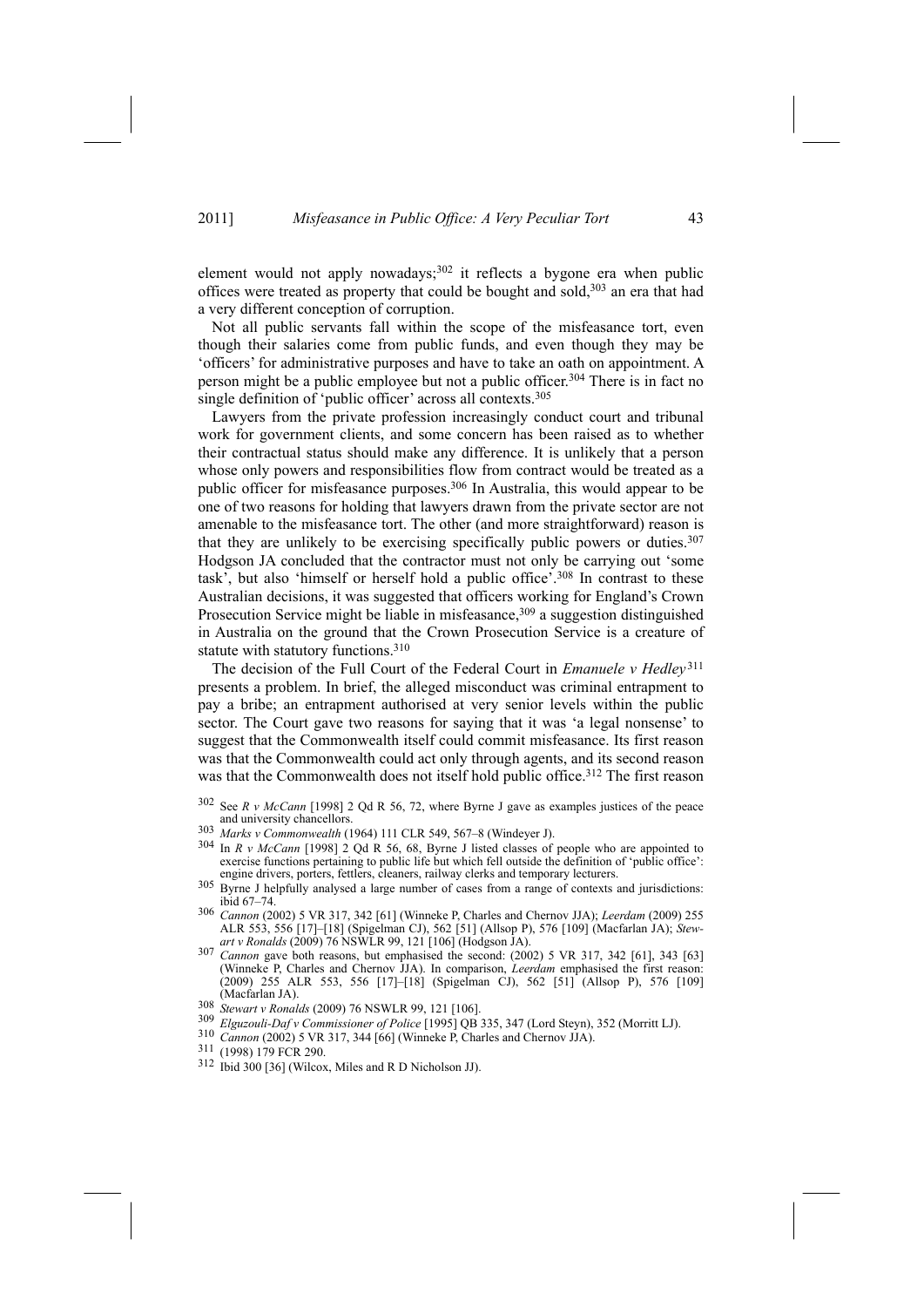element would not apply nowadays;<sup>302</sup> it reflects a bygone era when public offices were treated as property that could be bought and sold,303 an era that had a very different conception of corruption.

Not all public servants fall within the scope of the misfeasance tort, even though their salaries come from public funds, and even though they may be 'officers' for administrative purposes and have to take an oath on appointment. A person might be a public employee but not a public officer.304 There is in fact no single definition of 'public officer' across all contexts.<sup>305</sup>

Lawyers from the private profession increasingly conduct court and tribunal work for government clients, and some concern has been raised as to whether their contractual status should make any difference. It is unlikely that a person whose only powers and responsibilities flow from contract would be treated as a public officer for misfeasance purposes.<sup>306</sup> In Australia, this would appear to be one of two reasons for holding that lawyers drawn from the private sector are not amenable to the misfeasance tort. The other (and more straightforward) reason is that they are unlikely to be exercising specifically public powers or duties. $307$ Hodgson JA concluded that the contractor must not only be carrying out 'some task', but also 'himself or herself hold a public office'.308 In contrast to these Australian decisions, it was suggested that officers working for England's Crown Prosecution Service might be liable in misfeasance,<sup>309</sup> a suggestion distinguished in Australia on the ground that the Crown Prosecution Service is a creature of statute with statutory functions.<sup>310</sup>

The decision of the Full Court of the Federal Court in *Emanuele v Hedley* <sup>311</sup> presents a problem. In brief, the alleged misconduct was criminal entrapment to pay a bribe; an entrapment authorised at very senior levels within the public sector. The Court gave two reasons for saying that it was 'a legal nonsense' to suggest that the Commonwealth itself could commit misfeasance. Its first reason was that the Commonwealth could act only through agents, and its second reason was that the Commonwealth does not itself hold public office.<sup>312</sup> The first reason

- 302 See *R v McCann* [1998] 2 Qd R 56, 72, where Byrne J gave as examples justices of the peace
- 
- 303 Marks v Commonwealth (1964) 111 CLR 549, 567–8 (Windeyer J).<br>304 In R v McCann [1998] 2 Qd R 56, 68, Byrne J listed classes of people who are appointed to exercise functions pertaining to public life but which fell outside the definition of 'public office':<br>engine drivers, porters, fettlers, cleaners, railway clerks and temporary lecturers.
- Byrne J helpfully analysed a large number of cases from a range of contexts and jurisdictions: ibid 67–74.
- <sup>306</sup> *Cannon* (2002) 5 VR 317, 342 [61] (Winneke P, Charles and Chernov JJA); *Leerdam* (2009) 255 ALR 553, 556 [17]–[18] (Spigelman CJ), 562 [51] (Allsop P), 576 [109] (Macfarlan JA); *Stew-*
- <sup>307</sup> *Cannon* gave both reasons, but emphasised the second: (2002) 5 VR 317, 342 [61], 343 [63] (Winneke P, Charles and Chernov JJA). In comparison, *Leerdam* emphasised the first reason: (2009) 255 ALR 553, 556 [17]–[18] (Spigelman CJ), 562 [51] (Allsop P), 576 [109] (Macfarlan JA).<br>
308 Stewart v Ronalds (2009) 76 NSWLR 99, 121 [106].<br>
309 Elguzouli-Daf v Commissioner of Police [1995] QB 335, 347 (Lord Steyn), 352 (Morritt LJ).<br>
310 Cannon (2002) 5 VR 317, 344 [66] (Winneke P, Charles
- 
- 
- 
- 
-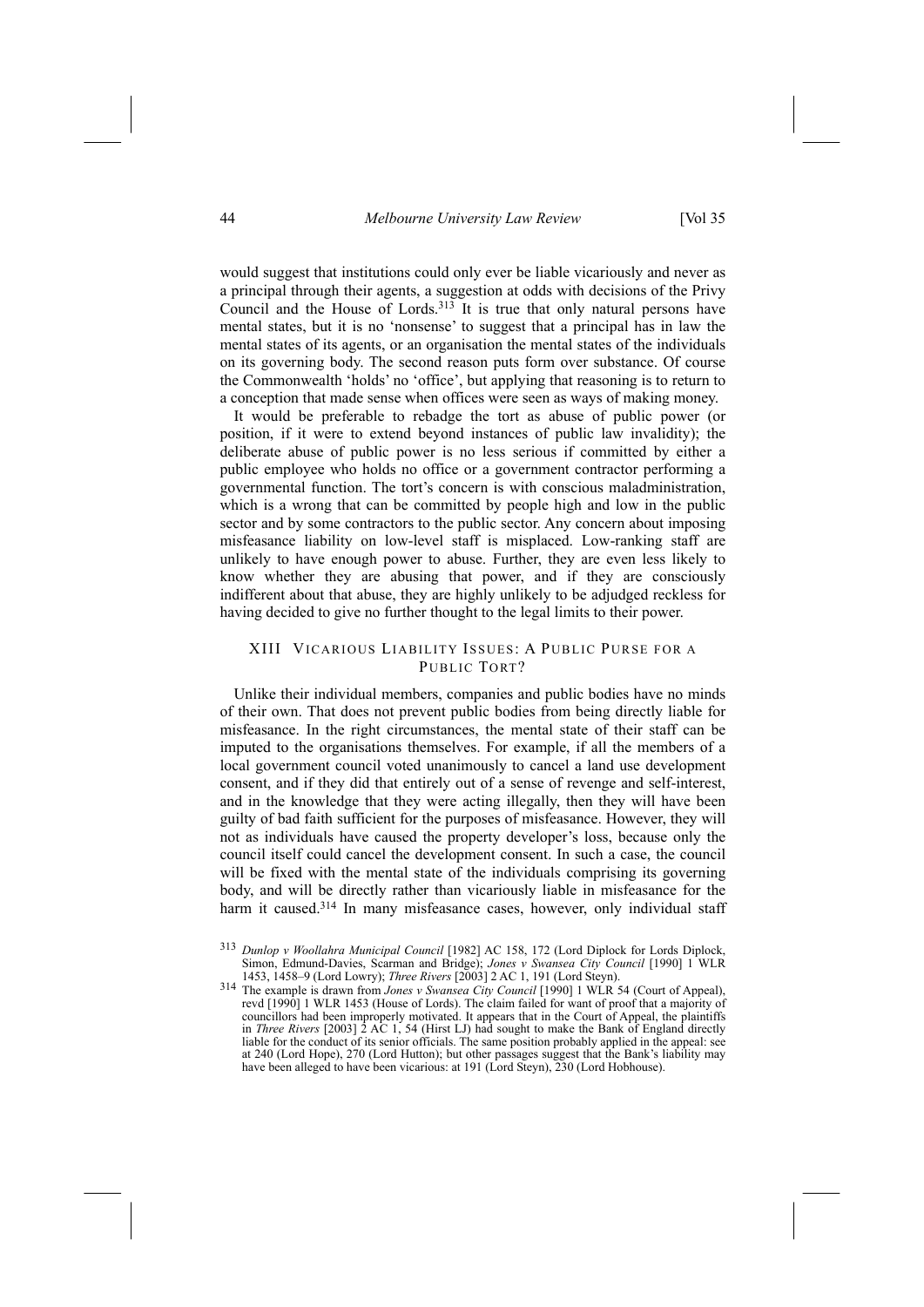would suggest that institutions could only ever be liable vicariously and never as a principal through their agents, a suggestion at odds with decisions of the Privy Council and the House of Lords.<sup>313</sup> It is true that only natural persons have mental states, but it is no 'nonsense' to suggest that a principal has in law the mental states of its agents, or an organisation the mental states of the individuals on its governing body. The second reason puts form over substance. Of course the Commonwealth 'holds' no 'office', but applying that reasoning is to return to a conception that made sense when offices were seen as ways of making money.

It would be preferable to rebadge the tort as abuse of public power (or position, if it were to extend beyond instances of public law invalidity); the deliberate abuse of public power is no less serious if committed by either a public employee who holds no office or a government contractor performing a governmental function. The tort's concern is with conscious maladministration, which is a wrong that can be committed by people high and low in the public sector and by some contractors to the public sector. Any concern about imposing misfeasance liability on low-level staff is misplaced. Low-ranking staff are unlikely to have enough power to abuse. Further, they are even less likely to know whether they are abusing that power, and if they are consciously indifferent about that abuse, they are highly unlikely to be adjudged reckless for having decided to give no further thought to the legal limits to their power.

# XIII VICARIOUS LIABILITY ISSUES: A PUBLIC PURSE FOR A PUBLIC TORT?

Unlike their individual members, companies and public bodies have no minds of their own. That does not prevent public bodies from being directly liable for misfeasance. In the right circumstances, the mental state of their staff can be imputed to the organisations themselves. For example, if all the members of a local government council voted unanimously to cancel a land use development consent, and if they did that entirely out of a sense of revenge and self-interest, and in the knowledge that they were acting illegally, then they will have been guilty of bad faith sufficient for the purposes of misfeasance. However, they will not as individuals have caused the property developer's loss, because only the council itself could cancel the development consent. In such a case, the council will be fixed with the mental state of the individuals comprising its governing body, and will be directly rather than vicariously liable in misfeasance for the harm it caused.<sup>314</sup> In many misfeasance cases, however, only individual staff

<sup>313</sup> *Dunlop v Woollahra Municipal Council* [1982] AC 158, 172 (Lord Diplock for Lords Diplock, Simon, Edmund-Davies, Scarman and Bridge); *Jones v Swansea City Council* [1990] 1 WLR

<sup>1453, 1458–9 (</sup>Lord Lowry); *Three Rivers* [2003] 2 AC 1, 191 (Lord Steyn). 314 The example is drawn from *Jones <sup>v</sup> Swansea City Council* [1990] 1 WLR 54 (Court of Appeal), revd [1990] 1 WLR 1453 (House of Lords). The claim failed for want of proof that a majority of councillors had been improperly motivated. It appears that in the Court of Appeal, the plaintiffs in *Three Rivers* [2003] 2 AC 1, 54 (Hirst LJ) had sought to make the Bank of England directly liable for the conduct of its senior officials. The same position probably applied in the appeal: see at 240 (Lord Hope), 270 (Lord Hutton); but other passages suggest that the Bank's liability may have been alleged to have been vicarious: at 191 (Lord Steyn), 230 (Lord Hobhouse).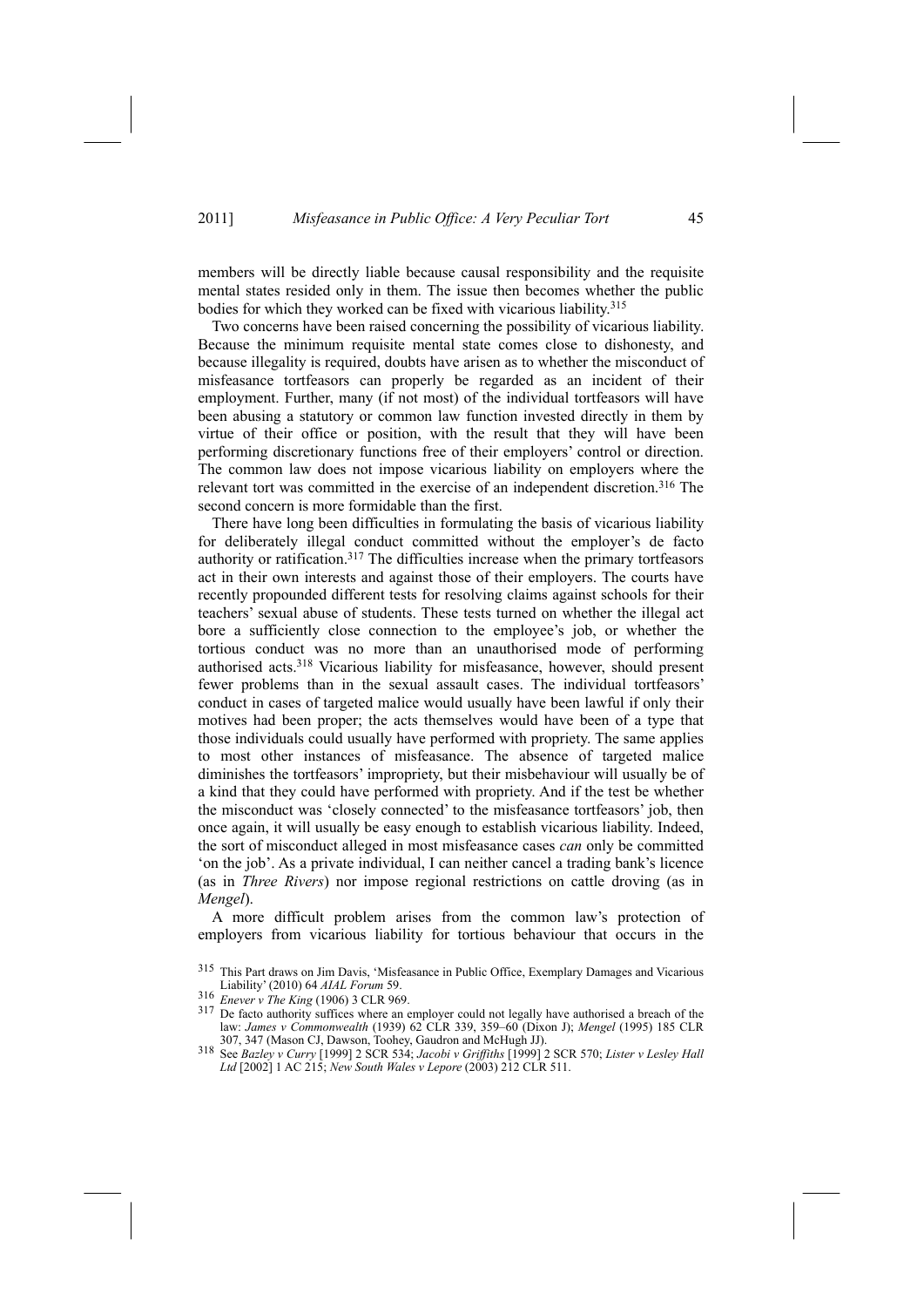members will be directly liable because causal responsibility and the requisite mental states resided only in them. The issue then becomes whether the public bodies for which they worked can be fixed with vicarious liability.315

Two concerns have been raised concerning the possibility of vicarious liability. Because the minimum requisite mental state comes close to dishonesty, and because illegality is required, doubts have arisen as to whether the misconduct of misfeasance tortfeasors can properly be regarded as an incident of their employment. Further, many (if not most) of the individual tortfeasors will have been abusing a statutory or common law function invested directly in them by virtue of their office or position, with the result that they will have been performing discretionary functions free of their employers' control or direction. The common law does not impose vicarious liability on employers where the relevant tort was committed in the exercise of an independent discretion.316 The second concern is more formidable than the first.

There have long been difficulties in formulating the basis of vicarious liability for deliberately illegal conduct committed without the employer's de facto authority or ratification.317 The difficulties increase when the primary tortfeasors act in their own interests and against those of their employers. The courts have recently propounded different tests for resolving claims against schools for their teachers' sexual abuse of students. These tests turned on whether the illegal act bore a sufficiently close connection to the employee's job, or whether the tortious conduct was no more than an unauthorised mode of performing authorised acts.318 Vicarious liability for misfeasance, however, should present fewer problems than in the sexual assault cases. The individual tortfeasors' conduct in cases of targeted malice would usually have been lawful if only their motives had been proper; the acts themselves would have been of a type that those individuals could usually have performed with propriety. The same applies to most other instances of misfeasance. The absence of targeted malice diminishes the tortfeasors' impropriety, but their misbehaviour will usually be of a kind that they could have performed with propriety. And if the test be whether the misconduct was 'closely connected' to the misfeasance tortfeasors' job, then once again, it will usually be easy enough to establish vicarious liability. Indeed, the sort of misconduct alleged in most misfeasance cases *can* only be committed 'on the job'. As a private individual, I can neither cancel a trading bank's licence (as in *Three Rivers*) nor impose regional restrictions on cattle droving (as in *Mengel*).

A more difficult problem arises from the common law's protection of employers from vicarious liability for tortious behaviour that occurs in the

<sup>315</sup> This Part draws on Jim Davis, 'Misfeasance in Public Office, Exemplary Damages and Vicarious Liability' (2010) 64 *AIAL Forum* 59.

<sup>&</sup>lt;sup>317</sup> De facto authority suffices where an employer could not legally have authorised a breach of the law: *James v Commonwealth* (1939) 62 CLR 339, 359–60 (Dixon J); *Mengel* (1995) 185 CLR 307, 347 (Mason CJ, Dawson, Toohey, Gaudron and McHugh JJ). 307, 347 (Mason CJ, Dawson, Toohey, Gaudron and McHugh JJ).<br><sup>318</sup> See Bazley v Curry [1999] 2 SCR 534; Jacobi v Griffiths [1999] 2 SCR 570; Lister v Lesley Hall

*Ltd* [2002] 1 AC 215; *New South Wales v Lepore* (2003) 212 CLR 511.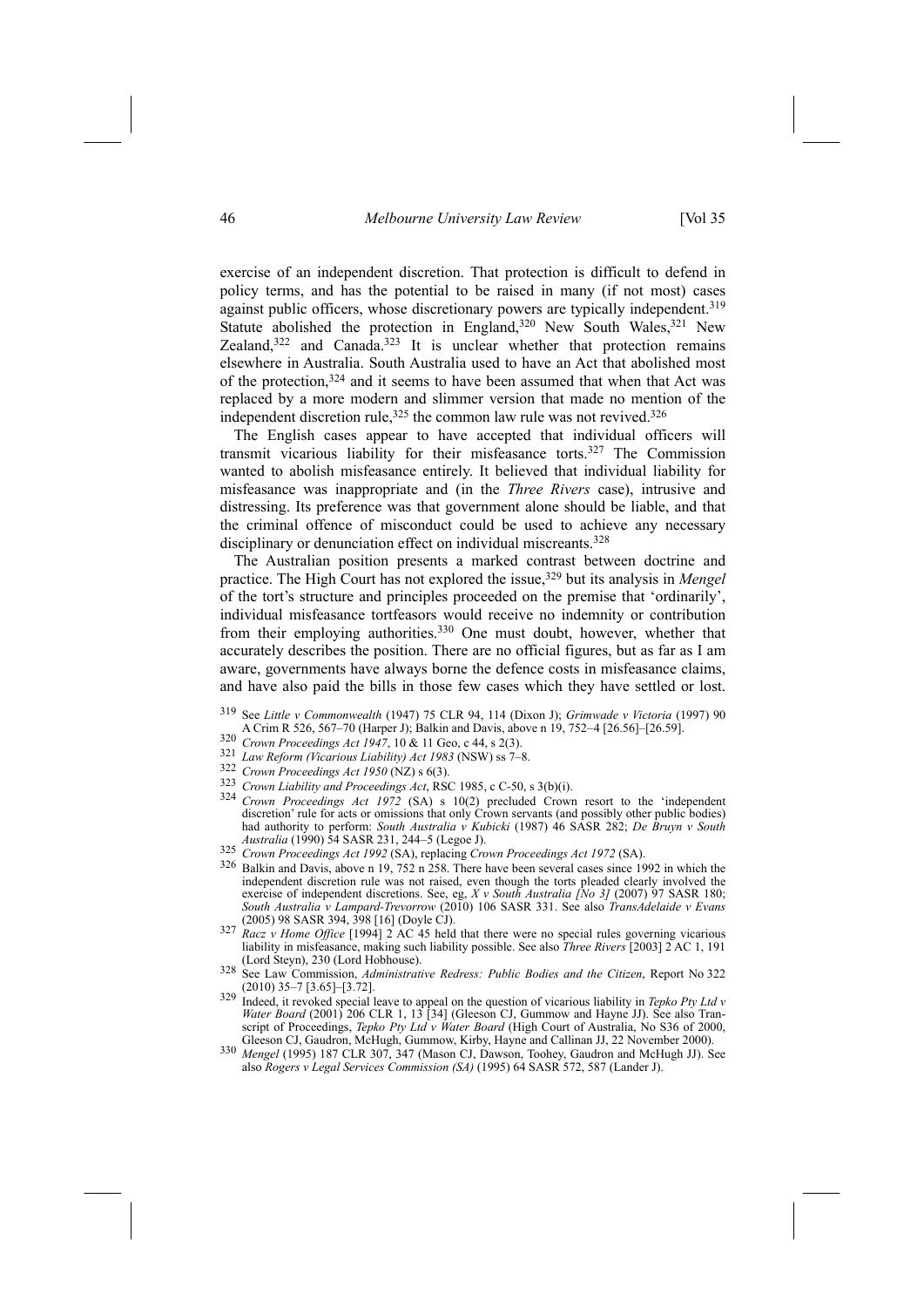exercise of an independent discretion. That protection is difficult to defend in policy terms, and has the potential to be raised in many (if not most) cases against public officers, whose discretionary powers are typically independent.<sup>319</sup> Statute abolished the protection in England,<sup>320</sup> New South Wales,<sup>321</sup> New Zealand,322 and Canada.323 It is unclear whether that protection remains elsewhere in Australia. South Australia used to have an Act that abolished most of the protection,324 and it seems to have been assumed that when that Act was replaced by a more modern and slimmer version that made no mention of the independent discretion rule,<sup>325</sup> the common law rule was not revived.<sup>326</sup>

The English cases appear to have accepted that individual officers will transmit vicarious liability for their misfeasance torts.327 The Commission wanted to abolish misfeasance entirely. It believed that individual liability for misfeasance was inappropriate and (in the *Three Rivers* case), intrusive and distressing. Its preference was that government alone should be liable, and that the criminal offence of misconduct could be used to achieve any necessary disciplinary or denunciation effect on individual miscreants.<sup>328</sup>

The Australian position presents a marked contrast between doctrine and practice. The High Court has not explored the issue,329 but its analysis in *Mengel* of the tort's structure and principles proceeded on the premise that 'ordinarily', individual misfeasance tortfeasors would receive no indemnity or contribution from their employing authorities.330 One must doubt, however, whether that accurately describes the position. There are no official figures, but as far as I am aware, governments have always borne the defence costs in misfeasance claims, and have also paid the bills in those few cases which they have settled or lost.

- 319 See *Little v Commonwealth* (1947) 75 CLR 94, 114 (Dixon J); *Grimwade v Victoria* (1997) 90
- 
- 
- 
- 
- 320 Crown Proceedings Act 1947, 10 & 11 Geo, c 44, s 2(3).<br>
321 Law Reform (Vicarious Liability) Act 1983 (NSW) ss 7–8.<br>
322 Crown Proceedings Act 1950 (NZ) s 6(3).<br>
323 Crown Liability and Proceedings Act, RSC 1985, c Cdiscretion' rule for acts or omissions that only Crown servants (and possibly other public bodies) had authority to perform: *South Australia v Kubicki* (1987) 46 SASR 282; *De Bruyn v South* Australia (1990) 54 SASR 231, 244–5 (Legoe J).<br>
225 Crown Proceedings Act 1992 (SA), replacing Crown Proceedings Act 1972 (SA).<br>
326 Balkin and Davis, above n 19, 752 n 258. There have been several cases since 1992 in whic
- 
- independent discretion rule was not raised, even though the torts pleaded clearly involved the exercise of independent discretions. See, eg, *X v South Australia [No 3]* (2007) 97 SASR 180; *South Australia v Lampard-Trevorrow* (2010) 106 SASR 331. See also *TransAdelaide v Evans*
- (2005) 98 SASR 394, 398 [16] (Doyle CJ). 327 *Racz <sup>v</sup> Home Office* [1994] 2 AC 45 held that there were no special rules governing vicarious liability in misfeasance, making such liability possible. See also *Three Rivers* [2003] 2 AC 1, 191 (Lord Steyn), 230 (Lord Hobhouse). 328 See Law Commission, *Administrative Redress: Public Bodies and the Citizen*, Report No 322
- (2010) 35–7 [3.65]–[3.72]. 329 Indeed, it revoked special leave to appeal on the question of vicarious liability in *Tepko Pty Ltd <sup>v</sup>*
- *Water Board* (2001) 206 CLR 1, 13 [34] (Gleeson CJ, Gummow and Hayne JJ). See also Transcript of Proceedings, *Tepko Pty Ltd v Water Board* (High Court of Australia, No S36 of 2000, Gleeson CJ, Gaudron, McHugh, Gummow, Kirby, Hayne and Callinan JJ, 22 November 2000).
- Gleeson CJ, Gaudron, McHugh, Gummow, Kirby, Hayne and Callinan JJ, 22 November 2000). 330 *Mengel* (1995) 187 CLR 307, 347 (Mason CJ, Dawson, Toohey, Gaudron and McHugh JJ). See also *Rogers v Legal Services Commission (SA)* (1995) 64 SASR 572, 587 (Lander J).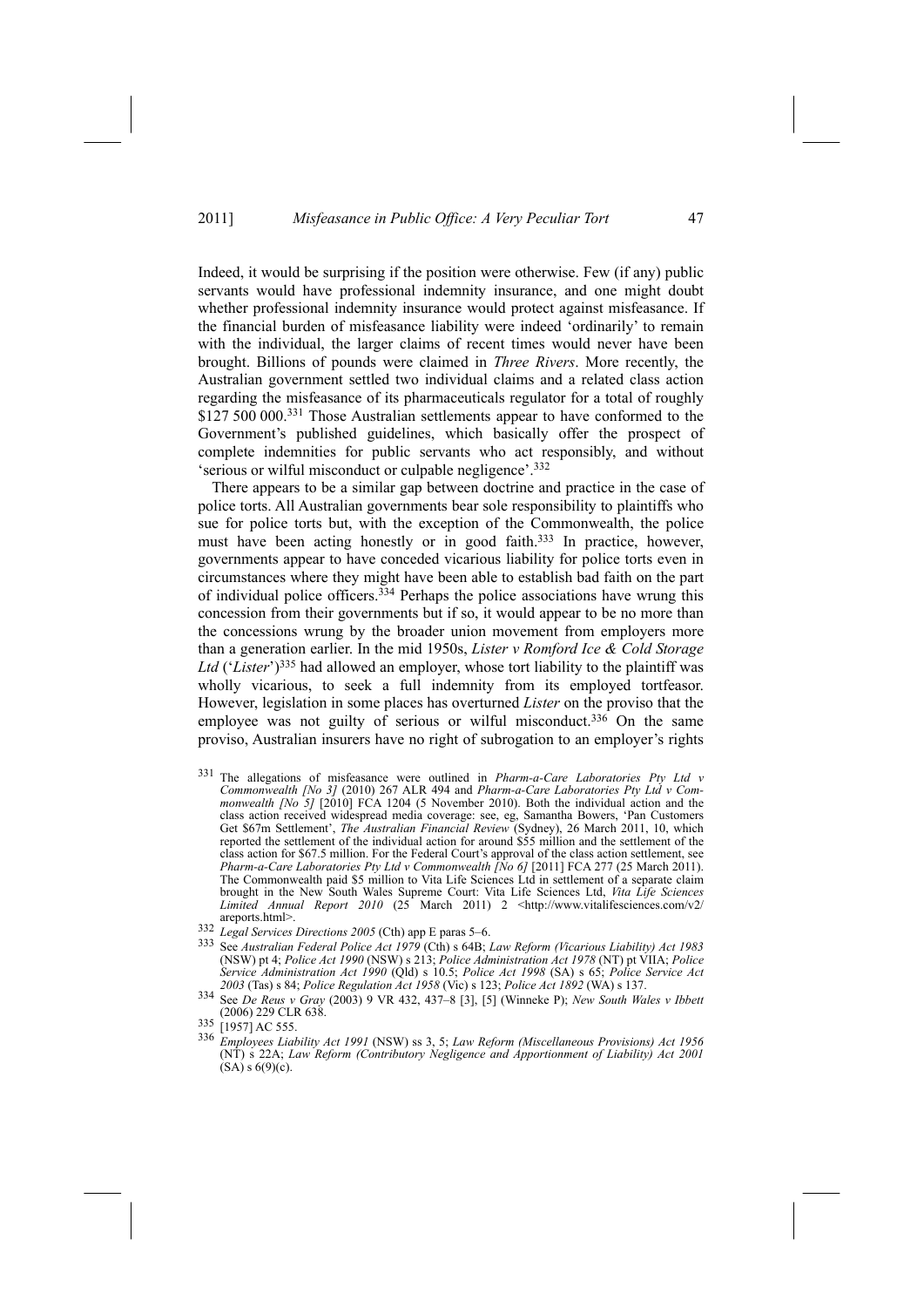Indeed, it would be surprising if the position were otherwise. Few (if any) public servants would have professional indemnity insurance, and one might doubt whether professional indemnity insurance would protect against misfeasance. If the financial burden of misfeasance liability were indeed 'ordinarily' to remain with the individual, the larger claims of recent times would never have been brought. Billions of pounds were claimed in *Three Rivers*. More recently, the Australian government settled two individual claims and a related class action regarding the misfeasance of its pharmaceuticals regulator for a total of roughly \$127 500 000.<sup>331</sup> Those Australian settlements appear to have conformed to the Government's published guidelines, which basically offer the prospect of complete indemnities for public servants who act responsibly, and without 'serious or wilful misconduct or culpable negligence'.332

There appears to be a similar gap between doctrine and practice in the case of police torts. All Australian governments bear sole responsibility to plaintiffs who sue for police torts but, with the exception of the Commonwealth, the police must have been acting honestly or in good faith.<sup>333</sup> In practice, however, governments appear to have conceded vicarious liability for police torts even in circumstances where they might have been able to establish bad faith on the part of individual police officers.334 Perhaps the police associations have wrung this concession from their governments but if so, it would appear to be no more than the concessions wrung by the broader union movement from employers more than a generation earlier. In the mid 1950s, *Lister v Romford Ice & Cold Storage Ltd* ('*Lister*')335 had allowed an employer, whose tort liability to the plaintiff was wholly vicarious, to seek a full indemnity from its employed tortfeasor. However, legislation in some places has overturned *Lister* on the proviso that the employee was not guilty of serious or wilful misconduct.<sup>336</sup> On the same proviso, Australian insurers have no right of subrogation to an employer's rights

- 331 The allegations of misfeasance were outlined in *Pharm-a-Care Laboratories Pty Ltd v Commonwealth [No 3]* (2010) 267 ALR 494 and *Pharm-a-Care Laboratories Pty Ltd v Commonwealth [No 5]* [2010] FCA 1204 (5 November 2010). Both the individual action and the class action received widespread media coverage: see, eg, Samantha Bowers, 'Pan Customers Get \$67m Settlement', *The Australian Financial Review* (Sydney), 26 March 2011, 10, which reported the settlement of the individual action for around \$55 million and the settlement of the class action for \$67.5 million. For the Federal Court's approval of the class action settlement, see *Pharm-a-Care Laboratories Pty Ltd v Commonwealth [No 6]* [2011] FCA 277 (25 March 2011). The Commonwealth paid \$5 million to Vita Life Sciences Ltd in settlement of a separate claim brought in the New South Wales Supreme Court: Vita Life Sciences Ltd, *Vita Life Sciences Limited Annual Report* 2010 (25 March 2011) 2 <http://www.vitalifesciences.com/v2/<br>areports.html>.
- 
- 332 Legal Services Directions 2005 (Cth) app E paras 5–6.<br>333 See Australian Federal Police Act 1979 (Cth) s 64B; Law Reform (Vicarious Liability) Act 1983 (NSW) pt 4; *Police Act 1990* (NSW) s 213; *Police Administration Act 1978* (NT) pt VIIA; *Police Service Administration Act 1990* (Qld) s 10.5; *Police Act 1998* (SA) s 65; *Police Service Act* 2003 (Tas) s 84; *Police Regulation Act 1958* (Vic) s 123; *Police Act 1892* (WA) s 137.<br><sup>334</sup> See *De Reus v Gray* (2003) 9 VR 432, 437–8 [3], [5] (Winneke P); *New South Wales v Ibbett*
- (2006) 229 CLR 638. 335 [1957] AC 555.

<sup>336</sup> *Employees Liability Act 1991* (NSW) ss 3, 5; *Law Reform (Miscellaneous Provisions) Act 1956* (NT) s 22A; *Law Reform (Contributory Negligence and Apportionment of Liability) Act 2001*  $(SA)$  s  $6(9)(c)$ .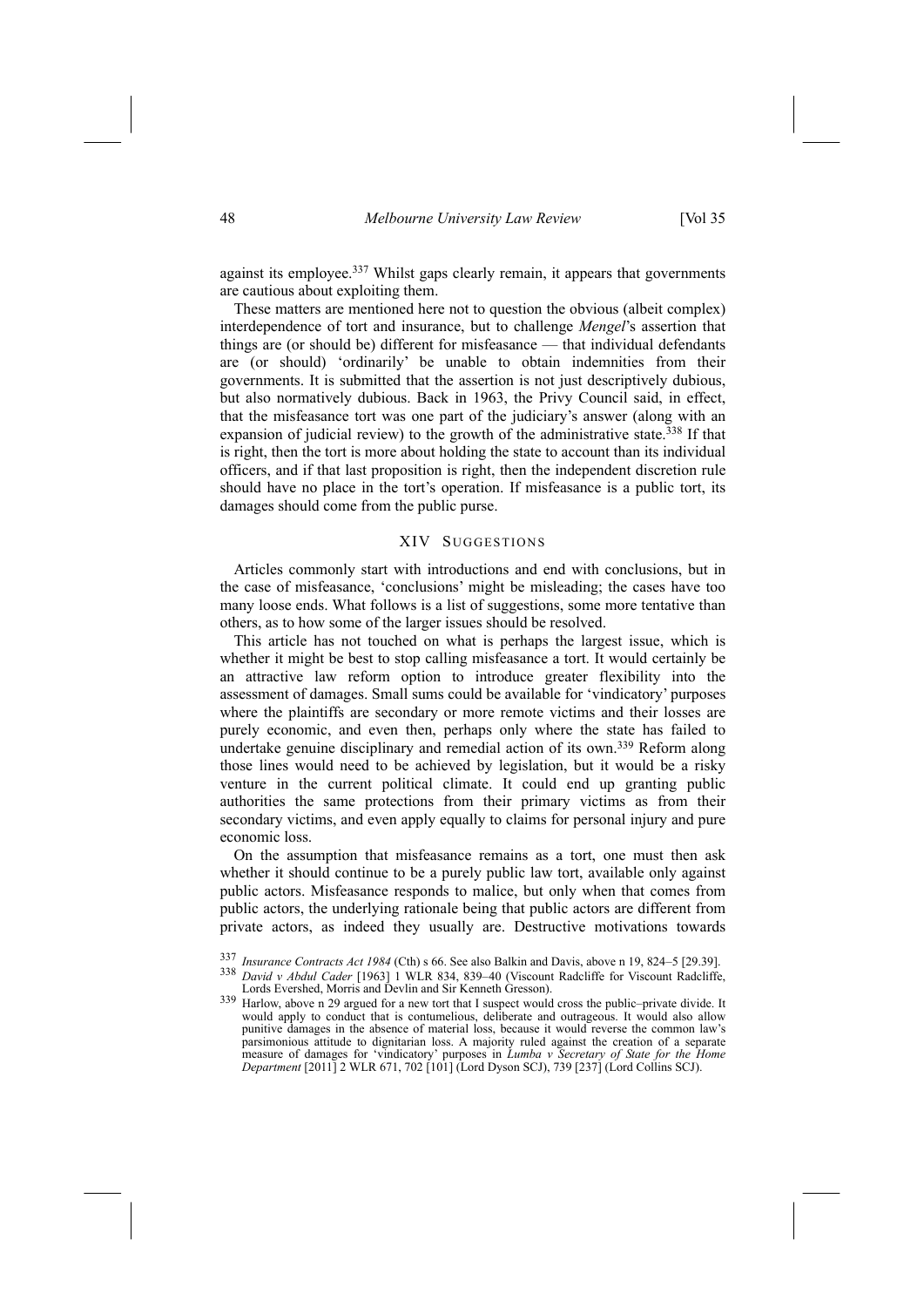against its employee.<sup>337</sup> Whilst gaps clearly remain, it appears that governments are cautious about exploiting them.

These matters are mentioned here not to question the obvious (albeit complex) interdependence of tort and insurance, but to challenge *Mengel*'s assertion that things are (or should be) different for misfeasance — that individual defendants are (or should) 'ordinarily' be unable to obtain indemnities from their governments. It is submitted that the assertion is not just descriptively dubious, but also normatively dubious. Back in 1963, the Privy Council said, in effect, that the misfeasance tort was one part of the judiciary's answer (along with an expansion of judicial review) to the growth of the administrative state.<sup>338</sup> If that is right, then the tort is more about holding the state to account than its individual officers, and if that last proposition is right, then the independent discretion rule should have no place in the tort's operation. If misfeasance is a public tort, its damages should come from the public purse.

# XIV SUGGESTIONS

Articles commonly start with introductions and end with conclusions, but in the case of misfeasance, 'conclusions' might be misleading; the cases have too many loose ends. What follows is a list of suggestions, some more tentative than others, as to how some of the larger issues should be resolved.

This article has not touched on what is perhaps the largest issue, which is whether it might be best to stop calling misfeasance a tort. It would certainly be an attractive law reform option to introduce greater flexibility into the assessment of damages. Small sums could be available for 'vindicatory' purposes where the plaintiffs are secondary or more remote victims and their losses are purely economic, and even then, perhaps only where the state has failed to undertake genuine disciplinary and remedial action of its own.339 Reform along those lines would need to be achieved by legislation, but it would be a risky venture in the current political climate. It could end up granting public authorities the same protections from their primary victims as from their secondary victims, and even apply equally to claims for personal injury and pure economic loss.

On the assumption that misfeasance remains as a tort, one must then ask whether it should continue to be a purely public law tort, available only against public actors. Misfeasance responds to malice, but only when that comes from public actors, the underlying rationale being that public actors are different from private actors, as indeed they usually are. Destructive motivations towards

<sup>337</sup> Insurance Contracts Act 1984 (Cth) s 66. See also Balkin and Davis, above n 19, 824–5 [29.39].<br><sup>338</sup> David v Abdul Cader [1963] 1 WLR 834, 839–40 (Viscount Radcliffe for Viscount Radcliffe, Lords Evershed, Morris an

<sup>339</sup> Harlow, above n 29 argued for a new tort that I suspect would cross the public–private divide. It would apply to conduct that is contumelious, deliberate and outrageous. It would also allow punitive damages in the absence of material loss, because it would reverse the common law's parsimonious attitude to dignitarian loss. A majority ruled against the creation of a separate measure of damages for 'vindicatory' purposes in *Lumba v Secretary of State for the Home Department* [2011] 2 WLR 671, 702 [101] (Lord Dyson SCJ), 739 [237] (Lord Collins SCJ).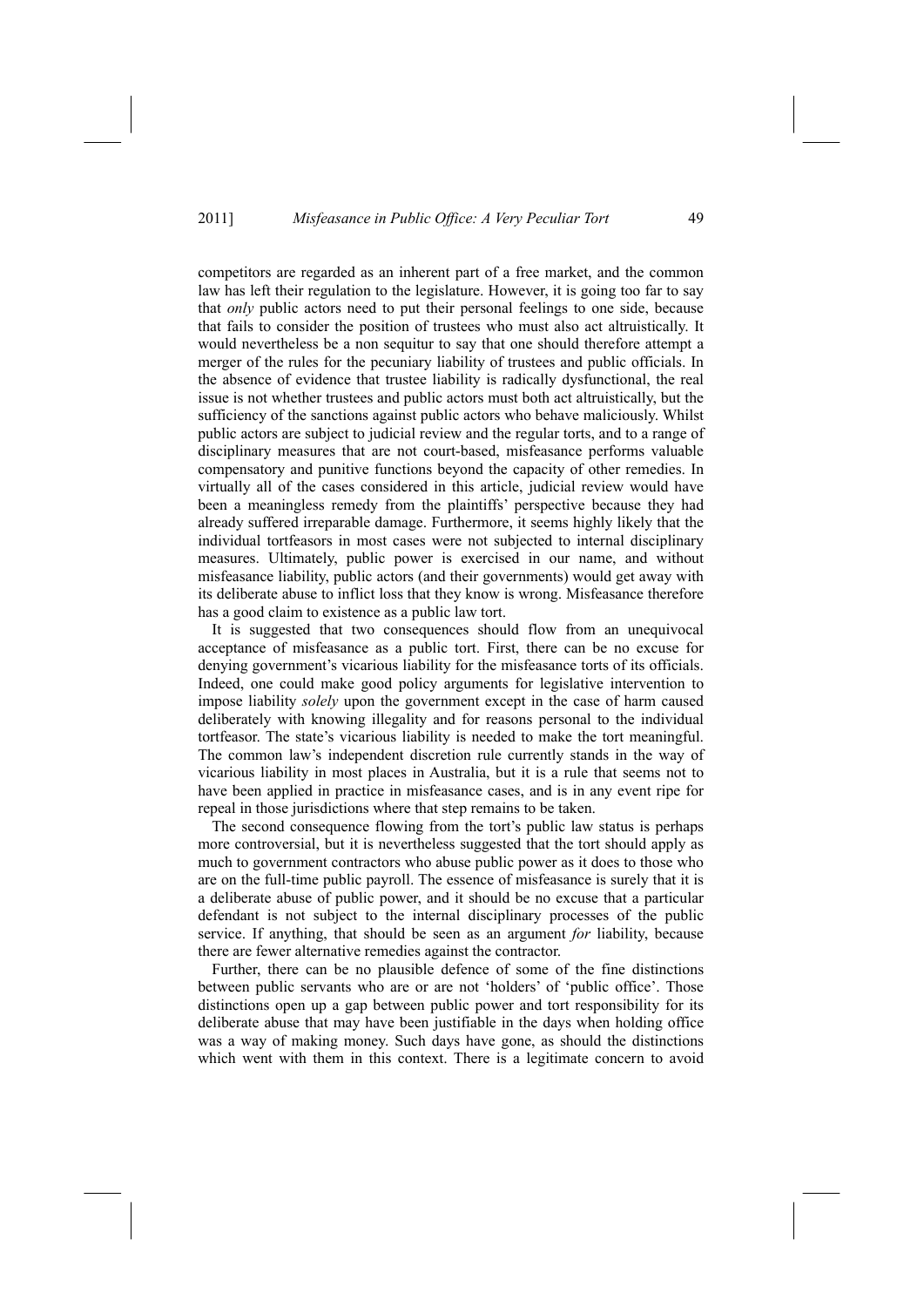competitors are regarded as an inherent part of a free market, and the common law has left their regulation to the legislature. However, it is going too far to say that *only* public actors need to put their personal feelings to one side, because that fails to consider the position of trustees who must also act altruistically. It would nevertheless be a non sequitur to say that one should therefore attempt a merger of the rules for the pecuniary liability of trustees and public officials. In the absence of evidence that trustee liability is radically dysfunctional, the real issue is not whether trustees and public actors must both act altruistically, but the sufficiency of the sanctions against public actors who behave maliciously. Whilst public actors are subject to judicial review and the regular torts, and to a range of disciplinary measures that are not court-based, misfeasance performs valuable compensatory and punitive functions beyond the capacity of other remedies. In virtually all of the cases considered in this article, judicial review would have been a meaningless remedy from the plaintiffs' perspective because they had already suffered irreparable damage. Furthermore, it seems highly likely that the individual tortfeasors in most cases were not subjected to internal disciplinary measures. Ultimately, public power is exercised in our name, and without misfeasance liability, public actors (and their governments) would get away with its deliberate abuse to inflict loss that they know is wrong. Misfeasance therefore has a good claim to existence as a public law tort.

It is suggested that two consequences should flow from an unequivocal acceptance of misfeasance as a public tort. First, there can be no excuse for denying government's vicarious liability for the misfeasance torts of its officials. Indeed, one could make good policy arguments for legislative intervention to impose liability *solely* upon the government except in the case of harm caused deliberately with knowing illegality and for reasons personal to the individual tortfeasor. The state's vicarious liability is needed to make the tort meaningful. The common law's independent discretion rule currently stands in the way of vicarious liability in most places in Australia, but it is a rule that seems not to have been applied in practice in misfeasance cases, and is in any event ripe for repeal in those jurisdictions where that step remains to be taken.

The second consequence flowing from the tort's public law status is perhaps more controversial, but it is nevertheless suggested that the tort should apply as much to government contractors who abuse public power as it does to those who are on the full-time public payroll. The essence of misfeasance is surely that it is a deliberate abuse of public power, and it should be no excuse that a particular defendant is not subject to the internal disciplinary processes of the public service. If anything, that should be seen as an argument *for* liability, because there are fewer alternative remedies against the contractor.

Further, there can be no plausible defence of some of the fine distinctions between public servants who are or are not 'holders' of 'public office'. Those distinctions open up a gap between public power and tort responsibility for its deliberate abuse that may have been justifiable in the days when holding office was a way of making money. Such days have gone, as should the distinctions which went with them in this context. There is a legitimate concern to avoid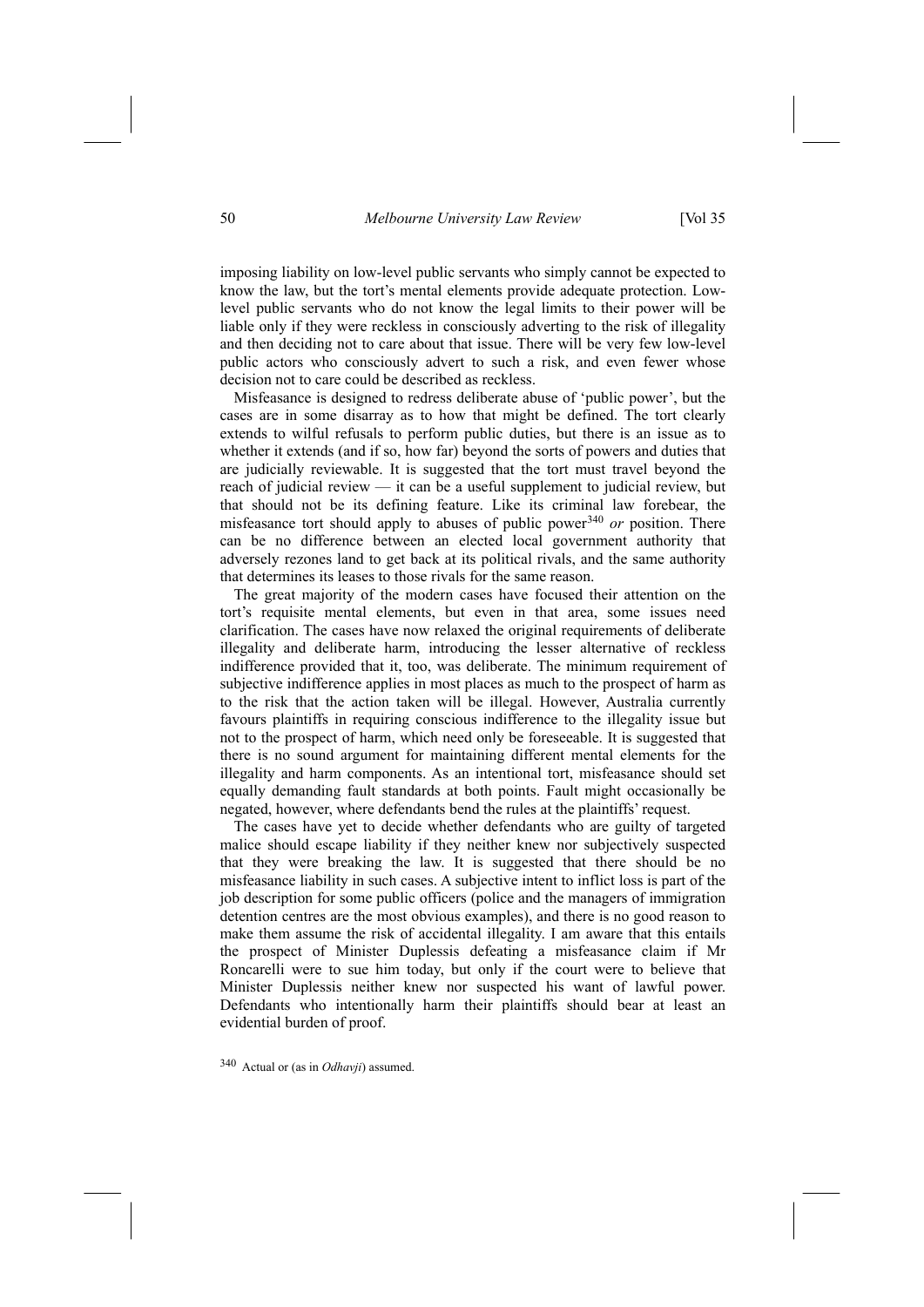imposing liability on low-level public servants who simply cannot be expected to know the law, but the tort's mental elements provide adequate protection. Lowlevel public servants who do not know the legal limits to their power will be liable only if they were reckless in consciously adverting to the risk of illegality and then deciding not to care about that issue. There will be very few low-level public actors who consciously advert to such a risk, and even fewer whose decision not to care could be described as reckless.

Misfeasance is designed to redress deliberate abuse of 'public power', but the cases are in some disarray as to how that might be defined. The tort clearly extends to wilful refusals to perform public duties, but there is an issue as to whether it extends (and if so, how far) beyond the sorts of powers and duties that are judicially reviewable. It is suggested that the tort must travel beyond the reach of judicial review — it can be a useful supplement to judicial review, but that should not be its defining feature. Like its criminal law forebear, the misfeasance tort should apply to abuses of public power340 *or* position. There can be no difference between an elected local government authority that adversely rezones land to get back at its political rivals, and the same authority that determines its leases to those rivals for the same reason.

The great majority of the modern cases have focused their attention on the tort's requisite mental elements, but even in that area, some issues need clarification. The cases have now relaxed the original requirements of deliberate illegality and deliberate harm, introducing the lesser alternative of reckless indifference provided that it, too, was deliberate. The minimum requirement of subjective indifference applies in most places as much to the prospect of harm as to the risk that the action taken will be illegal. However, Australia currently favours plaintiffs in requiring conscious indifference to the illegality issue but not to the prospect of harm, which need only be foreseeable. It is suggested that there is no sound argument for maintaining different mental elements for the illegality and harm components. As an intentional tort, misfeasance should set equally demanding fault standards at both points. Fault might occasionally be negated, however, where defendants bend the rules at the plaintiffs' request.

The cases have yet to decide whether defendants who are guilty of targeted malice should escape liability if they neither knew nor subjectively suspected that they were breaking the law. It is suggested that there should be no misfeasance liability in such cases. A subjective intent to inflict loss is part of the job description for some public officers (police and the managers of immigration detention centres are the most obvious examples), and there is no good reason to make them assume the risk of accidental illegality. I am aware that this entails the prospect of Minister Duplessis defeating a misfeasance claim if Mr Roncarelli were to sue him today, but only if the court were to believe that Minister Duplessis neither knew nor suspected his want of lawful power. Defendants who intentionally harm their plaintiffs should bear at least an evidential burden of proof.

340 Actual or (as in *Odhavji*) assumed.